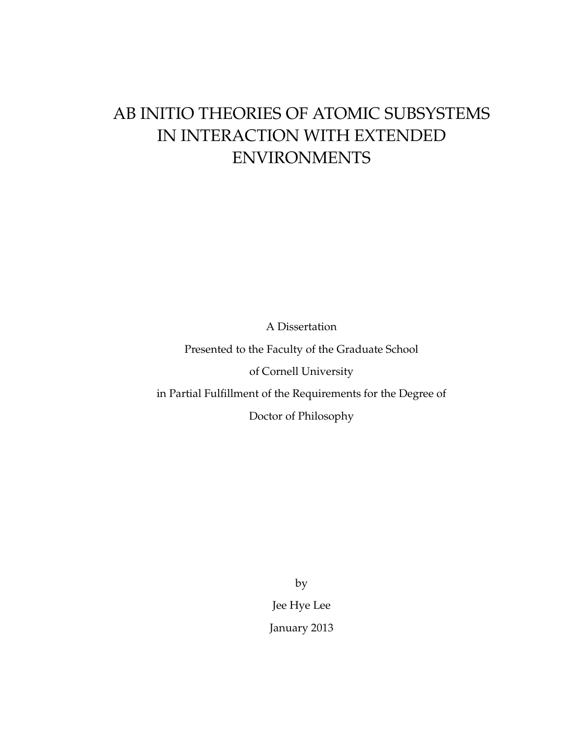# AB INITIO THEORIES OF ATOMIC SUBSYSTEMS IN INTERACTION WITH EXTENDED ENVIRONMENTS

A Dissertation

Presented to the Faculty of the Graduate School

of Cornell University

in Partial Fulfillment of the Requirements for the Degree of

Doctor of Philosophy

by Jee Hye Lee January 2013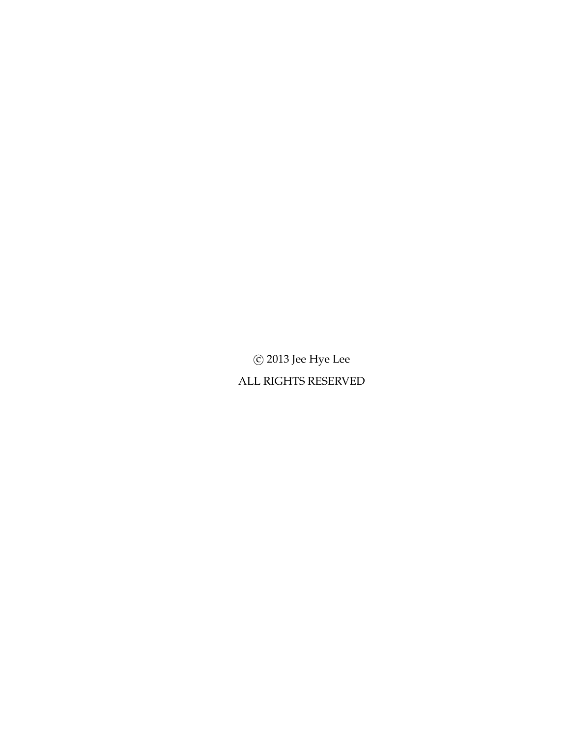$\odot$  2013 Jee Hye Lee ALL RIGHTS RESERVED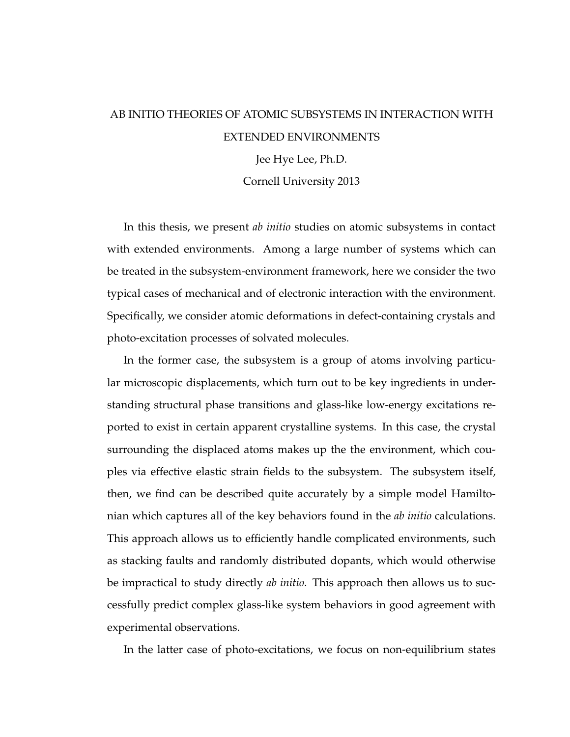## AB INITIO THEORIES OF ATOMIC SUBSYSTEMS IN INTERACTION WITH EXTENDED ENVIRONMENTS

Jee Hye Lee, Ph.D.

Cornell University 2013

In this thesis, we present *ab initio* studies on atomic subsystems in contact with extended environments. Among a large number of systems which can be treated in the subsystem-environment framework, here we consider the two typical cases of mechanical and of electronic interaction with the environment. Specifically, we consider atomic deformations in defect-containing crystals and photo-excitation processes of solvated molecules.

In the former case, the subsystem is a group of atoms involving particular microscopic displacements, which turn out to be key ingredients in understanding structural phase transitions and glass-like low-energy excitations reported to exist in certain apparent crystalline systems. In this case, the crystal surrounding the displaced atoms makes up the the environment, which couples via effective elastic strain fields to the subsystem. The subsystem itself, then, we find can be described quite accurately by a simple model Hamiltonian which captures all of the key behaviors found in the *ab initio* calculations. This approach allows us to efficiently handle complicated environments, such as stacking faults and randomly distributed dopants, which would otherwise be impractical to study directly *ab initio*. This approach then allows us to successfully predict complex glass-like system behaviors in good agreement with experimental observations.

In the latter case of photo-excitations, we focus on non-equilibrium states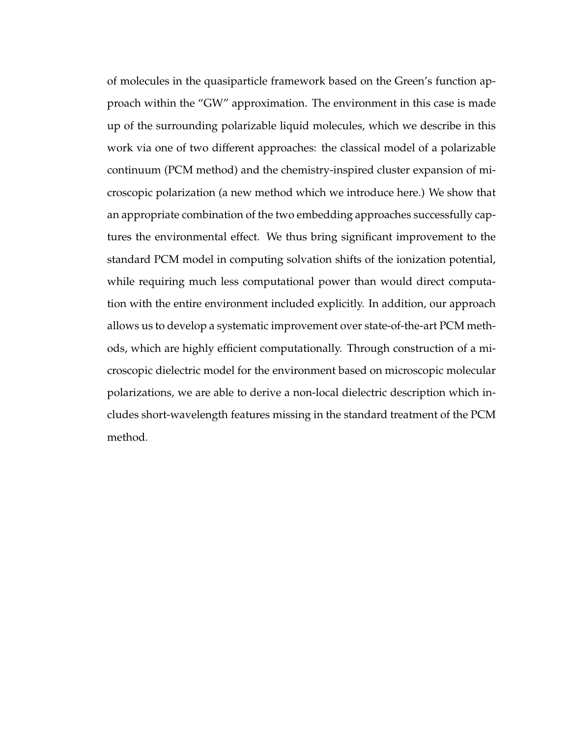of molecules in the quasiparticle framework based on the Green's function approach within the "GW" approximation. The environment in this case is made up of the surrounding polarizable liquid molecules, which we describe in this work via one of two different approaches: the classical model of a polarizable continuum (PCM method) and the chemistry-inspired cluster expansion of microscopic polarization (a new method which we introduce here.) We show that an appropriate combination of the two embedding approaches successfully captures the environmental effect. We thus bring significant improvement to the standard PCM model in computing solvation shifts of the ionization potential, while requiring much less computational power than would direct computation with the entire environment included explicitly. In addition, our approach allows us to develop a systematic improvement over state-of-the-art PCM methods, which are highly efficient computationally. Through construction of a microscopic dielectric model for the environment based on microscopic molecular polarizations, we are able to derive a non-local dielectric description which includes short-wavelength features missing in the standard treatment of the PCM method.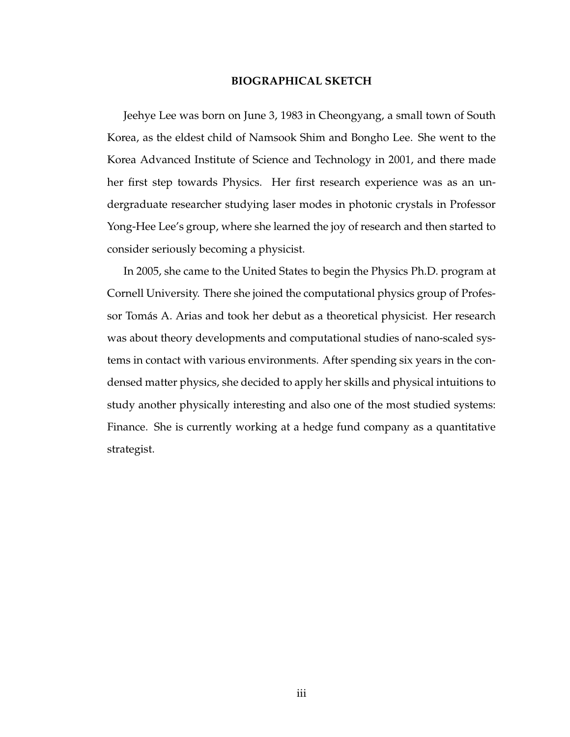### **BIOGRAPHICAL SKETCH**

Jeehye Lee was born on June 3, 1983 in Cheongyang, a small town of South Korea, as the eldest child of Namsook Shim and Bongho Lee. She went to the Korea Advanced Institute of Science and Technology in 2001, and there made her first step towards Physics. Her first research experience was as an undergraduate researcher studying laser modes in photonic crystals in Professor Yong-Hee Lee's group, where she learned the joy of research and then started to consider seriously becoming a physicist.

In 2005, she came to the United States to begin the Physics Ph.D. program at Cornell University. There she joined the computational physics group of Professor Tomás A. Arias and took her debut as a theoretical physicist. Her research was about theory developments and computational studies of nano-scaled systems in contact with various environments. After spending six years in the condensed matter physics, she decided to apply her skills and physical intuitions to study another physically interesting and also one of the most studied systems: Finance. She is currently working at a hedge fund company as a quantitative strategist.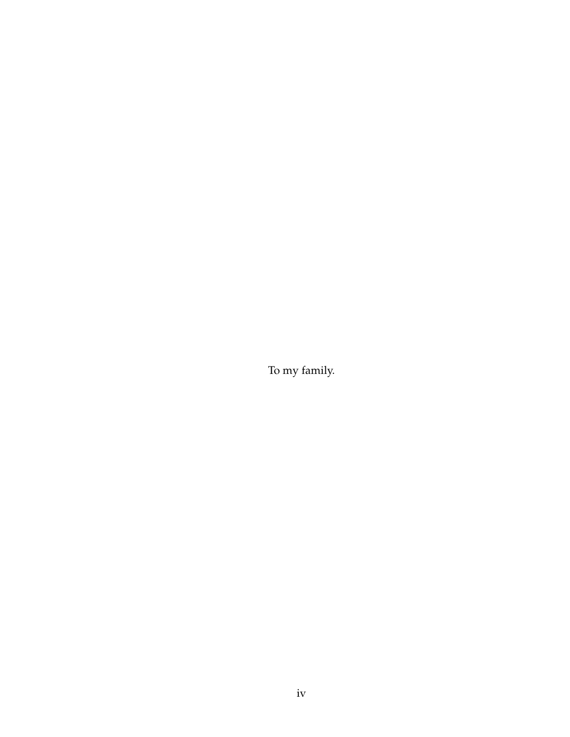To my family.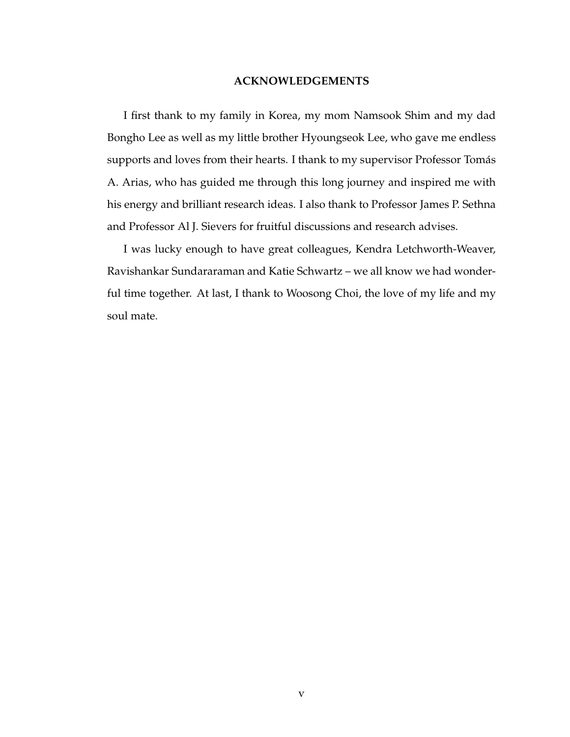#### **ACKNOWLEDGEMENTS**

I first thank to my family in Korea, my mom Namsook Shim and my dad Bongho Lee as well as my little brother Hyoungseok Lee, who gave me endless supports and loves from their hearts. I thank to my supervisor Professor Tomás A. Arias, who has guided me through this long journey and inspired me with his energy and brilliant research ideas. I also thank to Professor James P. Sethna and Professor Al J. Sievers for fruitful discussions and research advises.

I was lucky enough to have great colleagues, Kendra Letchworth-Weaver, Ravishankar Sundararaman and Katie Schwartz – we all know we had wonderful time together. At last, I thank to Woosong Choi, the love of my life and my soul mate.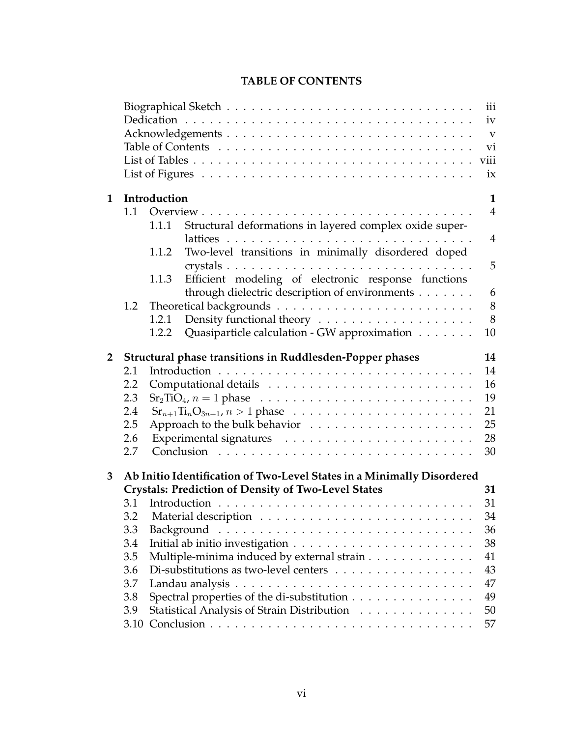|                                                                                                |     |                                                                        | iv<br>$\mathbf{V}$<br>vi<br>viii<br>ix |  |
|------------------------------------------------------------------------------------------------|-----|------------------------------------------------------------------------|----------------------------------------|--|
| $\mathbf 1$                                                                                    |     | Introduction                                                           | $\mathbf{1}$                           |  |
|                                                                                                | 1.1 |                                                                        | $\overline{4}$                         |  |
|                                                                                                |     | Structural deformations in layered complex oxide super-<br>1.1.1       |                                        |  |
|                                                                                                |     |                                                                        | $\overline{4}$                         |  |
|                                                                                                |     | Two-level transitions in minimally disordered doped<br>1.1.2           |                                        |  |
|                                                                                                |     |                                                                        | 5                                      |  |
|                                                                                                |     | Efficient modeling of electronic response functions<br>1.1.3           |                                        |  |
|                                                                                                |     | through dielectric description of environments                         | 6                                      |  |
|                                                                                                | 1.2 |                                                                        | 8                                      |  |
|                                                                                                |     | 1.2.1                                                                  | 8                                      |  |
|                                                                                                |     | Quasiparticle calculation - GW approximation<br>1.2.2                  | 10                                     |  |
| $\overline{\mathbf{2}}$                                                                        |     | Structural phase transitions in Ruddlesden-Popper phases               | 14                                     |  |
|                                                                                                | 2.1 |                                                                        | 14                                     |  |
|                                                                                                | 2.2 |                                                                        | 16<br>19                               |  |
| $Sr2TiO4, n = 1$ phase $\ldots \ldots \ldots \ldots \ldots \ldots \ldots \ldots \ldots$<br>2.3 |     |                                                                        |                                        |  |
|                                                                                                | 2.4 |                                                                        | 21                                     |  |
|                                                                                                | 2.5 |                                                                        | 25                                     |  |
|                                                                                                | 2.6 |                                                                        | 28                                     |  |
|                                                                                                | 2.7 |                                                                        | 30                                     |  |
| 3                                                                                              |     | Ab Initio Identification of Two-Level States in a Minimally Disordered |                                        |  |
|                                                                                                |     | <b>Crystals: Prediction of Density of Two-Level States</b>             | 31                                     |  |
|                                                                                                | 3.1 |                                                                        | 31                                     |  |
|                                                                                                | 3.2 |                                                                        | 34                                     |  |
|                                                                                                | 3.3 |                                                                        | 36                                     |  |
|                                                                                                | 3.4 |                                                                        | 38                                     |  |

### **TABLE OF CONTENTS**

Biographical Sketch . . . . . . . . . . . . . . . . . . . . . . . . . . . . . . iii

3.5 Multiple-minima induced by external strain . . . . . . . . . . . . . 41 3.6 Di-substitutions as two-level centers . . . . . . . . . . . . . . . . . 43 3.7 Landau analysis . . . . . . . . . . . . . . . . . . . . . . . . . . . . . 47 3.8 Spectral properties of the di-substitution . . . . . . . . . . . . . . . 49 3.9 Statistical Analysis of Strain Distribution . . . . . . . . . . . . . . 50 3.10 Conclusion . . . . . . . . . . . . . . . . . . . . . . . . . . . . . . . . 57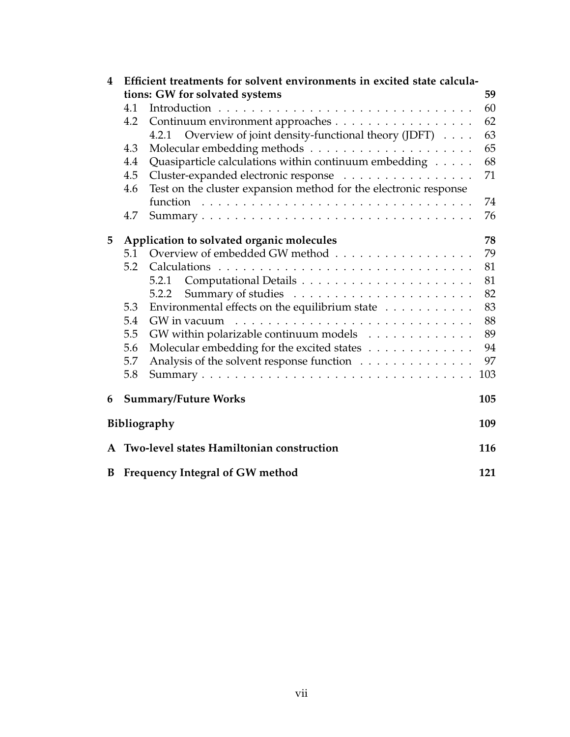| 4                                              | Efficient treatments for solvent environments in excited state calcula- |                                                                    |     |  |  |  |
|------------------------------------------------|-------------------------------------------------------------------------|--------------------------------------------------------------------|-----|--|--|--|
|                                                | tions: GW for solvated systems                                          |                                                                    |     |  |  |  |
|                                                | 4.1                                                                     |                                                                    | 60  |  |  |  |
|                                                | Continuum environment approaches<br>4.2                                 |                                                                    |     |  |  |  |
|                                                |                                                                         | 4.2.1 Overview of joint density-functional theory (JDFT)           | 63  |  |  |  |
|                                                | 4.3                                                                     |                                                                    | 65  |  |  |  |
|                                                | 4.4                                                                     | Quasiparticle calculations within continuum embedding              | 68  |  |  |  |
|                                                | 4.5                                                                     | Cluster-expanded electronic response                               | 71  |  |  |  |
|                                                | 4.6                                                                     | Test on the cluster expansion method for the electronic response   |     |  |  |  |
|                                                |                                                                         |                                                                    | 74  |  |  |  |
|                                                | 4.7                                                                     |                                                                    | 76  |  |  |  |
| Application to solvated organic molecules<br>5 |                                                                         |                                                                    |     |  |  |  |
|                                                | 5.1                                                                     | Overview of embedded GW method                                     | 79  |  |  |  |
|                                                | 5.2                                                                     |                                                                    | 81  |  |  |  |
|                                                |                                                                         |                                                                    | 81  |  |  |  |
|                                                |                                                                         | 5.2.2                                                              | 82  |  |  |  |
|                                                | 5.3                                                                     | Environmental effects on the equilibrium state $\dots \dots \dots$ | 83  |  |  |  |
|                                                | 5.4                                                                     |                                                                    | 88  |  |  |  |
|                                                | 5.5                                                                     | GW within polarizable continuum models                             | 89  |  |  |  |
|                                                | 5.6                                                                     | Molecular embedding for the excited states                         | 94  |  |  |  |
|                                                | 5.7                                                                     | Analysis of the solvent response function                          | 97  |  |  |  |
|                                                | 5.8                                                                     |                                                                    | 103 |  |  |  |
| 6                                              | <b>Summary/Future Works</b><br>105                                      |                                                                    |     |  |  |  |
|                                                | Bibliography<br>109                                                     |                                                                    |     |  |  |  |
|                                                |                                                                         | A Two-level states Hamiltonian construction                        | 116 |  |  |  |
|                                                | <b>B</b> Frequency Integral of GW method<br>121                         |                                                                    |     |  |  |  |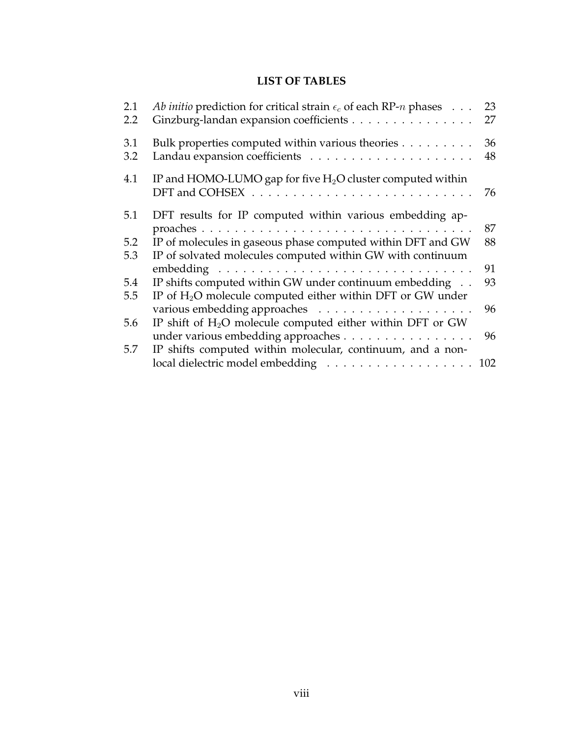## **LIST OF TABLES**

| 2.1 | <i>Ab initio</i> prediction for critical strain $\epsilon_c$ of each RP- <i>n</i> phases $\dots$ | 23 |
|-----|--------------------------------------------------------------------------------------------------|----|
| 2.2 | Ginzburg-landan expansion coefficients                                                           | 27 |
| 3.1 | Bulk properties computed within various theories                                                 | 36 |
| 3.2 |                                                                                                  | 48 |
| 4.1 | IP and HOMO-LUMO gap for five $H_2O$ cluster computed within                                     |    |
|     |                                                                                                  | 76 |
| 5.1 | DFT results for IP computed within various embedding ap-                                         |    |
|     |                                                                                                  | 87 |
| 5.2 | IP of molecules in gaseous phase computed within DFT and GW                                      | 88 |
| 5.3 | IP of solvated molecules computed within GW with continuum                                       |    |
|     |                                                                                                  | 91 |
| 5.4 | IP shifts computed within GW under continuum embedding                                           | 93 |
| 5.5 | IP of $H_2O$ molecule computed either within DFT or GW under                                     |    |
|     |                                                                                                  | 96 |
| 5.6 | IP shift of $H_2O$ molecule computed either within DFT or GW                                     |    |
|     | under various embedding approaches                                                               | 96 |
| 5.7 | IP shifts computed within molecular, continuum, and a non-                                       |    |
|     | local dielectric model embedding 102                                                             |    |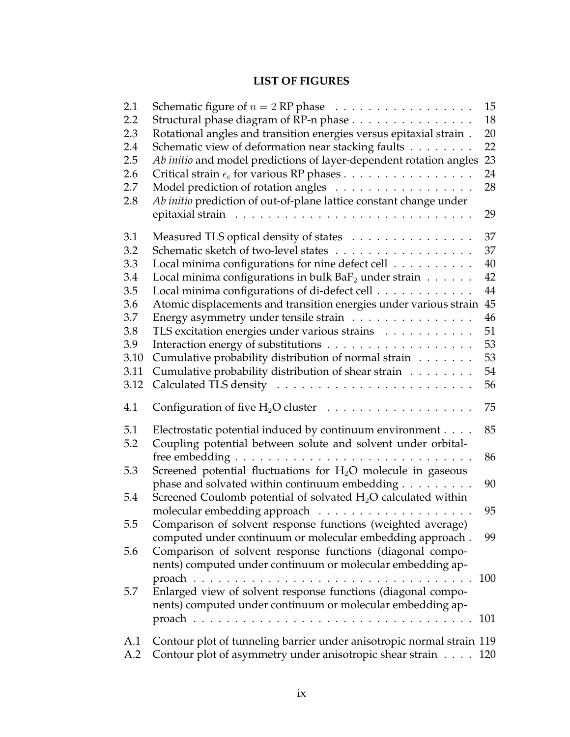## **LIST OF FIGURES**

| 2.1  | Schematic figure of $n = 2$ RP phase $\ldots \ldots \ldots \ldots \ldots$ | 15  |
|------|---------------------------------------------------------------------------|-----|
| 2.2  | Structural phase diagram of RP-n phase                                    | 18  |
| 2.3  | Rotational angles and transition energies versus epitaxial strain.        | 20  |
| 2.4  | Schematic view of deformation near stacking faults                        | 22  |
| 2.5  | Ab initio and model predictions of layer-dependent rotation angles        | 23  |
| 2.6  | Critical strain $\epsilon_c$ for various RP phases                        | 24  |
| 2.7  | Model prediction of rotation angles                                       | 28  |
| 2.8  | Ab initio prediction of out-of-plane lattice constant change under        |     |
|      |                                                                           | 29  |
| 3.1  | Measured TLS optical density of states                                    | 37  |
| 3.2  | Schematic sketch of two-level states                                      | 37  |
| 3.3  | Local minima configurations for nine defect cell                          | 40  |
| 3.4  | Local minima configurations in bulk $BaF_2$ under strain $\ldots \ldots$  | 42  |
| 3.5  | Local minima configurations of di-defect cell                             | 44  |
| 3.6  | Atomic displacements and transition energies under various strain         | 45  |
| 3.7  | Energy asymmetry under tensile strain                                     | 46  |
| 3.8  | TLS excitation energies under various strains                             | 51  |
| 3.9  |                                                                           | 53  |
| 3.10 | Cumulative probability distribution of normal strain                      | 53  |
| 3.11 | Cumulative probability distribution of shear strain                       | 54  |
| 3.12 |                                                                           | 56  |
| 4.1  | Configuration of five $H_2O$ cluster $\ldots \ldots \ldots \ldots \ldots$ | 75  |
| 5.1  | Electrostatic potential induced by continuum environment                  | 85  |
| 5.2  | Coupling potential between solute and solvent under orbital-              |     |
|      |                                                                           | 86  |
| 5.3  | Screened potential fluctuations for $H_2O$ molecule in gaseous            |     |
|      | phase and solvated within continuum embedding                             | 90  |
| 5.4  | Screened Coulomb potential of solvated $H_2O$ calculated within           |     |
|      | molecular embedding approach $\dots \dots \dots \dots \dots \dots \dots$  | 95  |
| 5.5  | Comparison of solvent response functions (weighted average)               |     |
|      | computed under continuum or molecular embedding approach.                 | 99  |
| 5.6  | Comparison of solvent response functions (diagonal compo-                 |     |
|      | nents) computed under continuum or molecular embedding ap-                |     |
|      |                                                                           | 100 |
| 5.7  | Enlarged view of solvent response functions (diagonal compo-              |     |
|      | nents) computed under continuum or molecular embedding ap-                |     |
|      |                                                                           |     |
|      |                                                                           |     |
| A.1  | Contour plot of tunneling barrier under anisotropic normal strain 119     |     |
| A.2  | Contour plot of asymmetry under anisotropic shear strain                  | 120 |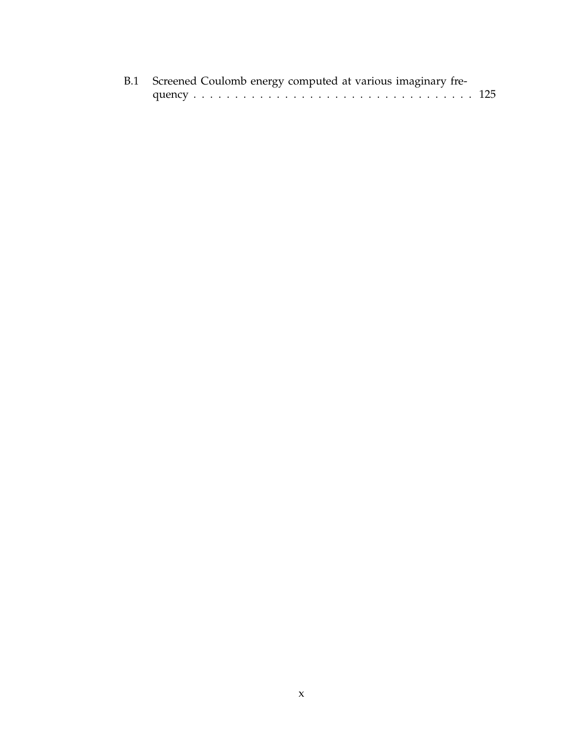|  |  |  | B.1 Screened Coulomb energy computed at various imaginary fre- |  |
|--|--|--|----------------------------------------------------------------|--|
|  |  |  |                                                                |  |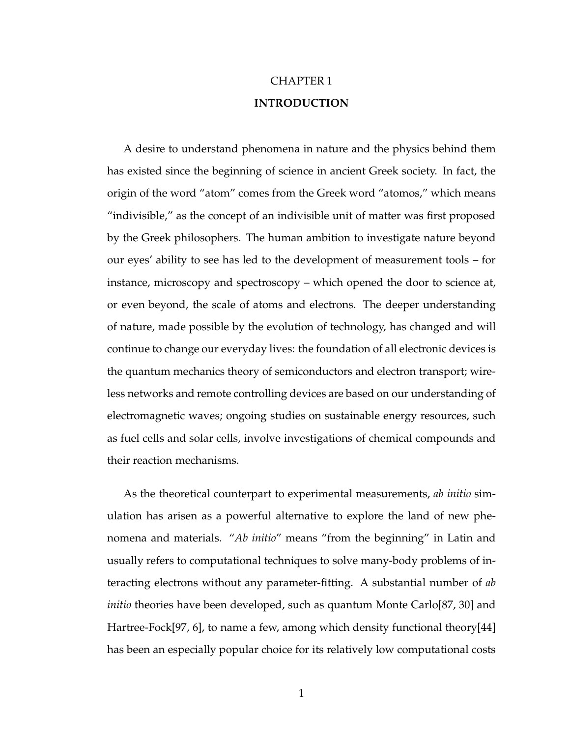## CHAPTER 1 **INTRODUCTION**

A desire to understand phenomena in nature and the physics behind them has existed since the beginning of science in ancient Greek society. In fact, the origin of the word "atom" comes from the Greek word "atomos," which means "indivisible," as the concept of an indivisible unit of matter was first proposed by the Greek philosophers. The human ambition to investigate nature beyond our eyes' ability to see has led to the development of measurement tools – for instance, microscopy and spectroscopy – which opened the door to science at, or even beyond, the scale of atoms and electrons. The deeper understanding of nature, made possible by the evolution of technology, has changed and will continue to change our everyday lives: the foundation of all electronic devices is the quantum mechanics theory of semiconductors and electron transport; wireless networks and remote controlling devices are based on our understanding of electromagnetic waves; ongoing studies on sustainable energy resources, such as fuel cells and solar cells, involve investigations of chemical compounds and their reaction mechanisms.

As the theoretical counterpart to experimental measurements, *ab initio* simulation has arisen as a powerful alternative to explore the land of new phenomena and materials. "*Ab initio*" means "from the beginning" in Latin and usually refers to computational techniques to solve many-body problems of interacting electrons without any parameter-fitting. A substantial number of *ab initio* theories have been developed, such as quantum Monte Carlo[87, 30] and Hartree-Fock[97, 6], to name a few, among which density functional theory[44] has been an especially popular choice for its relatively low computational costs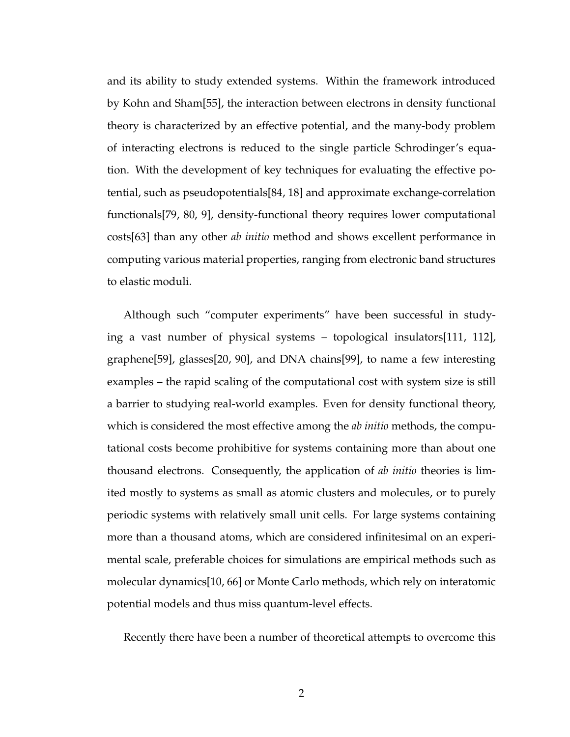and its ability to study extended systems. Within the framework introduced by Kohn and Sham[55], the interaction between electrons in density functional theory is characterized by an effective potential, and the many-body problem of interacting electrons is reduced to the single particle Schrodinger's equation. With the development of key techniques for evaluating the effective potential, such as pseudopotentials[84, 18] and approximate exchange-correlation functionals[79, 80, 9], density-functional theory requires lower computational costs[63] than any other *ab initio* method and shows excellent performance in computing various material properties, ranging from electronic band structures to elastic moduli.

Although such "computer experiments" have been successful in studying a vast number of physical systems – topological insulators[111, 112], graphene[59], glasses[20, 90], and DNA chains[99], to name a few interesting examples – the rapid scaling of the computational cost with system size is still a barrier to studying real-world examples. Even for density functional theory, which is considered the most effective among the *ab initio* methods, the computational costs become prohibitive for systems containing more than about one thousand electrons. Consequently, the application of *ab initio* theories is limited mostly to systems as small as atomic clusters and molecules, or to purely periodic systems with relatively small unit cells. For large systems containing more than a thousand atoms, which are considered infinitesimal on an experimental scale, preferable choices for simulations are empirical methods such as molecular dynamics[10, 66] or Monte Carlo methods, which rely on interatomic potential models and thus miss quantum-level effects.

Recently there have been a number of theoretical attempts to overcome this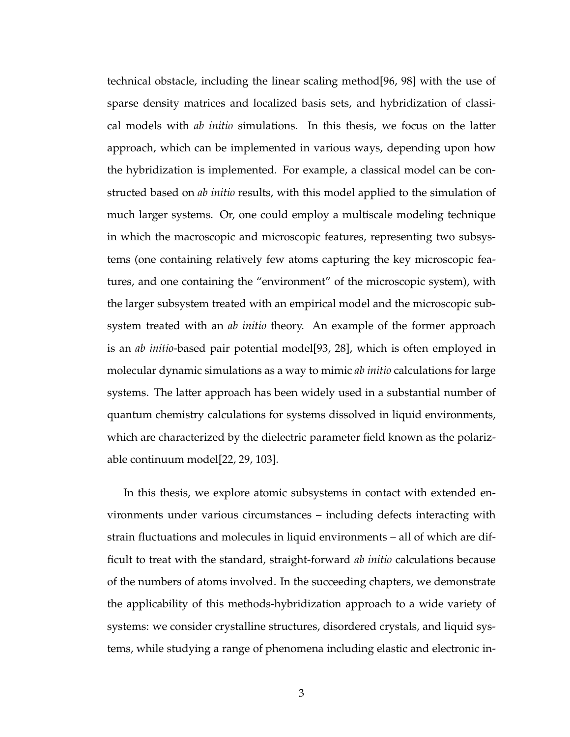technical obstacle, including the linear scaling method[96, 98] with the use of sparse density matrices and localized basis sets, and hybridization of classical models with *ab initio* simulations. In this thesis, we focus on the latter approach, which can be implemented in various ways, depending upon how the hybridization is implemented. For example, a classical model can be constructed based on *ab initio* results, with this model applied to the simulation of much larger systems. Or, one could employ a multiscale modeling technique in which the macroscopic and microscopic features, representing two subsystems (one containing relatively few atoms capturing the key microscopic features, and one containing the "environment" of the microscopic system), with the larger subsystem treated with an empirical model and the microscopic subsystem treated with an *ab initio* theory. An example of the former approach is an *ab initio*-based pair potential model[93, 28], which is often employed in molecular dynamic simulations as a way to mimic *ab initio* calculations for large systems. The latter approach has been widely used in a substantial number of quantum chemistry calculations for systems dissolved in liquid environments, which are characterized by the dielectric parameter field known as the polarizable continuum model[22, 29, 103].

In this thesis, we explore atomic subsystems in contact with extended environments under various circumstances – including defects interacting with strain fluctuations and molecules in liquid environments – all of which are difficult to treat with the standard, straight-forward *ab initio* calculations because of the numbers of atoms involved. In the succeeding chapters, we demonstrate the applicability of this methods-hybridization approach to a wide variety of systems: we consider crystalline structures, disordered crystals, and liquid systems, while studying a range of phenomena including elastic and electronic in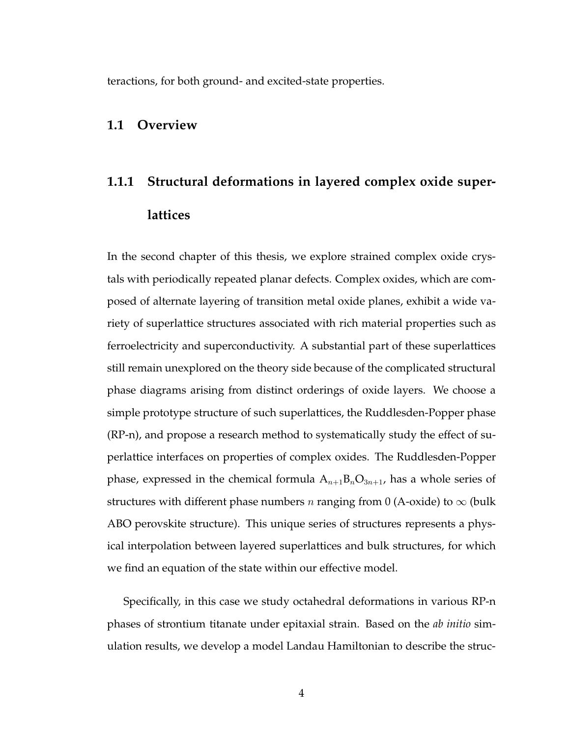teractions, for both ground- and excited-state properties.

### **1.1 Overview**

# **1.1.1 Structural deformations in layered complex oxide superlattices**

In the second chapter of this thesis, we explore strained complex oxide crystals with periodically repeated planar defects. Complex oxides, which are composed of alternate layering of transition metal oxide planes, exhibit a wide variety of superlattice structures associated with rich material properties such as ferroelectricity and superconductivity. A substantial part of these superlattices still remain unexplored on the theory side because of the complicated structural phase diagrams arising from distinct orderings of oxide layers. We choose a simple prototype structure of such superlattices, the Ruddlesden-Popper phase (RP-n), and propose a research method to systematically study the effect of superlattice interfaces on properties of complex oxides. The Ruddlesden-Popper phase, expressed in the chemical formula  $A_{n+1}B_nO_{3n+1}$ , has a whole series of structures with different phase numbers *n* ranging from 0 (A-oxide) to  $\infty$  (bulk ABO perovskite structure). This unique series of structures represents a physical interpolation between layered superlattices and bulk structures, for which we find an equation of the state within our effective model.

Specifically, in this case we study octahedral deformations in various RP-n phases of strontium titanate under epitaxial strain. Based on the *ab initio* simulation results, we develop a model Landau Hamiltonian to describe the struc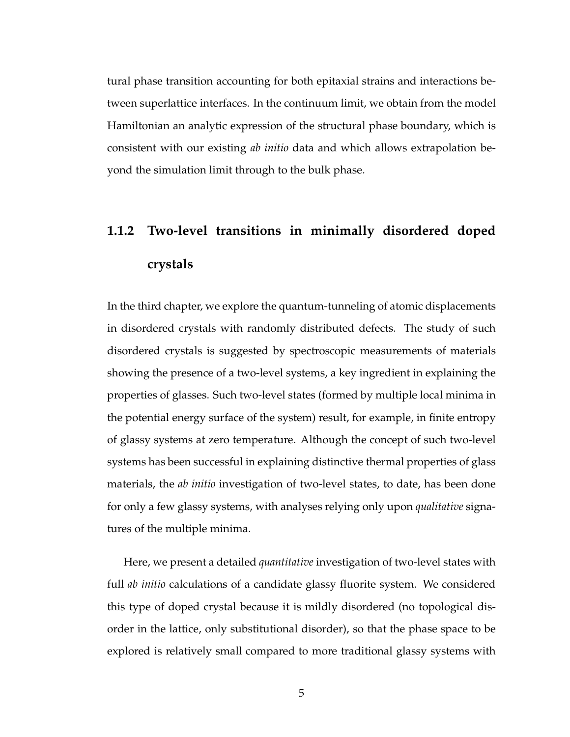tural phase transition accounting for both epitaxial strains and interactions between superlattice interfaces. In the continuum limit, we obtain from the model Hamiltonian an analytic expression of the structural phase boundary, which is consistent with our existing *ab initio* data and which allows extrapolation beyond the simulation limit through to the bulk phase.

# **1.1.2 Two-level transitions in minimally disordered doped crystals**

In the third chapter, we explore the quantum-tunneling of atomic displacements in disordered crystals with randomly distributed defects. The study of such disordered crystals is suggested by spectroscopic measurements of materials showing the presence of a two-level systems, a key ingredient in explaining the properties of glasses. Such two-level states (formed by multiple local minima in the potential energy surface of the system) result, for example, in finite entropy of glassy systems at zero temperature. Although the concept of such two-level systems has been successful in explaining distinctive thermal properties of glass materials, the *ab initio* investigation of two-level states, to date, has been done for only a few glassy systems, with analyses relying only upon *qualitative* signatures of the multiple minima.

Here, we present a detailed *quantitative* investigation of two-level states with full *ab initio* calculations of a candidate glassy fluorite system. We considered this type of doped crystal because it is mildly disordered (no topological disorder in the lattice, only substitutional disorder), so that the phase space to be explored is relatively small compared to more traditional glassy systems with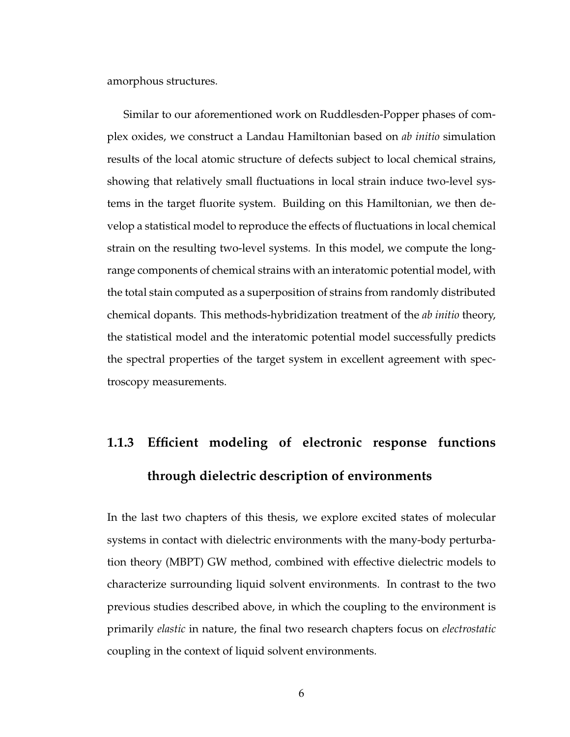amorphous structures.

Similar to our aforementioned work on Ruddlesden-Popper phases of complex oxides, we construct a Landau Hamiltonian based on *ab initio* simulation results of the local atomic structure of defects subject to local chemical strains, showing that relatively small fluctuations in local strain induce two-level systems in the target fluorite system. Building on this Hamiltonian, we then develop a statistical model to reproduce the effects of fluctuations in local chemical strain on the resulting two-level systems. In this model, we compute the longrange components of chemical strains with an interatomic potential model, with the total stain computed as a superposition of strains from randomly distributed chemical dopants. This methods-hybridization treatment of the *ab initio* theory, the statistical model and the interatomic potential model successfully predicts the spectral properties of the target system in excellent agreement with spectroscopy measurements.

# **1.1.3 Efficient modeling of electronic response functions through dielectric description of environments**

In the last two chapters of this thesis, we explore excited states of molecular systems in contact with dielectric environments with the many-body perturbation theory (MBPT) GW method, combined with effective dielectric models to characterize surrounding liquid solvent environments. In contrast to the two previous studies described above, in which the coupling to the environment is primarily *elastic* in nature, the final two research chapters focus on *electrostatic* coupling in the context of liquid solvent environments.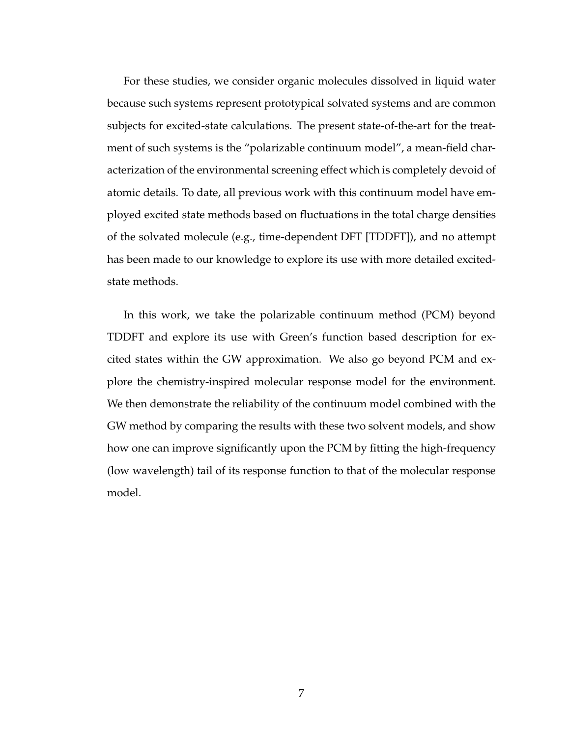For these studies, we consider organic molecules dissolved in liquid water because such systems represent prototypical solvated systems and are common subjects for excited-state calculations. The present state-of-the-art for the treatment of such systems is the "polarizable continuum model", a mean-field characterization of the environmental screening effect which is completely devoid of atomic details. To date, all previous work with this continuum model have employed excited state methods based on fluctuations in the total charge densities of the solvated molecule (e.g., time-dependent DFT [TDDFT]), and no attempt has been made to our knowledge to explore its use with more detailed excitedstate methods.

In this work, we take the polarizable continuum method (PCM) beyond TDDFT and explore its use with Green's function based description for excited states within the GW approximation. We also go beyond PCM and explore the chemistry-inspired molecular response model for the environment. We then demonstrate the reliability of the continuum model combined with the GW method by comparing the results with these two solvent models, and show how one can improve significantly upon the PCM by fitting the high-frequency (low wavelength) tail of its response function to that of the molecular response model.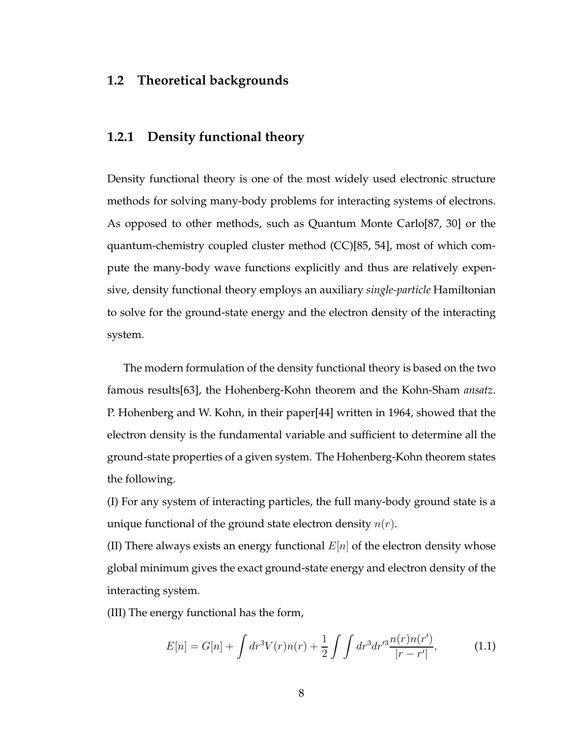## **1.2 Theoretical backgrounds**

### **1.2.1 Density functional theory**

Density functional theory is one of the most widely used electronic structure methods for solving many-body problems for interacting systems of electrons. As opposed to other methods, such as Quantum Monte Carlo[87, 30] or the quantum-chemistry coupled cluster method (CC)[85, 54], most of which compute the many-body wave functions explicitly and thus are relatively expensive, density functional theory employs an auxiliary *single-particle* Hamiltonian to solve for the ground-state energy and the electron density of the interacting system.

The modern formulation of the density functional theory is based on the two famous results[63], the Hohenberg-Kohn theorem and the Kohn-Sham *ansatz*. P. Hohenberg and W. Kohn, in their paper[44] written in 1964, showed that the electron density is the fundamental variable and sufficient to determine all the ground-state properties of a given system. The Hohenberg-Kohn theorem states the following.

(I) For any system of interacting particles, the full many-body ground state is a unique functional of the ground state electron density  $n(r)$ .

(II) There always exists an energy functional  $E[n]$  of the electron density whose global minimum gives the exact ground-state energy and electron density of the interacting system.

(III) The energy functional has the form,

$$
E[n] = G[n] + \int dr^3 V(r)n(r) + \frac{1}{2} \int \int dr^3 dr'^3 \frac{n(r)n(r')}{|r - r'|},
$$
 (1.1)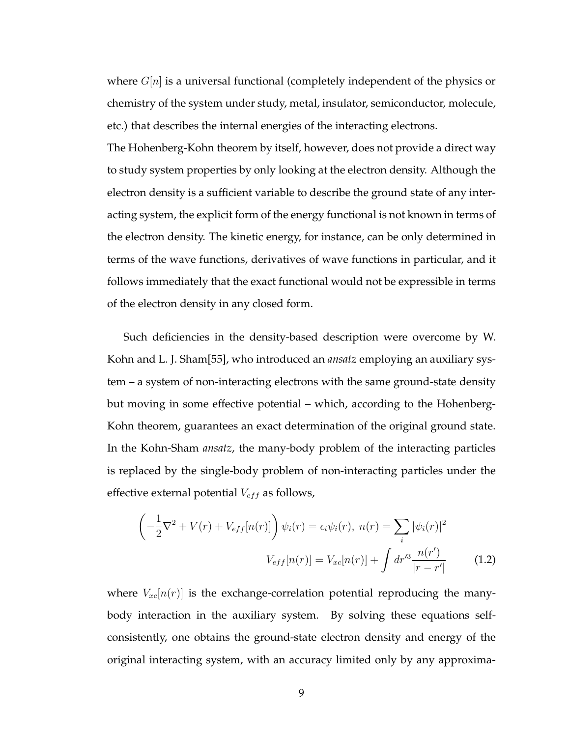where  $G[n]$  is a universal functional (completely independent of the physics or chemistry of the system under study, metal, insulator, semiconductor, molecule, etc.) that describes the internal energies of the interacting electrons.

The Hohenberg-Kohn theorem by itself, however, does not provide a direct way to study system properties by only looking at the electron density. Although the electron density is a sufficient variable to describe the ground state of any interacting system, the explicit form of the energy functional is not known in terms of the electron density. The kinetic energy, for instance, can be only determined in terms of the wave functions, derivatives of wave functions in particular, and it follows immediately that the exact functional would not be expressible in terms of the electron density in any closed form.

Such deficiencies in the density-based description were overcome by W. Kohn and L. J. Sham[55], who introduced an *ansatz* employing an auxiliary system – a system of non-interacting electrons with the same ground-state density but moving in some effective potential – which, according to the Hohenberg-Kohn theorem, guarantees an exact determination of the original ground state. In the Kohn-Sham *ansatz*, the many-body problem of the interacting particles is replaced by the single-body problem of non-interacting particles under the effective external potential  $V_{eff}$  as follows,

$$
\left(-\frac{1}{2}\nabla^2 + V(r) + V_{eff}[n(r)]\right)\psi_i(r) = \epsilon_i\psi_i(r), \ n(r) = \sum_i |\psi_i(r)|^2
$$

$$
V_{eff}[n(r)] = V_{xc}[n(r)] + \int dr'^3 \frac{n(r')}{|r - r'|} \tag{1.2}
$$

where  $V_{xc}[n(r)]$  is the exchange-correlation potential reproducing the manybody interaction in the auxiliary system. By solving these equations selfconsistently, one obtains the ground-state electron density and energy of the original interacting system, with an accuracy limited only by any approxima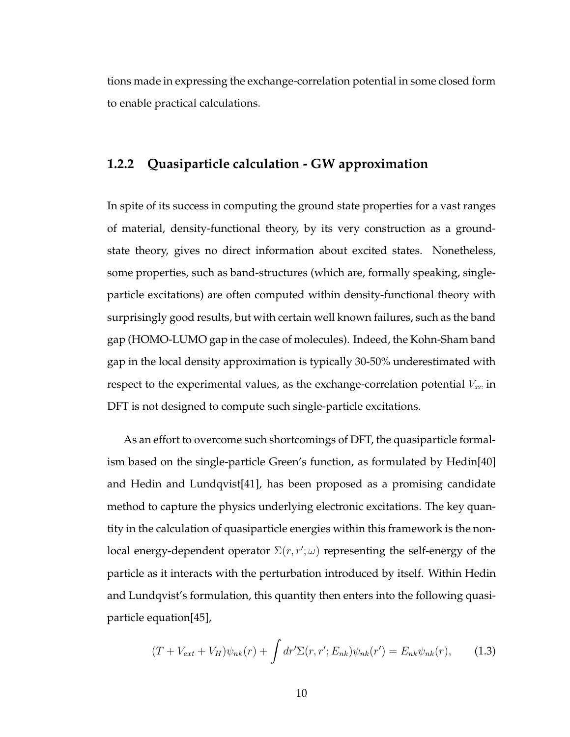tions made in expressing the exchange-correlation potential in some closed form to enable practical calculations.

## **1.2.2 Quasiparticle calculation - GW approximation**

In spite of its success in computing the ground state properties for a vast ranges of material, density-functional theory, by its very construction as a groundstate theory, gives no direct information about excited states. Nonetheless, some properties, such as band-structures (which are, formally speaking, singleparticle excitations) are often computed within density-functional theory with surprisingly good results, but with certain well known failures, such as the band gap (HOMO-LUMO gap in the case of molecules). Indeed, the Kohn-Sham band gap in the local density approximation is typically 30-50% underestimated with respect to the experimental values, as the exchange-correlation potential  $V_{xc}$  in DFT is not designed to compute such single-particle excitations.

As an effort to overcome such shortcomings of DFT, the quasiparticle formalism based on the single-particle Green's function, as formulated by Hedin[40] and Hedin and Lundqvist[41], has been proposed as a promising candidate method to capture the physics underlying electronic excitations. The key quantity in the calculation of quasiparticle energies within this framework is the nonlocal energy-dependent operator  $\Sigma(r,r';\omega)$  representing the self-energy of the particle as it interacts with the perturbation introduced by itself. Within Hedin and Lundqvist's formulation, this quantity then enters into the following quasiparticle equation[45],

$$
(T + V_{ext} + V_H)\psi_{nk}(r) + \int dr' \Sigma(r, r'; E_{nk})\psi_{nk}(r') = E_{nk}\psi_{nk}(r), \quad (1.3)
$$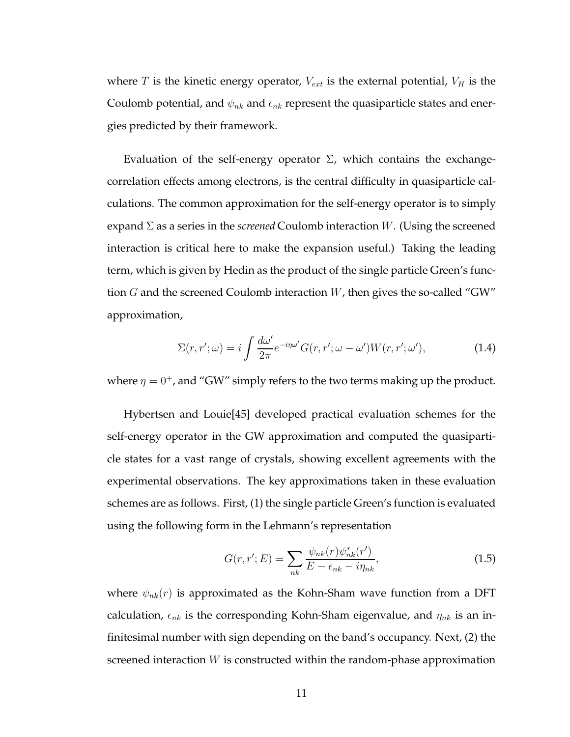where T is the kinetic energy operator,  $V_{ext}$  is the external potential,  $V_H$  is the Coulomb potential, and  $\psi_{nk}$  and  $\epsilon_{nk}$  represent the quasiparticle states and energies predicted by their framework.

Evaluation of the self-energy operator  $\Sigma$ , which contains the exchangecorrelation effects among electrons, is the central difficulty in quasiparticle calculations. The common approximation for the self-energy operator is to simply expand Σ as a series in the *screened* Coulomb interaction W. (Using the screened interaction is critical here to make the expansion useful.) Taking the leading term, which is given by Hedin as the product of the single particle Green's function  $G$  and the screened Coulomb interaction  $W$ , then gives the so-called "GW" approximation,

$$
\Sigma(r,r';\omega) = i \int \frac{d\omega'}{2\pi} e^{-i\eta\omega'} G(r,r';\omega-\omega') W(r,r';\omega'),\tag{1.4}
$$

where  $\eta = 0^+$ , and "GW" simply refers to the two terms making up the product.

Hybertsen and Louie[45] developed practical evaluation schemes for the self-energy operator in the GW approximation and computed the quasiparticle states for a vast range of crystals, showing excellent agreements with the experimental observations. The key approximations taken in these evaluation schemes are as follows. First, (1) the single particle Green's function is evaluated using the following form in the Lehmann's representation

$$
G(r, r'; E) = \sum_{nk} \frac{\psi_{nk}(r)\psi_{nk}^*(r')}{E - \epsilon_{nk} - i\eta_{nk}},
$$
\n(1.5)

where  $\psi_{nk}(r)$  is approximated as the Kohn-Sham wave function from a DFT calculation,  $\epsilon_{nk}$  is the corresponding Kohn-Sham eigenvalue, and  $\eta_{nk}$  is an infinitesimal number with sign depending on the band's occupancy. Next, (2) the screened interaction  $W$  is constructed within the random-phase approximation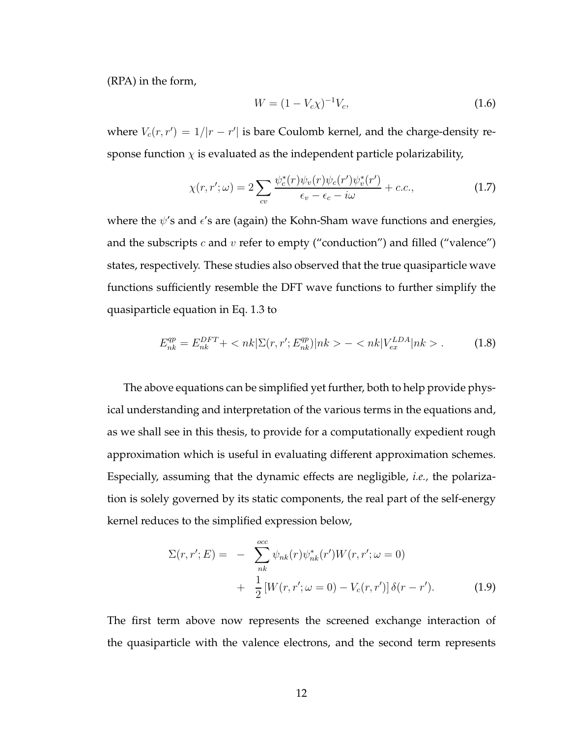(RPA) in the form,

$$
W = (1 - V_c \chi)^{-1} V_c,
$$
\n(1.6)

where  $V_c(r,r') = 1/|r - r'|$  is bare Coulomb kernel, and the charge-density response function  $\chi$  is evaluated as the independent particle polarizability,

$$
\chi(r,r';\omega) = 2\sum_{cv} \frac{\psi_c^*(r)\psi_v(r)\psi_c(r')\psi_v^*(r')}{\epsilon_v - \epsilon_c - i\omega} + c.c.,\tag{1.7}
$$

where the  $\psi$ 's and  $\epsilon$ 's are (again) the Kohn-Sham wave functions and energies, and the subscripts  $c$  and  $v$  refer to empty ("conduction") and filled ("valence") states, respectively. These studies also observed that the true quasiparticle wave functions sufficiently resemble the DFT wave functions to further simplify the quasiparticle equation in Eq. 1.3 to

$$
E_{nk}^{qp} = E_{nk}^{DFT} + \langle nk|\Sigma(r, r'; E_{nk}^{qp})|nk \rangle - \langle nk|V_{ex}^{LDA}|nk \rangle. \tag{1.8}
$$

The above equations can be simplified yet further, both to help provide physical understanding and interpretation of the various terms in the equations and, as we shall see in this thesis, to provide for a computationally expedient rough approximation which is useful in evaluating different approximation schemes. Especially, assuming that the dynamic effects are negligible, *i.e.,* the polarization is solely governed by its static components, the real part of the self-energy kernel reduces to the simplified expression below,

$$
\Sigma(r, r'; E) = - \sum_{nk}^{occ} \psi_{nk}(r) \psi_{nk}^*(r') W(r, r'; \omega = 0) + \frac{1}{2} [W(r, r'; \omega = 0) - V_c(r, r')] \delta(r - r').
$$
 (1.9)

The first term above now represents the screened exchange interaction of the quasiparticle with the valence electrons, and the second term represents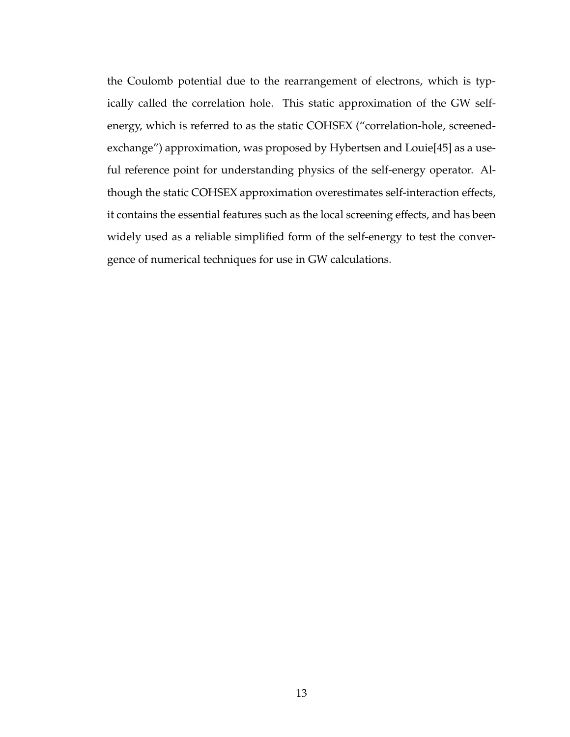the Coulomb potential due to the rearrangement of electrons, which is typically called the correlation hole. This static approximation of the GW selfenergy, which is referred to as the static COHSEX ("correlation-hole, screenedexchange") approximation, was proposed by Hybertsen and Louie[45] as a useful reference point for understanding physics of the self-energy operator. Although the static COHSEX approximation overestimates self-interaction effects, it contains the essential features such as the local screening effects, and has been widely used as a reliable simplified form of the self-energy to test the convergence of numerical techniques for use in GW calculations.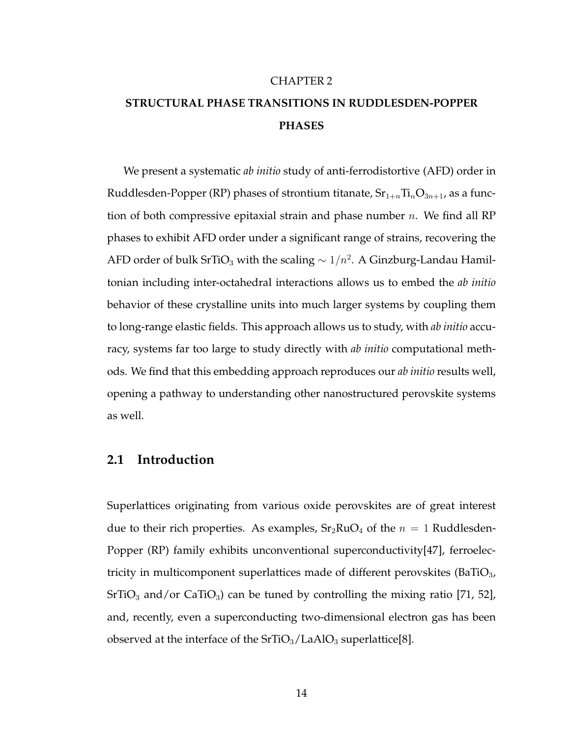#### CHAPTER 2

## **STRUCTURAL PHASE TRANSITIONS IN RUDDLESDEN-POPPER PHASES**

We present a systematic *ab initio* study of anti-ferrodistortive (AFD) order in Ruddlesden-Popper (RP) phases of strontium titanate,  $Sr_{1+n}Ti_nO_{3n+1}$ , as a function of both compressive epitaxial strain and phase number  $n$ . We find all RP phases to exhibit AFD order under a significant range of strains, recovering the AFD order of bulk SrTiO<sub>3</sub> with the scaling  $\sim 1/n^2$ . A Ginzburg-Landau Hamiltonian including inter-octahedral interactions allows us to embed the *ab initio* behavior of these crystalline units into much larger systems by coupling them to long-range elastic fields. This approach allows us to study, with *ab initio* accuracy, systems far too large to study directly with *ab initio* computational methods. We find that this embedding approach reproduces our *ab initio* results well, opening a pathway to understanding other nanostructured perovskite systems as well.

## **2.1 Introduction**

Superlattices originating from various oxide perovskites are of great interest due to their rich properties. As examples,  $Sr<sub>2</sub>RuO<sub>4</sub>$  of the  $n = 1$  Ruddlesden-Popper (RP) family exhibits unconventional superconductivity[47], ferroelectricity in multicomponent superlattices made of different perovskites (BaTiO<sub>3</sub>,  $SrTiO<sub>3</sub>$  and/or CaTiO<sub>3</sub>) can be tuned by controlling the mixing ratio [71, 52], and, recently, even a superconducting two-dimensional electron gas has been observed at the interface of the  $SrTiO<sub>3</sub>/LaAlO<sub>3</sub> superlattice[8]$ .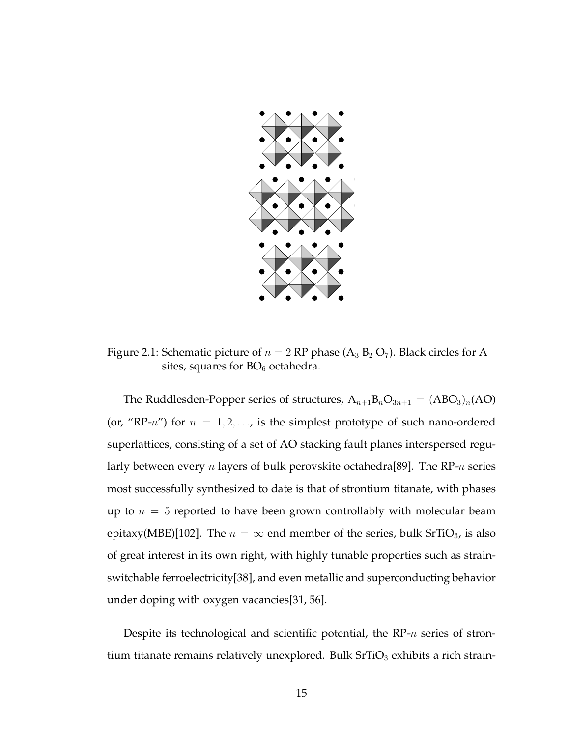

Figure 2.1: Schematic picture of  $n = 2$  RP phase (A<sub>3</sub> B<sub>2</sub> O<sub>7</sub>). Black circles for A sites, squares for  $BO_6$  octahedra.

The Ruddlesden-Popper series of structures,  $A_{n+1}B_nO_{3n+1} = (ABO_3)_n(AO)$ (or, "RP- $n$ ") for  $n = 1, 2, \ldots$ , is the simplest prototype of such nano-ordered superlattices, consisting of a set of AO stacking fault planes interspersed regularly between every *n* layers of bulk perovskite octahedra<sup>[89]</sup>. The RP-*n* series most successfully synthesized to date is that of strontium titanate, with phases up to  $n = 5$  reported to have been grown controllably with molecular beam epitaxy(MBE)[102]. The  $n = \infty$  end member of the series, bulk SrTiO<sub>3</sub>, is also of great interest in its own right, with highly tunable properties such as strainswitchable ferroelectricity[38], and even metallic and superconducting behavior under doping with oxygen vacancies[31, 56].

Despite its technological and scientific potential, the  $RP-n$  series of strontium titanate remains relatively unexplored. Bulk  $SrTiO<sub>3</sub>$  exhibits a rich strain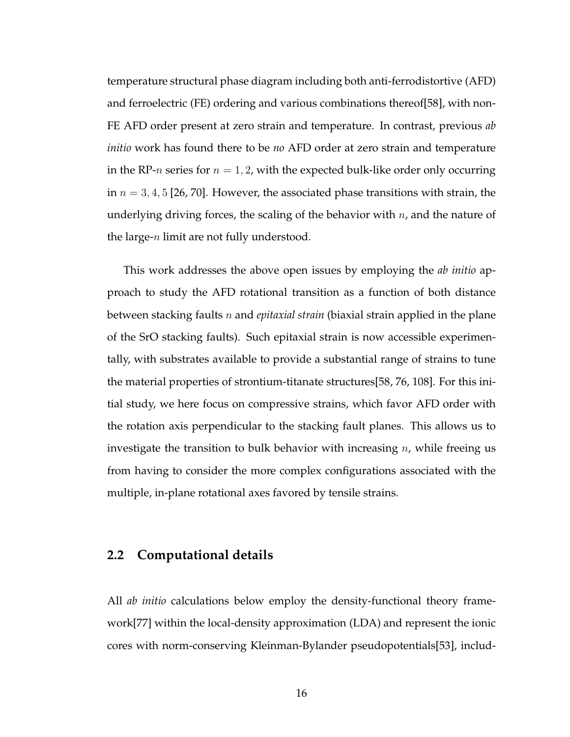temperature structural phase diagram including both anti-ferrodistortive (AFD) and ferroelectric (FE) ordering and various combinations thereof[58], with non-FE AFD order present at zero strain and temperature. In contrast, previous *ab initio* work has found there to be *no* AFD order at zero strain and temperature in the RP-*n* series for  $n = 1, 2$ , with the expected bulk-like order only occurring in  $n = 3, 4, 5$  [26, 70]. However, the associated phase transitions with strain, the underlying driving forces, the scaling of the behavior with  $n$ , and the nature of the large- $n$  limit are not fully understood.

This work addresses the above open issues by employing the *ab initio* approach to study the AFD rotational transition as a function of both distance between stacking faults n and *epitaxial strain* (biaxial strain applied in the plane of the SrO stacking faults). Such epitaxial strain is now accessible experimentally, with substrates available to provide a substantial range of strains to tune the material properties of strontium-titanate structures[58, 76, 108]. For this initial study, we here focus on compressive strains, which favor AFD order with the rotation axis perpendicular to the stacking fault planes. This allows us to investigate the transition to bulk behavior with increasing  $n$ , while freeing us from having to consider the more complex configurations associated with the multiple, in-plane rotational axes favored by tensile strains.

## **2.2 Computational details**

All *ab initio* calculations below employ the density-functional theory framework[77] within the local-density approximation (LDA) and represent the ionic cores with norm-conserving Kleinman-Bylander pseudopotentials[53], includ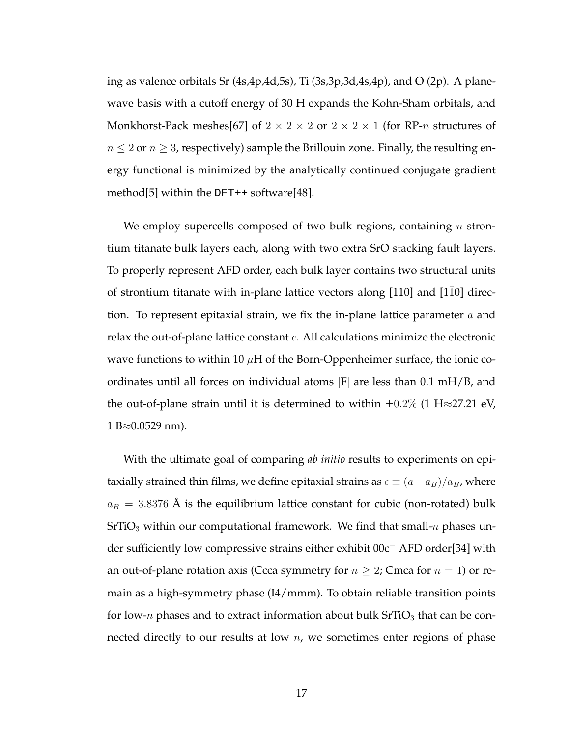ing as valence orbitals Sr (4s,4p,4d,5s), Ti (3s,3p,3d,4s,4p), and O (2p). A planewave basis with a cutoff energy of 30 H expands the Kohn-Sham orbitals, and Monkhorst-Pack meshes[67] of  $2 \times 2 \times 2$  or  $2 \times 2 \times 1$  (for RP-*n* structures of  $n \leq 2$  or  $n \geq 3$ , respectively) sample the Brillouin zone. Finally, the resulting energy functional is minimized by the analytically continued conjugate gradient method<sup>[5]</sup> within the  $DFT++$  software<sup>[48]</sup>.

We employ supercells composed of two bulk regions, containing  $n$  strontium titanate bulk layers each, along with two extra SrO stacking fault layers. To properly represent AFD order, each bulk layer contains two structural units of strontium titanate with in-plane lattice vectors along [110] and [1¯10] direction. To represent epitaxial strain, we fix the in-plane lattice parameter  $a$  and relax the out-of-plane lattice constant  $c$ . All calculations minimize the electronic wave functions to within 10  $\mu$ H of the Born-Oppenheimer surface, the ionic coordinates until all forces on individual atoms |F| are less than 0.1 mH/B, and the out-of-plane strain until it is determined to within  $\pm 0.2\%$  (1 H $\approx$ 27.21 eV,  $1 B \approx 0.0529$  nm).

With the ultimate goal of comparing *ab initio* results to experiments on epitaxially strained thin films, we define epitaxial strains as  $\epsilon \equiv (a-a_B)/a_B$ , where  $a_B = 3.8376$  Å is the equilibrium lattice constant for cubic (non-rotated) bulk  $SrTiO<sub>3</sub>$  within our computational framework. We find that small- $n$  phases under sufficiently low compressive strains either exhibit 00c<sup>−</sup> AFD order[34] with an out-of-plane rotation axis (Ccca symmetry for  $n \geq 2$ ; Cmca for  $n = 1$ ) or remain as a high-symmetry phase (I4/mmm). To obtain reliable transition points for low-*n* phases and to extract information about bulk  $SrTiO<sub>3</sub>$  that can be connected directly to our results at low  $n$ , we sometimes enter regions of phase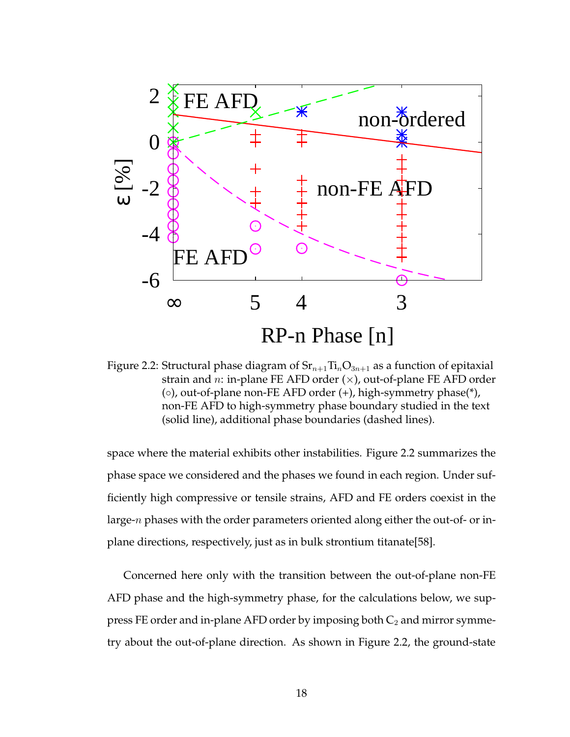

Figure 2.2: Structural phase diagram of  $Sr_{n+1}Ti_nO_{3n+1}$  as a function of epitaxial strain and *n*: in-plane FE AFD order  $(x)$ , out-of-plane FE AFD order (◦), out-of-plane non-FE AFD order (+), high-symmetry phase(\*), non-FE AFD to high-symmetry phase boundary studied in the text (solid line), additional phase boundaries (dashed lines).

space where the material exhibits other instabilities. Figure 2.2 summarizes the phase space we considered and the phases we found in each region. Under sufficiently high compressive or tensile strains, AFD and FE orders coexist in the large-n phases with the order parameters oriented along either the out-of- or inplane directions, respectively, just as in bulk strontium titanate[58].

Concerned here only with the transition between the out-of-plane non-FE AFD phase and the high-symmetry phase, for the calculations below, we suppress FE order and in-plane AFD order by imposing both  $C_2$  and mirror symmetry about the out-of-plane direction. As shown in Figure 2.2, the ground-state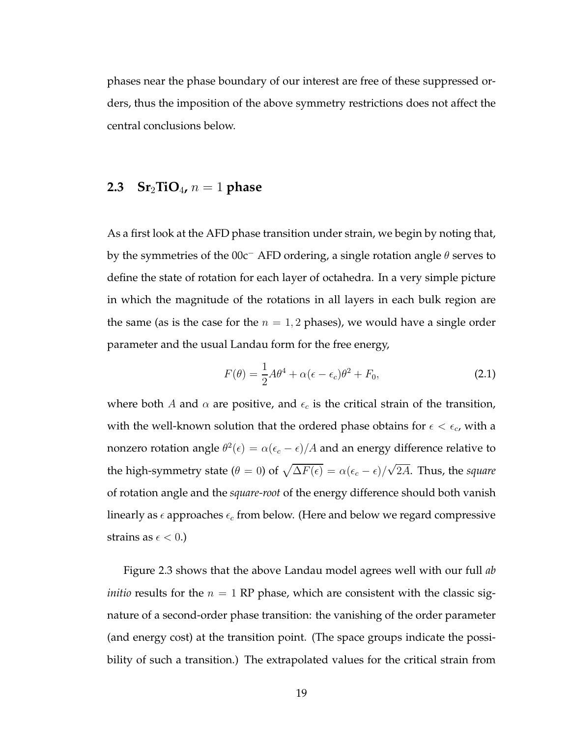phases near the phase boundary of our interest are free of these suppressed orders, thus the imposition of the above symmetry restrictions does not affect the central conclusions below.

## **2.3** Sr<sub>2</sub>**TiO**<sub>4</sub>,  $n = 1$  **phase**

As a first look at the AFD phase transition under strain, we begin by noting that, by the symmetries of the 00c<sup>−</sup> AFD ordering, a single rotation angle  $\theta$  serves to define the state of rotation for each layer of octahedra. In a very simple picture in which the magnitude of the rotations in all layers in each bulk region are the same (as is the case for the  $n = 1, 2$  phases), we would have a single order parameter and the usual Landau form for the free energy,

$$
F(\theta) = \frac{1}{2}A\theta^4 + \alpha(\epsilon - \epsilon_c)\theta^2 + F_0,
$$
\n(2.1)

where both A and  $\alpha$  are positive, and  $\epsilon_c$  is the critical strain of the transition, with the well-known solution that the ordered phase obtains for  $\epsilon < \epsilon_c$ , with a nonzero rotation angle  $\theta^2(\epsilon) = \alpha(\epsilon_c - \epsilon)/A$  and an energy difference relative to the high-symmetry state ( $\theta = 0$ ) of  $\sqrt{\Delta F(\epsilon)} = \alpha(\epsilon_c - \epsilon)/\sqrt{2A}$ . Thus, the *square* of rotation angle and the *square-root* of the energy difference should both vanish linearly as  $\epsilon$  approaches  $\epsilon_c$  from below. (Here and below we regard compressive strains as  $\epsilon < 0$ .)

Figure 2.3 shows that the above Landau model agrees well with our full *ab initio* results for the  $n = 1$  RP phase, which are consistent with the classic signature of a second-order phase transition: the vanishing of the order parameter (and energy cost) at the transition point. (The space groups indicate the possibility of such a transition.) The extrapolated values for the critical strain from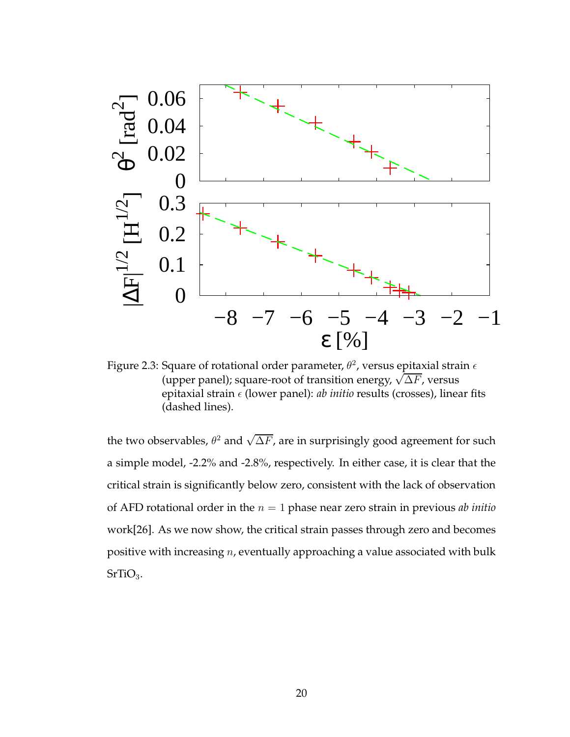

Figure 2.3: Square of rotational order parameter,  $\theta^2$ , versus epitaxial strain  $\epsilon$ (upper panel); square-root of transition energy,  $\sqrt{\Delta F}$ , versus epitaxial strain  $\epsilon$  (lower panel): *ab initio* results (crosses), linear fits (dashed lines).

the two observables,  $\theta^2$  and  $\sqrt{\Delta F}$ , are in surprisingly good agreement for such a simple model, -2.2% and -2.8%, respectively. In either case, it is clear that the critical strain is significantly below zero, consistent with the lack of observation of AFD rotational order in the  $n = 1$  phase near zero strain in previous *ab initio* work[26]. As we now show, the critical strain passes through zero and becomes positive with increasing n, eventually approaching a value associated with bulk  $SrTiO<sub>3</sub>$ .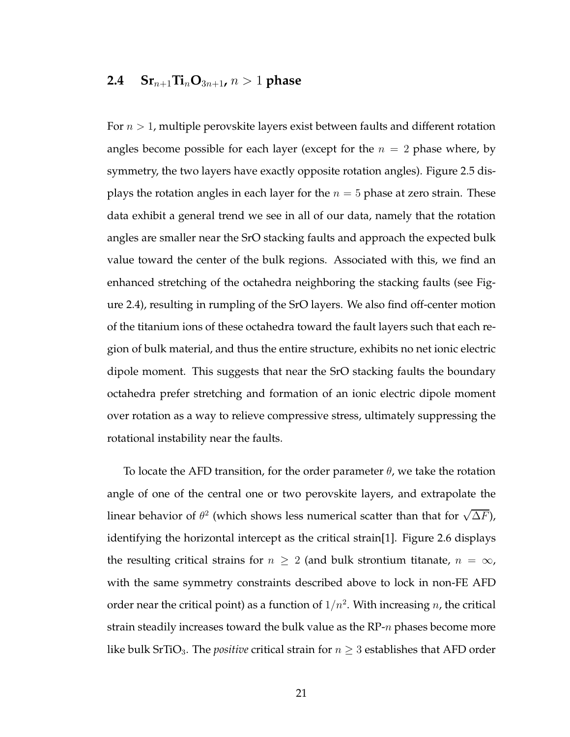## **2.4**  $\mathbf{Sr}_{n+1}\mathbf{Ti}_{n}\mathbf{O}_{3n+1}$ ,  $n > 1$  **phase**

For  $n > 1$ , multiple perovskite layers exist between faults and different rotation angles become possible for each layer (except for the  $n = 2$  phase where, by symmetry, the two layers have exactly opposite rotation angles). Figure 2.5 displays the rotation angles in each layer for the  $n = 5$  phase at zero strain. These data exhibit a general trend we see in all of our data, namely that the rotation angles are smaller near the SrO stacking faults and approach the expected bulk value toward the center of the bulk regions. Associated with this, we find an enhanced stretching of the octahedra neighboring the stacking faults (see Figure 2.4), resulting in rumpling of the SrO layers. We also find off-center motion of the titanium ions of these octahedra toward the fault layers such that each region of bulk material, and thus the entire structure, exhibits no net ionic electric dipole moment. This suggests that near the SrO stacking faults the boundary octahedra prefer stretching and formation of an ionic electric dipole moment over rotation as a way to relieve compressive stress, ultimately suppressing the rotational instability near the faults.

To locate the AFD transition, for the order parameter  $\theta$ , we take the rotation angle of one of the central one or two perovskite layers, and extrapolate the linear behavior of  $\theta^2$  (which shows less numerical scatter than that for  $\sqrt{\Delta F})$ , identifying the horizontal intercept as the critical strain[1]. Figure 2.6 displays the resulting critical strains for  $n \geq 2$  (and bulk strontium titanate,  $n = \infty$ , with the same symmetry constraints described above to lock in non-FE AFD order near the critical point) as a function of  $1/n^2$ . With increasing  $n$ , the critical strain steadily increases toward the bulk value as the  $RP-n$  phases become more like bulk SrTiO<sub>3</sub>. The *positive* critical strain for  $n \geq 3$  establishes that AFD order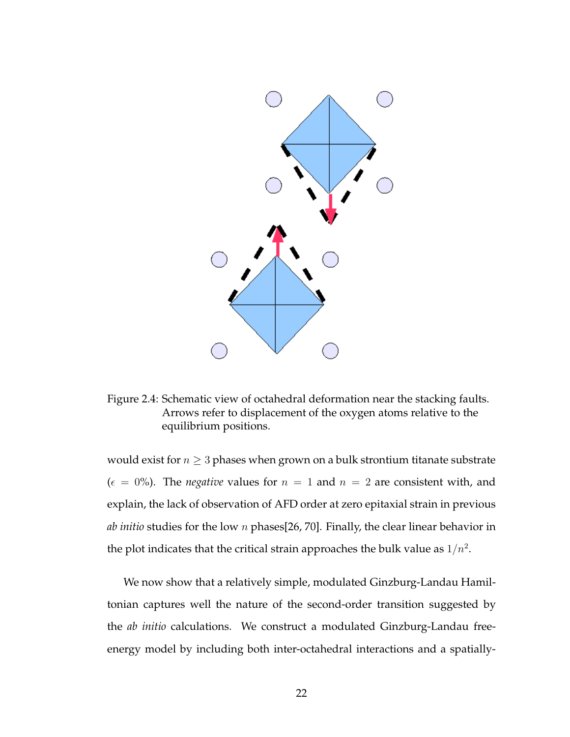

Figure 2.4: Schematic view of octahedral deformation near the stacking faults. Arrows refer to displacement of the oxygen atoms relative to the equilibrium positions.

would exist for  $n \geq 3$  phases when grown on a bulk strontium titanate substrate  $(\epsilon = 0\%)$ . The *negative* values for  $n = 1$  and  $n = 2$  are consistent with, and explain, the lack of observation of AFD order at zero epitaxial strain in previous *ab initio* studies for the low n phases[26, 70]. Finally, the clear linear behavior in the plot indicates that the critical strain approaches the bulk value as  $1/n^2$ .

We now show that a relatively simple, modulated Ginzburg-Landau Hamiltonian captures well the nature of the second-order transition suggested by the *ab initio* calculations. We construct a modulated Ginzburg-Landau freeenergy model by including both inter-octahedral interactions and a spatially-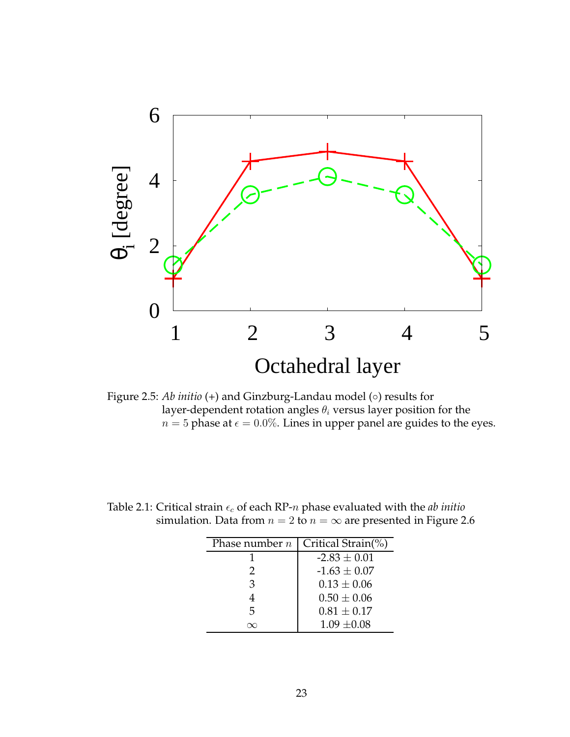

Figure 2.5: *Ab initio* (+) and Ginzburg-Landau model (◦) results for layer-dependent rotation angles  $\theta_i$  versus layer position for the  $n = 5$  phase at  $\epsilon = 0.0\%$ . Lines in upper panel are guides to the eyes.

| Phase number $n$ | Critical Strain(%) |
|------------------|--------------------|
|                  | $-2.83 \pm 0.01$   |
| $\mathcal{P}$    | $-1.63 \pm 0.07$   |
| 3                | $0.13 \pm 0.06$    |
| 4                | $0.50 \pm 0.06$    |
| 5                | $0.81 \pm 0.17$    |
|                  | $1.09 \pm 0.08$    |

Table 2.1: Critical strain  $\epsilon_c$  of each RP-n phase evaluated with the *ab initio* simulation. Data from  $n = 2$  to  $n = \infty$  are presented in Figure 2.6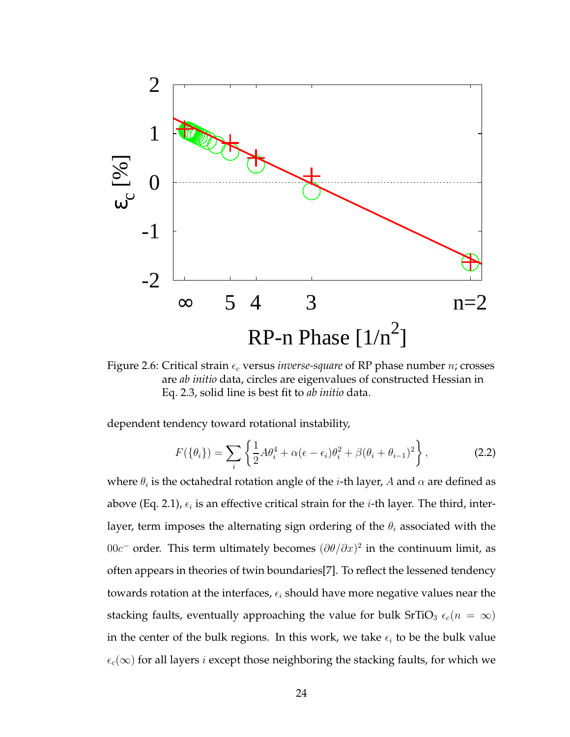

Figure 2.6: Critical strain  $\epsilon_c$  versus *inverse-square* of RP phase number *n*; crosses are *ab initio* data, circles are eigenvalues of constructed Hessian in Eq. 2.3, solid line is best fit to *ab initio* data.

dependent tendency toward rotational instability,

$$
F(\{\theta_i\}) = \sum_i \left\{ \frac{1}{2} A \theta_i^4 + \alpha (\epsilon - \epsilon_i) \theta_i^2 + \beta (\theta_i + \theta_{i-1})^2 \right\},\tag{2.2}
$$

where  $\theta_i$  is the octahedral rotation angle of the  $i$ -th layer,  $A$  and  $\alpha$  are defined as above (Eq. 2.1),  $\epsilon_i$  is an effective critical strain for the *i*-th layer. The third, interlayer, term imposes the alternating sign ordering of the  $\theta_i$  associated with the 00 $c$ <sup>-</sup> order. This term ultimately becomes  $(\partial θ / \partial x)^2$  in the continuum limit, as often appears in theories of twin boundaries[7]. To reflect the lessened tendency towards rotation at the interfaces,  $\epsilon_i$  should have more negative values near the stacking faults, eventually approaching the value for bulk SrTiO<sub>3</sub>  $\epsilon_c(n = \infty)$ in the center of the bulk regions. In this work, we take  $\epsilon_i$  to be the bulk value  $\epsilon_c(\infty)$  for all layers *i* except those neighboring the stacking faults, for which we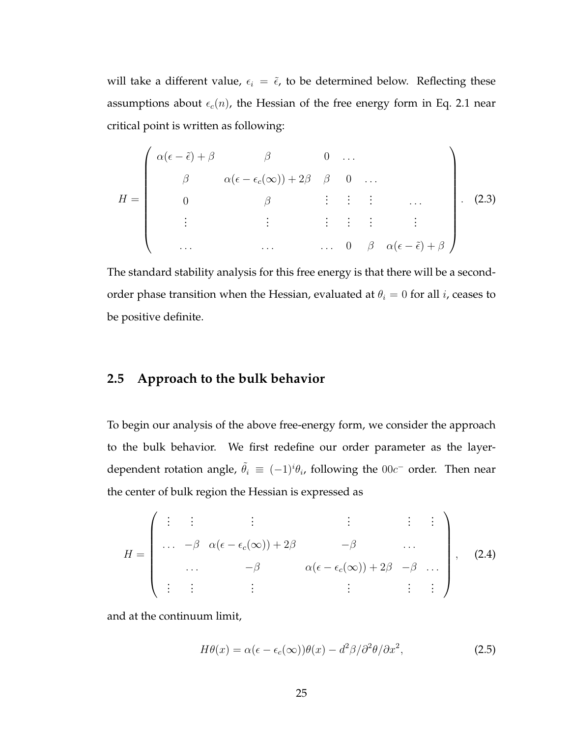will take a different value,  $\epsilon_i = \tilde{\epsilon}$ , to be determined below. Reflecting these assumptions about  $\epsilon_c(n)$ , the Hessian of the free energy form in Eq. 2.1 near critical point is written as following:

$$
H = \begin{pmatrix} \alpha(\epsilon - \tilde{\epsilon}) + \beta & \beta & 0 & \dots \\ \beta & \alpha(\epsilon - \epsilon_c(\infty)) + 2\beta & \beta & 0 & \dots \\ 0 & \beta & \vdots & \vdots & \vdots & \dots \\ \vdots & \vdots & \vdots & \vdots & \vdots & \vdots \\ \dots & \dots & \dots & 0 & \beta & \alpha(\epsilon - \tilde{\epsilon}) + \beta \end{pmatrix} .
$$
 (2.3)

The standard stability analysis for this free energy is that there will be a secondorder phase transition when the Hessian, evaluated at  $\theta_i = 0$  for all *i*, ceases to be positive definite.

## **2.5 Approach to the bulk behavior**

To begin our analysis of the above free-energy form, we consider the approach to the bulk behavior. We first redefine our order parameter as the layerdependent rotation angle,  $\tilde{\theta}_i \equiv (-1)^i \theta_i$ , following the  $00c^-$  order. Then near the center of bulk region the Hessian is expressed as

$$
H = \begin{pmatrix} \vdots & \vdots & \vdots & \vdots & \vdots & \vdots \\ \cdots & -\beta & \alpha(\epsilon - \epsilon_c(\infty)) + 2\beta & -\beta & \cdots \\ \cdots & -\beta & \alpha(\epsilon - \epsilon_c(\infty)) + 2\beta & -\beta & \cdots \\ \vdots & \vdots & \vdots & \vdots & \vdots \end{pmatrix}, \quad (2.4)
$$

and at the continuum limit,

$$
H\theta(x) = \alpha(\epsilon - \epsilon_c(\infty))\theta(x) - d^2\beta/\partial^2\theta/\partial x^2,
$$
\n(2.5)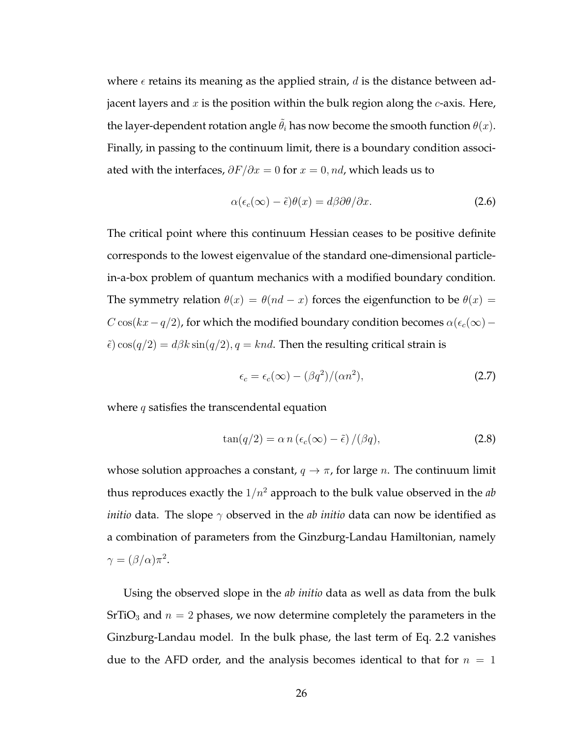where  $\epsilon$  retains its meaning as the applied strain, d is the distance between adjacent layers and  $x$  is the position within the bulk region along the  $c$ -axis. Here, the layer-dependent rotation angle  $\tilde{\theta}_i$  has now become the smooth function  $\theta(x)$ . Finally, in passing to the continuum limit, there is a boundary condition associated with the interfaces,  $\partial F/\partial x = 0$  for  $x = 0$ , nd, which leads us to

$$
\alpha(\epsilon_c(\infty) - \tilde{\epsilon})\theta(x) = d\beta \partial \theta/\partial x.
$$
 (2.6)

The critical point where this continuum Hessian ceases to be positive definite corresponds to the lowest eigenvalue of the standard one-dimensional particlein-a-box problem of quantum mechanics with a modified boundary condition. The symmetry relation  $\theta(x) = \theta(nd - x)$  forces the eigenfunction to be  $\theta(x) =$  $C \cos(kx-q/2)$ , for which the modified boundary condition becomes  $\alpha(\epsilon_c(\infty)-\frac{1}{2})$  $\tilde{\epsilon}$ ) cos( $q/2$ ) =  $d\beta k \sin(q/2)$ ,  $q = knd$ . Then the resulting critical strain is

$$
\epsilon_c = \epsilon_c(\infty) - (\beta q^2) / (\alpha n^2),\tag{2.7}
$$

where  $q$  satisfies the transcendental equation

$$
\tan(q/2) = \alpha n \left(\epsilon_c(\infty) - \tilde{\epsilon}\right) / (\beta q),\tag{2.8}
$$

whose solution approaches a constant,  $q \to \pi$ , for large *n*. The continuum limit thus reproduces exactly the  $1/n^2$  approach to the bulk value observed in the  $ab$ *initio* data. The slope γ observed in the *ab initio* data can now be identified as a combination of parameters from the Ginzburg-Landau Hamiltonian, namely  $\gamma = (\beta/\alpha)\pi^2$ .

Using the observed slope in the *ab initio* data as well as data from the bulk  $SrTiO<sub>3</sub>$  and  $n = 2$  phases, we now determine completely the parameters in the Ginzburg-Landau model. In the bulk phase, the last term of Eq. 2.2 vanishes due to the AFD order, and the analysis becomes identical to that for  $n = 1$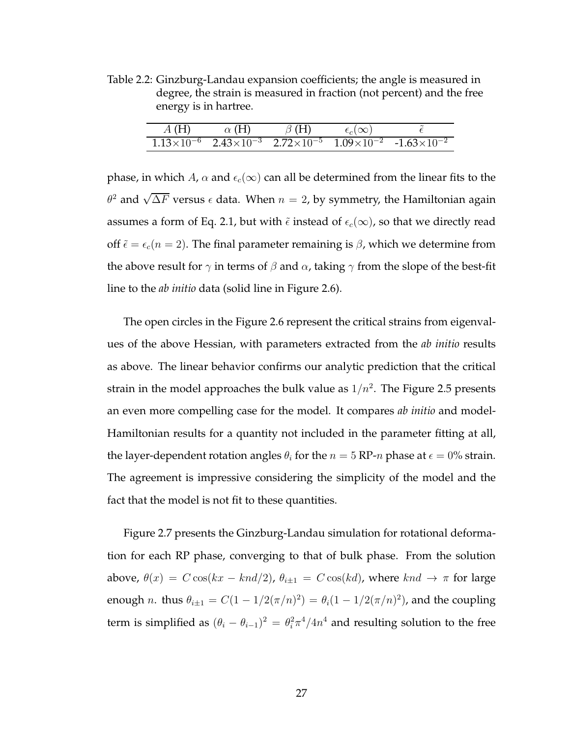Table 2.2: Ginzburg-Landau expansion coefficients; the angle is measured in degree, the strain is measured in fraction (not percent) and the free energy is in hartree.

| A(H) | $\alpha$ (H) | $\beta$ (H) | $\epsilon_c(\infty)$ |                                                                                                                                           |
|------|--------------|-------------|----------------------|-------------------------------------------------------------------------------------------------------------------------------------------|
|      |              |             |                      | $\frac{1.13\times10^{-6}}{2.43\times10^{-3}}$ $\frac{2.72\times10^{-5}}{2.72\times10^{-5}}$ $\frac{1.09\times10^{-2}}{2.43\times10^{-2}}$ |

phase, in which A,  $\alpha$  and  $\epsilon_c(\infty)$  can all be determined from the linear fits to the  $\theta^2$  and  $\sqrt{\Delta F}$  versus  $\epsilon$  data. When  $n=2$ , by symmetry, the Hamiltonian again assumes a form of Eq. 2.1, but with  $\tilde{\epsilon}$  instead of  $\epsilon_c(\infty)$ , so that we directly read off  $\tilde{\epsilon} = \epsilon_c(n = 2)$ . The final parameter remaining is  $\beta$ , which we determine from the above result for  $\gamma$  in terms of  $\beta$  and  $\alpha$ , taking  $\gamma$  from the slope of the best-fit line to the *ab initio* data (solid line in Figure 2.6).

The open circles in the Figure 2.6 represent the critical strains from eigenvalues of the above Hessian, with parameters extracted from the *ab initio* results as above. The linear behavior confirms our analytic prediction that the critical strain in the model approaches the bulk value as  $1/n^2$ . The Figure 2.5 presents an even more compelling case for the model. It compares *ab initio* and model-Hamiltonian results for a quantity not included in the parameter fitting at all, the layer-dependent rotation angles  $\theta_i$  for the  $n = 5$  RP-n phase at  $\epsilon = 0\%$  strain. The agreement is impressive considering the simplicity of the model and the fact that the model is not fit to these quantities.

Figure 2.7 presents the Ginzburg-Landau simulation for rotational deformation for each RP phase, converging to that of bulk phase. From the solution above,  $\theta(x) = C \cos(kx - knd/2)$ ,  $\theta_{i\pm 1} = C \cos(kd)$ , where  $knd \rightarrow \pi$  for large enough *n*. thus  $\theta_{i\pm 1} = C(1 - 1/2(\pi/n)^2) = \theta_i(1 - 1/2(\pi/n)^2)$ , and the coupling term is simplified as  $(\theta_i - \theta_{i-1})^2 = \theta_i^2 \pi^4 / 4n^4$  and resulting solution to the free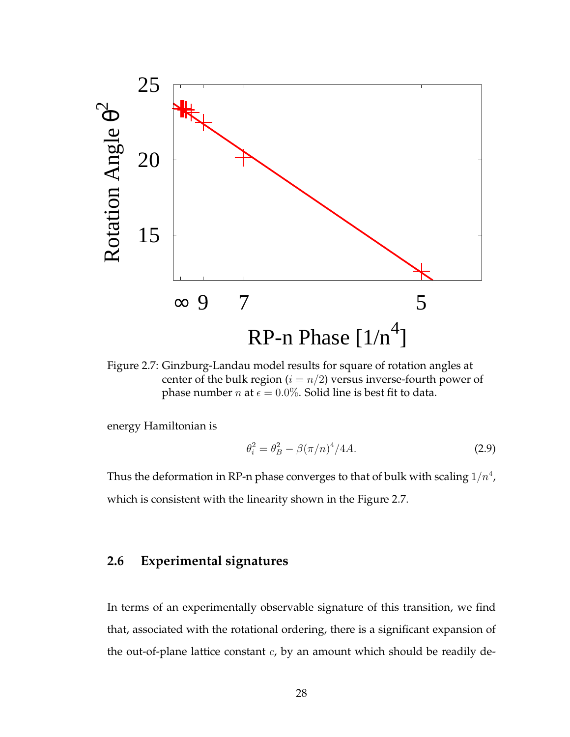

Figure 2.7: Ginzburg-Landau model results for square of rotation angles at center of the bulk region ( $i = n/2$ ) versus inverse-fourth power of phase number *n* at  $\epsilon = 0.0\%$ . Solid line is best fit to data.

energy Hamiltonian is

$$
\theta_i^2 = \theta_B^2 - \beta(\pi/n)^4 / 4A.
$$
 (2.9)

Thus the deformation in RP-n phase converges to that of bulk with scaling  $1/n^4$ , which is consistent with the linearity shown in the Figure 2.7.

## **2.6 Experimental signatures**

In terms of an experimentally observable signature of this transition, we find that, associated with the rotational ordering, there is a significant expansion of the out-of-plane lattice constant  $c$ , by an amount which should be readily de-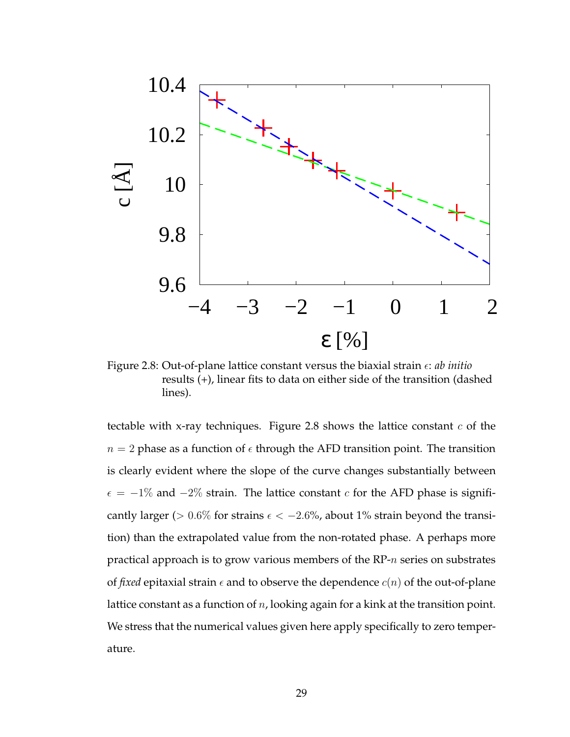

Figure 2.8: Out-of-plane lattice constant versus the biaxial strain  $\epsilon$ : *ab initio* results (+), linear fits to data on either side of the transition (dashed lines).

tectable with x-ray techniques. Figure 2.8 shows the lattice constant  $c$  of the  $n = 2$  phase as a function of  $\epsilon$  through the AFD transition point. The transition is clearly evident where the slope of the curve changes substantially between  $\epsilon = -1\%$  and  $-2\%$  strain. The lattice constant c for the AFD phase is significantly larger ( $> 0.6\%$  for strains  $\epsilon < -2.6\%$ , about 1% strain beyond the transition) than the extrapolated value from the non-rotated phase. A perhaps more practical approach is to grow various members of the RP-n series on substrates of *fixed* epitaxial strain  $\epsilon$  and to observe the dependence  $c(n)$  of the out-of-plane lattice constant as a function of  $n$ , looking again for a kink at the transition point. We stress that the numerical values given here apply specifically to zero temperature.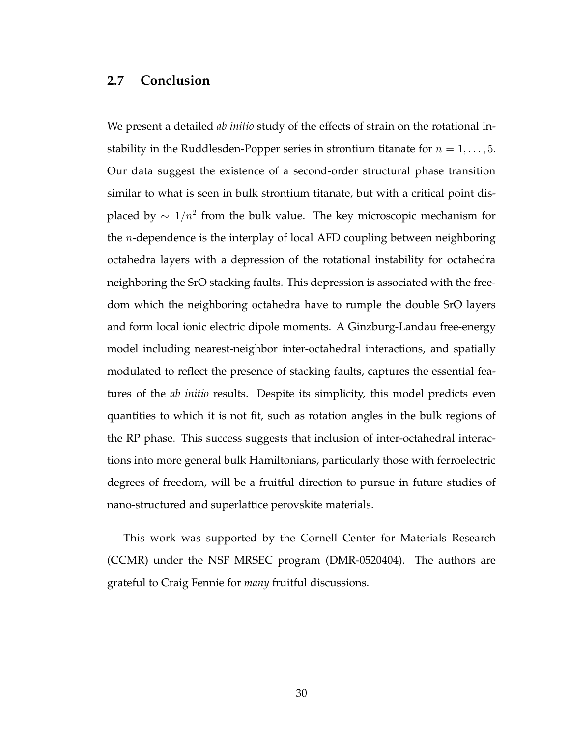#### **2.7 Conclusion**

We present a detailed *ab initio* study of the effects of strain on the rotational instability in the Ruddlesden-Popper series in strontium titanate for  $n = 1, \ldots, 5$ . Our data suggest the existence of a second-order structural phase transition similar to what is seen in bulk strontium titanate, but with a critical point displaced by  $\sim 1/n^2$  from the bulk value. The key microscopic mechanism for the *n*-dependence is the interplay of local AFD coupling between neighboring octahedra layers with a depression of the rotational instability for octahedra neighboring the SrO stacking faults. This depression is associated with the freedom which the neighboring octahedra have to rumple the double SrO layers and form local ionic electric dipole moments. A Ginzburg-Landau free-energy model including nearest-neighbor inter-octahedral interactions, and spatially modulated to reflect the presence of stacking faults, captures the essential features of the *ab initio* results. Despite its simplicity, this model predicts even quantities to which it is not fit, such as rotation angles in the bulk regions of the RP phase. This success suggests that inclusion of inter-octahedral interactions into more general bulk Hamiltonians, particularly those with ferroelectric degrees of freedom, will be a fruitful direction to pursue in future studies of nano-structured and superlattice perovskite materials.

This work was supported by the Cornell Center for Materials Research (CCMR) under the NSF MRSEC program (DMR-0520404). The authors are grateful to Craig Fennie for *many* fruitful discussions.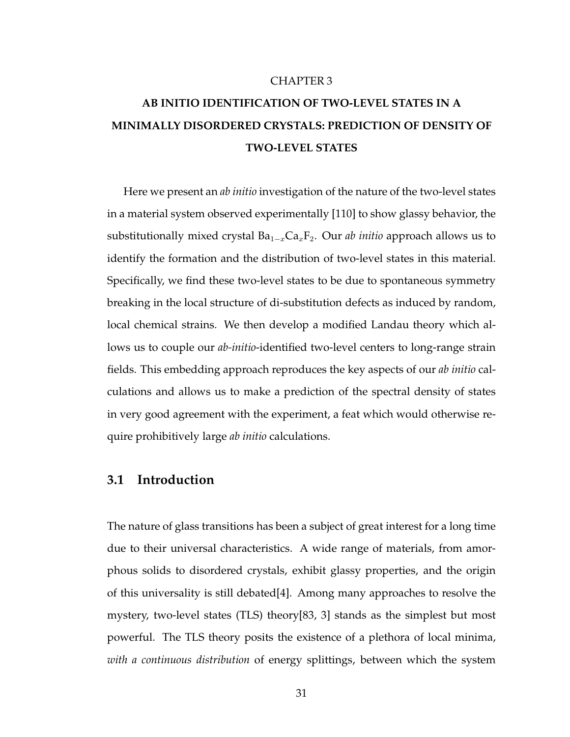#### CHAPTER 3

# **AB INITIO IDENTIFICATION OF TWO-LEVEL STATES IN A MINIMALLY DISORDERED CRYSTALS: PREDICTION OF DENSITY OF TWO-LEVEL STATES**

Here we present an *ab initio* investigation of the nature of the two-level states in a material system observed experimentally [110] to show glassy behavior, the substitutionally mixed crystal  $Ba_{1-x}Ca_xF_2$ . Our *ab initio* approach allows us to identify the formation and the distribution of two-level states in this material. Specifically, we find these two-level states to be due to spontaneous symmetry breaking in the local structure of di-substitution defects as induced by random, local chemical strains. We then develop a modified Landau theory which allows us to couple our *ab-initio*-identified two-level centers to long-range strain fields. This embedding approach reproduces the key aspects of our *ab initio* calculations and allows us to make a prediction of the spectral density of states in very good agreement with the experiment, a feat which would otherwise require prohibitively large *ab initio* calculations.

#### **3.1 Introduction**

The nature of glass transitions has been a subject of great interest for a long time due to their universal characteristics. A wide range of materials, from amorphous solids to disordered crystals, exhibit glassy properties, and the origin of this universality is still debated[4]. Among many approaches to resolve the mystery, two-level states (TLS) theory[83, 3] stands as the simplest but most powerful. The TLS theory posits the existence of a plethora of local minima, *with a continuous distribution* of energy splittings, between which the system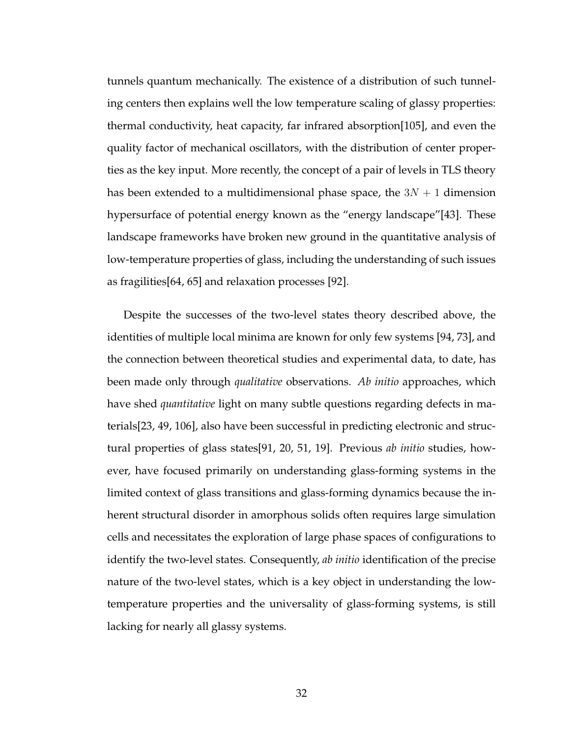tunnels quantum mechanically. The existence of a distribution of such tunneling centers then explains well the low temperature scaling of glassy properties: thermal conductivity, heat capacity, far infrared absorption[105], and even the quality factor of mechanical oscillators, with the distribution of center properties as the key input. More recently, the concept of a pair of levels in TLS theory has been extended to a multidimensional phase space, the  $3N + 1$  dimension hypersurface of potential energy known as the "energy landscape"[43]. These landscape frameworks have broken new ground in the quantitative analysis of low-temperature properties of glass, including the understanding of such issues as fragilities[64, 65] and relaxation processes [92].

Despite the successes of the two-level states theory described above, the identities of multiple local minima are known for only few systems [94, 73], and the connection between theoretical studies and experimental data, to date, has been made only through *qualitative* observations. *Ab initio* approaches, which have shed *quantitative* light on many subtle questions regarding defects in materials[23, 49, 106], also have been successful in predicting electronic and structural properties of glass states[91, 20, 51, 19]. Previous *ab initio* studies, however, have focused primarily on understanding glass-forming systems in the limited context of glass transitions and glass-forming dynamics because the inherent structural disorder in amorphous solids often requires large simulation cells and necessitates the exploration of large phase spaces of configurations to identify the two-level states. Consequently, *ab initio* identification of the precise nature of the two-level states, which is a key object in understanding the lowtemperature properties and the universality of glass-forming systems, is still lacking for nearly all glassy systems.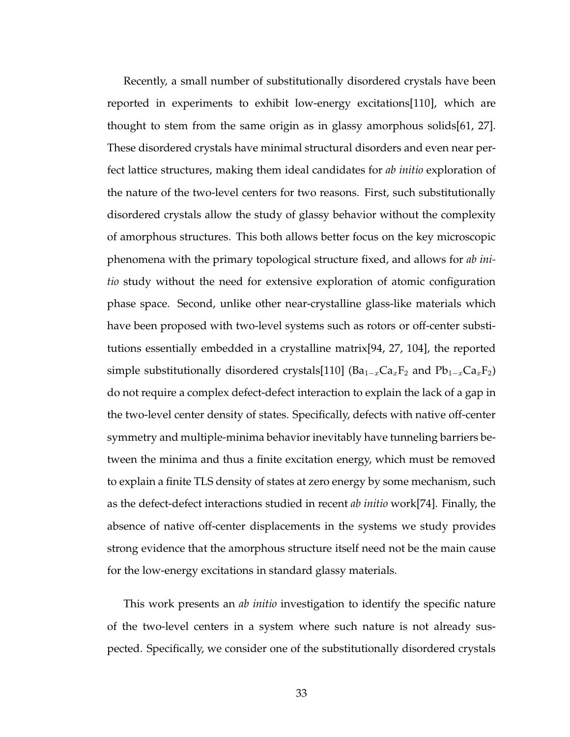Recently, a small number of substitutionally disordered crystals have been reported in experiments to exhibit low-energy excitations[110], which are thought to stem from the same origin as in glassy amorphous solids[61, 27]. These disordered crystals have minimal structural disorders and even near perfect lattice structures, making them ideal candidates for *ab initio* exploration of the nature of the two-level centers for two reasons. First, such substitutionally disordered crystals allow the study of glassy behavior without the complexity of amorphous structures. This both allows better focus on the key microscopic phenomena with the primary topological structure fixed, and allows for *ab initio* study without the need for extensive exploration of atomic configuration phase space. Second, unlike other near-crystalline glass-like materials which have been proposed with two-level systems such as rotors or off-center substitutions essentially embedded in a crystalline matrix[94, 27, 104], the reported simple substitutionally disordered crystals[110] (Ba<sub>1-x</sub>Ca<sub>x</sub>F<sub>2</sub> and Pb<sub>1-x</sub>Ca<sub>x</sub>F<sub>2</sub>) do not require a complex defect-defect interaction to explain the lack of a gap in the two-level center density of states. Specifically, defects with native off-center symmetry and multiple-minima behavior inevitably have tunneling barriers between the minima and thus a finite excitation energy, which must be removed to explain a finite TLS density of states at zero energy by some mechanism, such as the defect-defect interactions studied in recent *ab initio* work[74]. Finally, the absence of native off-center displacements in the systems we study provides strong evidence that the amorphous structure itself need not be the main cause for the low-energy excitations in standard glassy materials.

This work presents an *ab initio* investigation to identify the specific nature of the two-level centers in a system where such nature is not already suspected. Specifically, we consider one of the substitutionally disordered crystals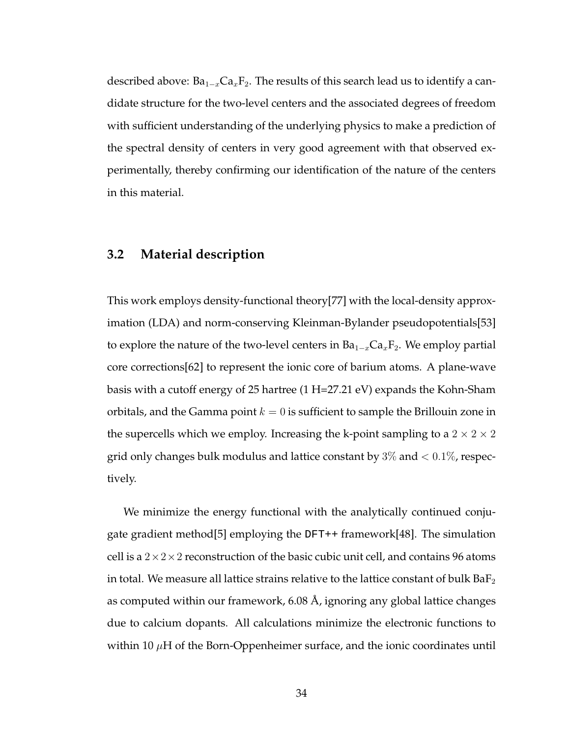described above:  $Ba_{1-x}Ca_xF_2$ . The results of this search lead us to identify a candidate structure for the two-level centers and the associated degrees of freedom with sufficient understanding of the underlying physics to make a prediction of the spectral density of centers in very good agreement with that observed experimentally, thereby confirming our identification of the nature of the centers in this material.

#### **3.2 Material description**

This work employs density-functional theory[77] with the local-density approximation (LDA) and norm-conserving Kleinman-Bylander pseudopotentials[53] to explore the nature of the two-level centers in  $Ba_{1-x}Ca_xF_2$ . We employ partial core corrections[62] to represent the ionic core of barium atoms. A plane-wave basis with a cutoff energy of 25 hartree (1 H=27.21 eV) expands the Kohn-Sham orbitals, and the Gamma point  $k = 0$  is sufficient to sample the Brillouin zone in the supercells which we employ. Increasing the k-point sampling to a  $2 \times 2 \times 2$ grid only changes bulk modulus and lattice constant by  $3\%$  and  $< 0.1\%$ , respectively.

We minimize the energy functional with the analytically continued conjugate gradient method[5] employing the DFT++ framework[48]. The simulation cell is a  $2 \times 2 \times 2$  reconstruction of the basic cubic unit cell, and contains 96 atoms in total. We measure all lattice strains relative to the lattice constant of bulk  $BaF<sub>2</sub>$ as computed within our framework, 6.08 Å, ignoring any global lattice changes due to calcium dopants. All calculations minimize the electronic functions to within 10  $\mu$ H of the Born-Oppenheimer surface, and the ionic coordinates until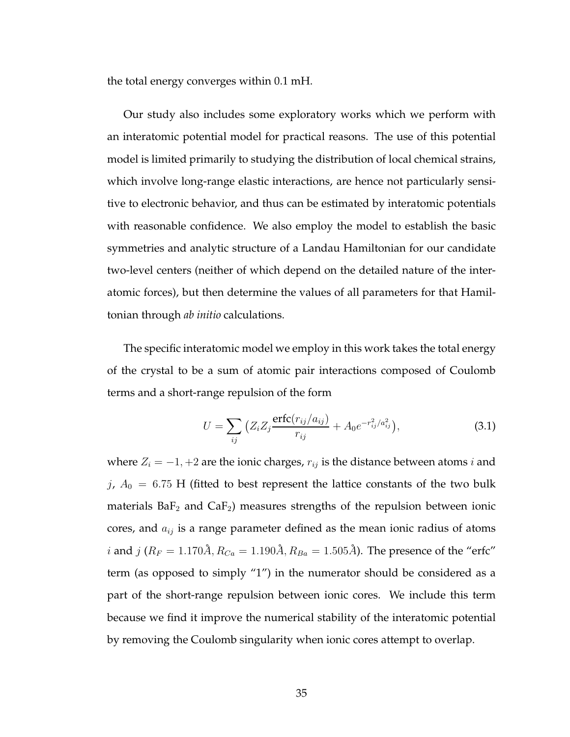the total energy converges within 0.1 mH.

Our study also includes some exploratory works which we perform with an interatomic potential model for practical reasons. The use of this potential model is limited primarily to studying the distribution of local chemical strains, which involve long-range elastic interactions, are hence not particularly sensitive to electronic behavior, and thus can be estimated by interatomic potentials with reasonable confidence. We also employ the model to establish the basic symmetries and analytic structure of a Landau Hamiltonian for our candidate two-level centers (neither of which depend on the detailed nature of the interatomic forces), but then determine the values of all parameters for that Hamiltonian through *ab initio* calculations.

The specific interatomic model we employ in this work takes the total energy of the crystal to be a sum of atomic pair interactions composed of Coulomb terms and a short-range repulsion of the form

$$
U = \sum_{ij} \left( Z_i Z_j \frac{\text{erfc}(r_{ij}/a_{ij})}{r_{ij}} + A_0 e^{-r_{ij}^2/a_{ij}^2} \right), \tag{3.1}
$$

where  $Z_i = -1, +2$  are the ionic charges,  $r_{ij}$  is the distance between atoms *i* and j,  $A_0 = 6.75$  H (fitted to best represent the lattice constants of the two bulk materials  $BaF<sub>2</sub>$  and  $CaF<sub>2</sub>$ ) measures strengths of the repulsion between ionic cores, and  $a_{ij}$  is a range parameter defined as the mean ionic radius of atoms *i* and *j* ( $R_F = 1.170\AA$ ,  $R_{Ca} = 1.190\AA$ ,  $R_{Ba} = 1.505\AA$ ). The presence of the "erfc" term (as opposed to simply "1") in the numerator should be considered as a part of the short-range repulsion between ionic cores. We include this term because we find it improve the numerical stability of the interatomic potential by removing the Coulomb singularity when ionic cores attempt to overlap.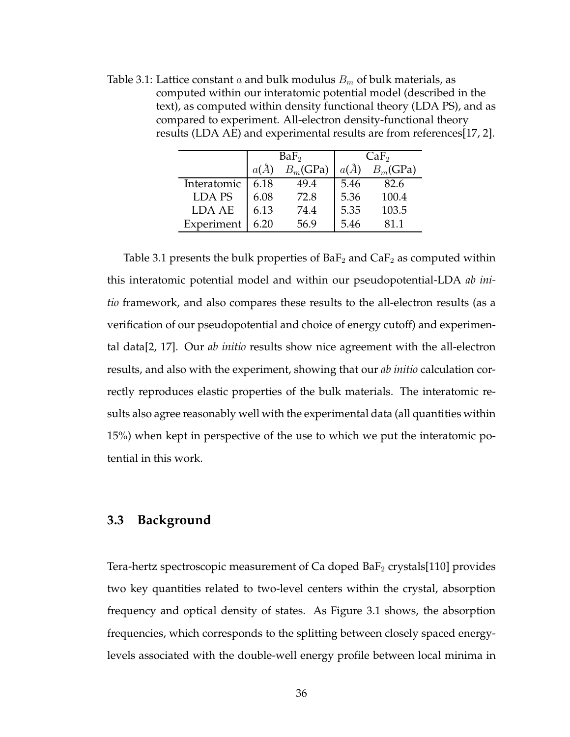Table 3.1: Lattice constant a and bulk modulus  $B<sub>m</sub>$  of bulk materials, as computed within our interatomic potential model (described in the text), as computed within density functional theory (LDA PS), and as compared to experiment. All-electron density-functional theory results (LDA AE) and experimental results are from references[17, 2].

|             | BaF <sub>2</sub> |             | CaF <sub>2</sub> |             |
|-------------|------------------|-------------|------------------|-------------|
|             | $a(\AA)$         | $B_m$ (GPa) | $a(\AA)$         | $B_m$ (GPa) |
| Interatomic | 6.18             | 49.4        | 5.46             | 82.6        |
| LDA PS      | 6.08             | 72.8        | 5.36             | 100.4       |
| LDA AE      | 6.13             | 74.4        | 5.35             | 103.5       |
| Experiment  | 6.20             | 56.9        | 5.46             | 81 1        |

Table 3.1 presents the bulk properties of Ba $F_2$  and Ca $F_2$  as computed within this interatomic potential model and within our pseudopotential-LDA *ab initio* framework, and also compares these results to the all-electron results (as a verification of our pseudopotential and choice of energy cutoff) and experimental data[2, 17]. Our *ab initio* results show nice agreement with the all-electron results, and also with the experiment, showing that our *ab initio* calculation correctly reproduces elastic properties of the bulk materials. The interatomic results also agree reasonably well with the experimental data (all quantities within 15%) when kept in perspective of the use to which we put the interatomic potential in this work.

### **3.3 Background**

Tera-hertz spectroscopic measurement of Ca doped  $BaF_2$  crystals[110] provides two key quantities related to two-level centers within the crystal, absorption frequency and optical density of states. As Figure 3.1 shows, the absorption frequencies, which corresponds to the splitting between closely spaced energylevels associated with the double-well energy profile between local minima in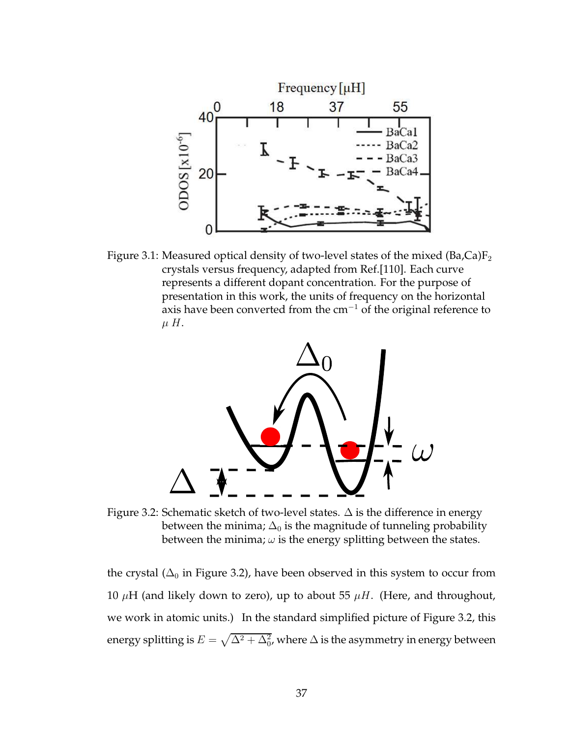

Figure 3.1: Measured optical density of two-level states of the mixed  $(Ba,Ca)F_2$ crystals versus frequency, adapted from Ref.[110]. Each curve represents a different dopant concentration. For the purpose of presentation in this work, the units of frequency on the horizontal axis have been converted from the cm<sup>−</sup><sup>1</sup> of the original reference to  $\mu$  H.



Figure 3.2: Schematic sketch of two-level states. ∆ is the difference in energy between the minima;  $\Delta_0$  is the magnitude of tunneling probability between the minima;  $\omega$  is the energy splitting between the states.

the crystal ( $\Delta_0$  in Figure 3.2), have been observed in this system to occur from 10  $\mu$ H (and likely down to zero), up to about 55  $\mu$ H. (Here, and throughout, we work in atomic units.) In the standard simplified picture of Figure 3.2, this energy splitting is  $E=\sqrt{\Delta^2+\Delta_0^2}$ , where  $\Delta$  is the asymmetry in energy between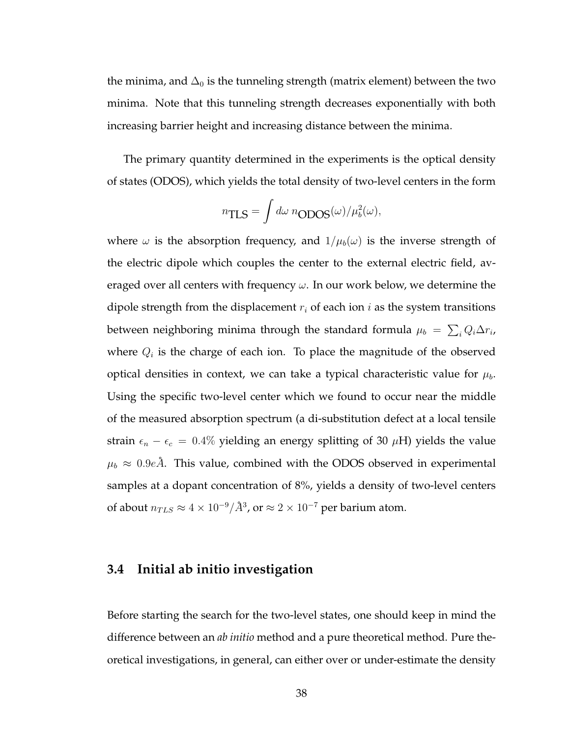the minima, and  $\Delta_0$  is the tunneling strength (matrix element) between the two minima. Note that this tunneling strength decreases exponentially with both increasing barrier height and increasing distance between the minima.

The primary quantity determined in the experiments is the optical density of states (ODOS), which yields the total density of two-level centers in the form

$$
n_{\text{TLS}} = \int d\omega \ n_{\text{ODOS}}(\omega) / \mu_b^2(\omega),
$$

where  $\omega$  is the absorption frequency, and  $1/\mu_b(\omega)$  is the inverse strength of the electric dipole which couples the center to the external electric field, averaged over all centers with frequency  $\omega$ . In our work below, we determine the dipole strength from the displacement  $r_i$  of each ion  $i$  as the system transitions between neighboring minima through the standard formula  $\mu_b\,=\,\sum_i Q_i \Delta r_i$ , where  $Q_i$  is the charge of each ion. To place the magnitude of the observed optical densities in context, we can take a typical characteristic value for  $\mu_b$ . Using the specific two-level center which we found to occur near the middle of the measured absorption spectrum (a di-substitution defect at a local tensile strain  $\epsilon_n - \epsilon_c = 0.4\%$  yielding an energy splitting of 30  $\mu$ H) yields the value  $\mu_b \approx 0.9e\AA$ . This value, combined with the ODOS observed in experimental samples at a dopant concentration of 8%, yields a density of two-level centers of about  $n_{TLS} \approx 4 \times 10^{-9} / \AA^3$ , or  $\approx 2 \times 10^{-7}$  per barium atom.

## **3.4 Initial ab initio investigation**

Before starting the search for the two-level states, one should keep in mind the difference between an *ab initio* method and a pure theoretical method. Pure theoretical investigations, in general, can either over or under-estimate the density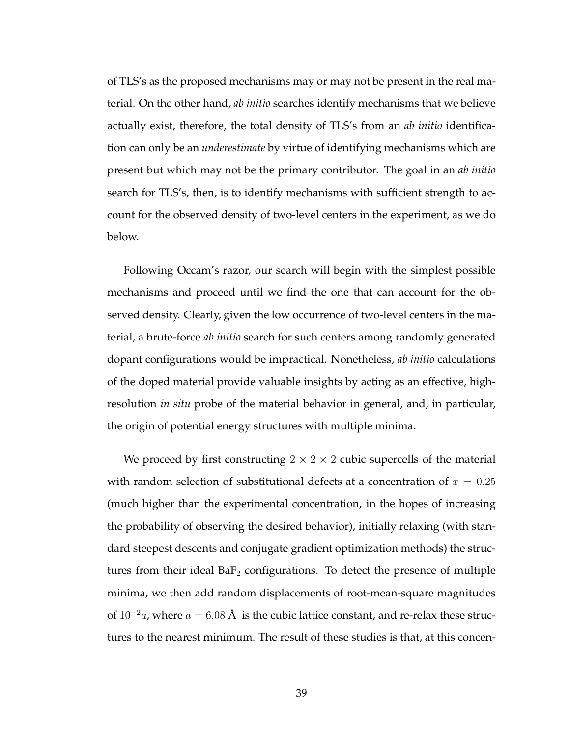of TLS's as the proposed mechanisms may or may not be present in the real material. On the other hand, *ab initio* searches identify mechanisms that we believe actually exist, therefore, the total density of TLS's from an *ab initio* identification can only be an *underestimate* by virtue of identifying mechanisms which are present but which may not be the primary contributor. The goal in an *ab initio* search for TLS's, then, is to identify mechanisms with sufficient strength to account for the observed density of two-level centers in the experiment, as we do below.

Following Occam's razor, our search will begin with the simplest possible mechanisms and proceed until we find the one that can account for the observed density. Clearly, given the low occurrence of two-level centers in the material, a brute-force *ab initio* search for such centers among randomly generated dopant configurations would be impractical. Nonetheless, *ab initio* calculations of the doped material provide valuable insights by acting as an effective, highresolution *in situ* probe of the material behavior in general, and, in particular, the origin of potential energy structures with multiple minima.

We proceed by first constructing  $2 \times 2 \times 2$  cubic supercells of the material with random selection of substitutional defects at a concentration of  $x = 0.25$ (much higher than the experimental concentration, in the hopes of increasing the probability of observing the desired behavior), initially relaxing (with standard steepest descents and conjugate gradient optimization methods) the structures from their ideal  $BaF<sub>2</sub>$  configurations. To detect the presence of multiple minima, we then add random displacements of root-mean-square magnitudes of  $10^{-2}a$ , where  $a = 6.08$  Å is the cubic lattice constant, and re-relax these structures to the nearest minimum. The result of these studies is that, at this concen-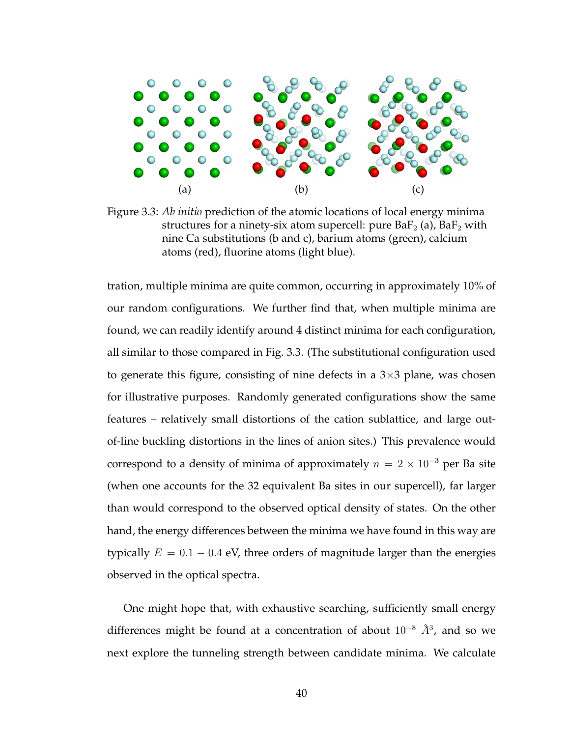

Figure 3.3: *Ab initio* prediction of the atomic locations of local energy minima structures for a ninety-six atom supercell: pure  $BaF_2$  (a),  $BaF_2$  with nine Ca substitutions (b and c), barium atoms (green), calcium atoms (red), fluorine atoms (light blue).

tration, multiple minima are quite common, occurring in approximately 10% of our random configurations. We further find that, when multiple minima are found, we can readily identify around 4 distinct minima for each configuration, all similar to those compared in Fig. 3.3. (The substitutional configuration used to generate this figure, consisting of nine defects in a  $3\times3$  plane, was chosen for illustrative purposes. Randomly generated configurations show the same features – relatively small distortions of the cation sublattice, and large outof-line buckling distortions in the lines of anion sites.) This prevalence would correspond to a density of minima of approximately  $n = 2 \times 10^{-3}$  per Ba site (when one accounts for the 32 equivalent Ba sites in our supercell), far larger than would correspond to the observed optical density of states. On the other hand, the energy differences between the minima we have found in this way are typically  $E = 0.1 - 0.4$  eV, three orders of magnitude larger than the energies observed in the optical spectra.

One might hope that, with exhaustive searching, sufficiently small energy differences might be found at a concentration of about  $10^{-8}$   $\AA^3$ , and so we next explore the tunneling strength between candidate minima. We calculate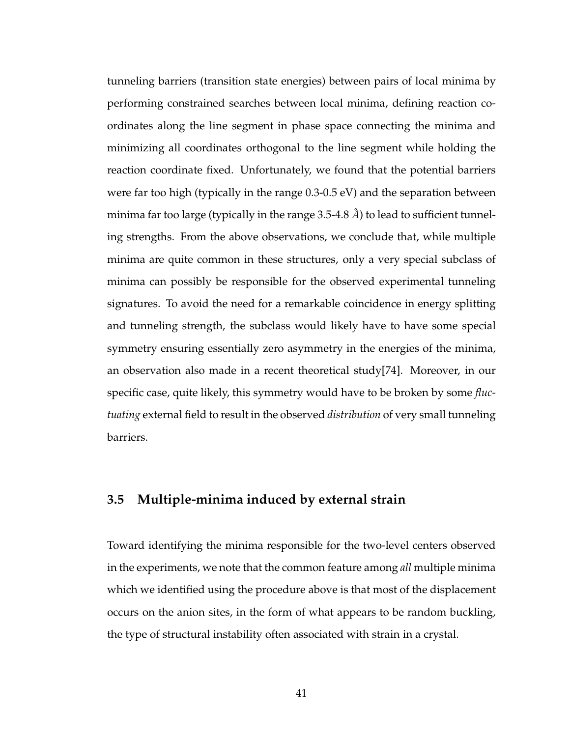tunneling barriers (transition state energies) between pairs of local minima by performing constrained searches between local minima, defining reaction coordinates along the line segment in phase space connecting the minima and minimizing all coordinates orthogonal to the line segment while holding the reaction coordinate fixed. Unfortunately, we found that the potential barriers were far too high (typically in the range 0.3-0.5 eV) and the separation between minima far too large (typically in the range 3.5-4.8  $\AA$ ) to lead to sufficient tunneling strengths. From the above observations, we conclude that, while multiple minima are quite common in these structures, only a very special subclass of minima can possibly be responsible for the observed experimental tunneling signatures. To avoid the need for a remarkable coincidence in energy splitting and tunneling strength, the subclass would likely have to have some special symmetry ensuring essentially zero asymmetry in the energies of the minima, an observation also made in a recent theoretical study[74]. Moreover, in our specific case, quite likely, this symmetry would have to be broken by some *fluctuating* external field to result in the observed *distribution* of very small tunneling barriers.

# **3.5 Multiple-minima induced by external strain**

Toward identifying the minima responsible for the two-level centers observed in the experiments, we note that the common feature among *all* multiple minima which we identified using the procedure above is that most of the displacement occurs on the anion sites, in the form of what appears to be random buckling, the type of structural instability often associated with strain in a crystal.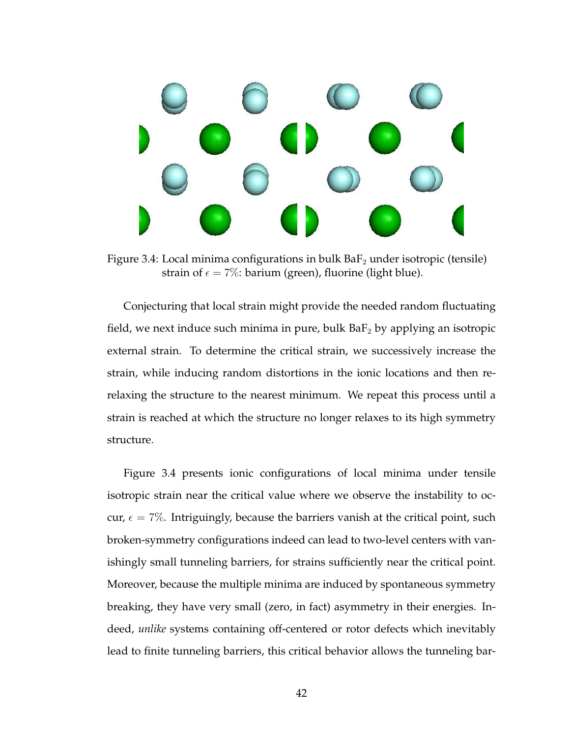

Figure 3.4: Local minima configurations in bulk  $BaF<sub>2</sub>$  under isotropic (tensile) strain of  $\epsilon = 7\%$ : barium (green), fluorine (light blue).

Conjecturing that local strain might provide the needed random fluctuating field, we next induce such minima in pure, bulk  $BaF_2$  by applying an isotropic external strain. To determine the critical strain, we successively increase the strain, while inducing random distortions in the ionic locations and then rerelaxing the structure to the nearest minimum. We repeat this process until a strain is reached at which the structure no longer relaxes to its high symmetry structure.

Figure 3.4 presents ionic configurations of local minima under tensile isotropic strain near the critical value where we observe the instability to occur,  $\epsilon = 7\%$ . Intriguingly, because the barriers vanish at the critical point, such broken-symmetry configurations indeed can lead to two-level centers with vanishingly small tunneling barriers, for strains sufficiently near the critical point. Moreover, because the multiple minima are induced by spontaneous symmetry breaking, they have very small (zero, in fact) asymmetry in their energies. Indeed, *unlike* systems containing off-centered or rotor defects which inevitably lead to finite tunneling barriers, this critical behavior allows the tunneling bar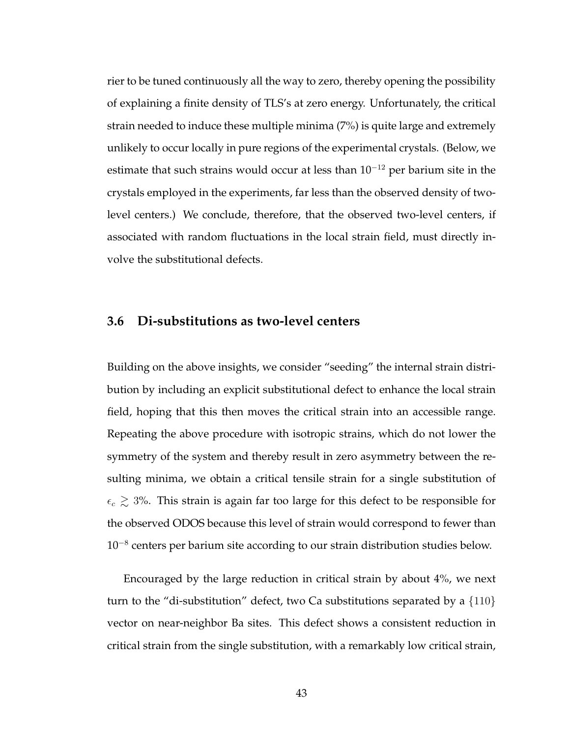rier to be tuned continuously all the way to zero, thereby opening the possibility of explaining a finite density of TLS's at zero energy. Unfortunately, the critical strain needed to induce these multiple minima (7%) is quite large and extremely unlikely to occur locally in pure regions of the experimental crystals. (Below, we estimate that such strains would occur at less than  $10^{-12}$  per barium site in the crystals employed in the experiments, far less than the observed density of twolevel centers.) We conclude, therefore, that the observed two-level centers, if associated with random fluctuations in the local strain field, must directly involve the substitutional defects.

# **3.6 Di-substitutions as two-level centers**

Building on the above insights, we consider "seeding" the internal strain distribution by including an explicit substitutional defect to enhance the local strain field, hoping that this then moves the critical strain into an accessible range. Repeating the above procedure with isotropic strains, which do not lower the symmetry of the system and thereby result in zero asymmetry between the resulting minima, we obtain a critical tensile strain for a single substitution of  $\epsilon_c \gtrsim 3\%$ . This strain is again far too large for this defect to be responsible for the observed ODOS because this level of strain would correspond to fewer than 10<sup>−</sup><sup>8</sup> centers per barium site according to our strain distribution studies below.

Encouraged by the large reduction in critical strain by about 4%, we next turn to the "di-substitution" defect, two Ca substitutions separated by a  $\{110\}$ vector on near-neighbor Ba sites. This defect shows a consistent reduction in critical strain from the single substitution, with a remarkably low critical strain,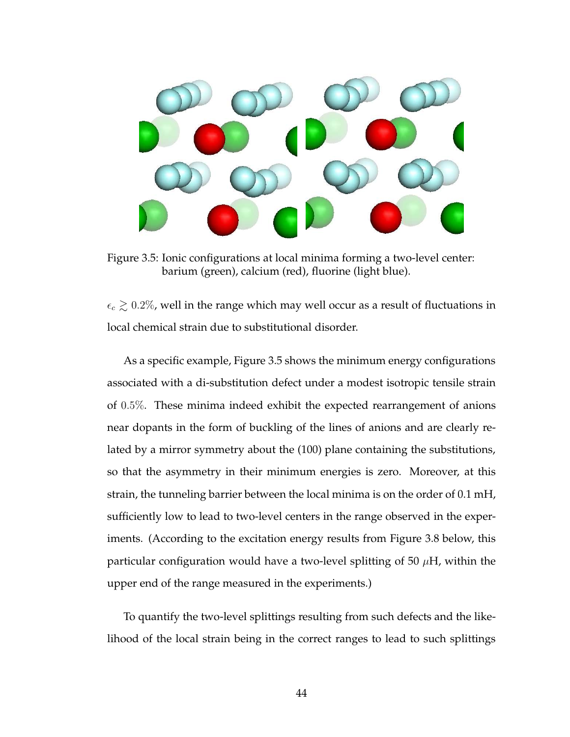

Figure 3.5: Ionic configurations at local minima forming a two-level center: barium (green), calcium (red), fluorine (light blue).

 $\epsilon_c \gtrsim 0.2\%$ , well in the range which may well occur as a result of fluctuations in local chemical strain due to substitutional disorder.

As a specific example, Figure 3.5 shows the minimum energy configurations associated with a di-substitution defect under a modest isotropic tensile strain of 0.5%. These minima indeed exhibit the expected rearrangement of anions near dopants in the form of buckling of the lines of anions and are clearly related by a mirror symmetry about the (100) plane containing the substitutions, so that the asymmetry in their minimum energies is zero. Moreover, at this strain, the tunneling barrier between the local minima is on the order of 0.1 mH, sufficiently low to lead to two-level centers in the range observed in the experiments. (According to the excitation energy results from Figure 3.8 below, this particular configuration would have a two-level splitting of 50  $\mu$ H, within the upper end of the range measured in the experiments.)

To quantify the two-level splittings resulting from such defects and the likelihood of the local strain being in the correct ranges to lead to such splittings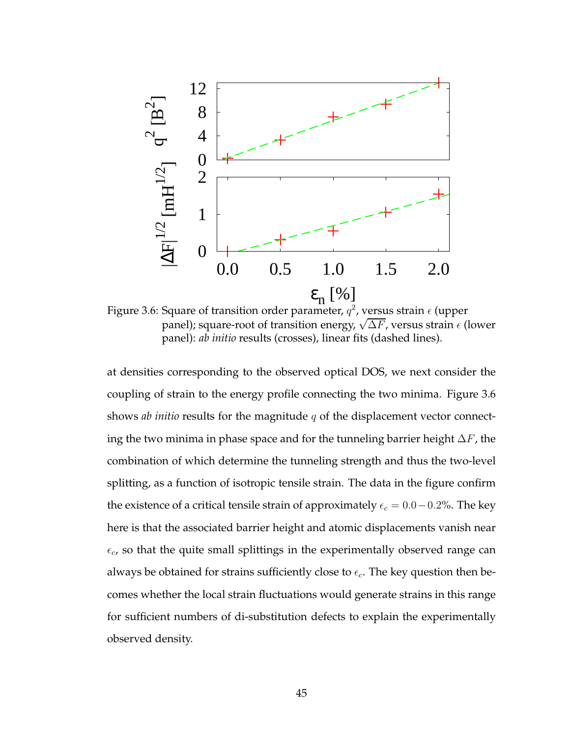

Figure 3.6: Square of transition order parameter,  $q^2$ , versus strain  $\epsilon$  (upper panel); square-root of transition energy,  $\sqrt{\Delta F}$ , versus strain  $\epsilon$  (lower panel): *ab initio* results (crosses), linear fits (dashed lines).

at densities corresponding to the observed optical DOS, we next consider the coupling of strain to the energy profile connecting the two minima. Figure 3.6 shows *ab initio* results for the magnitude q of the displacement vector connecting the two minima in phase space and for the tunneling barrier height  $\Delta F$ , the combination of which determine the tunneling strength and thus the two-level splitting, as a function of isotropic tensile strain. The data in the figure confirm the existence of a critical tensile strain of approximately  $\epsilon_c = 0.0 - 0.2\%$ . The key here is that the associated barrier height and atomic displacements vanish near  $\epsilon_c$ , so that the quite small splittings in the experimentally observed range can always be obtained for strains sufficiently close to  $\epsilon_c$ . The key question then becomes whether the local strain fluctuations would generate strains in this range for sufficient numbers of di-substitution defects to explain the experimentally observed density.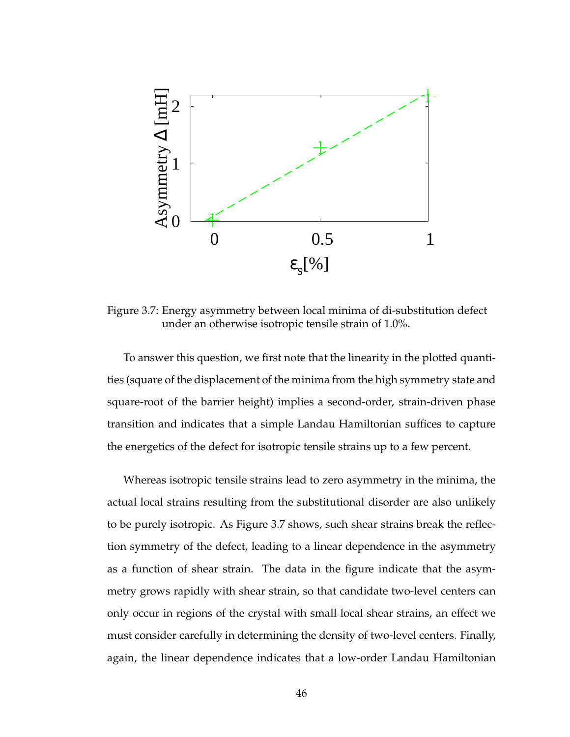

Figure 3.7: Energy asymmetry between local minima of di-substitution defect under an otherwise isotropic tensile strain of 1.0%.

To answer this question, we first note that the linearity in the plotted quantities (square of the displacement of the minima from the high symmetry state and square-root of the barrier height) implies a second-order, strain-driven phase transition and indicates that a simple Landau Hamiltonian suffices to capture the energetics of the defect for isotropic tensile strains up to a few percent.

Whereas isotropic tensile strains lead to zero asymmetry in the minima, the actual local strains resulting from the substitutional disorder are also unlikely to be purely isotropic. As Figure 3.7 shows, such shear strains break the reflection symmetry of the defect, leading to a linear dependence in the asymmetry as a function of shear strain. The data in the figure indicate that the asymmetry grows rapidly with shear strain, so that candidate two-level centers can only occur in regions of the crystal with small local shear strains, an effect we must consider carefully in determining the density of two-level centers. Finally, again, the linear dependence indicates that a low-order Landau Hamiltonian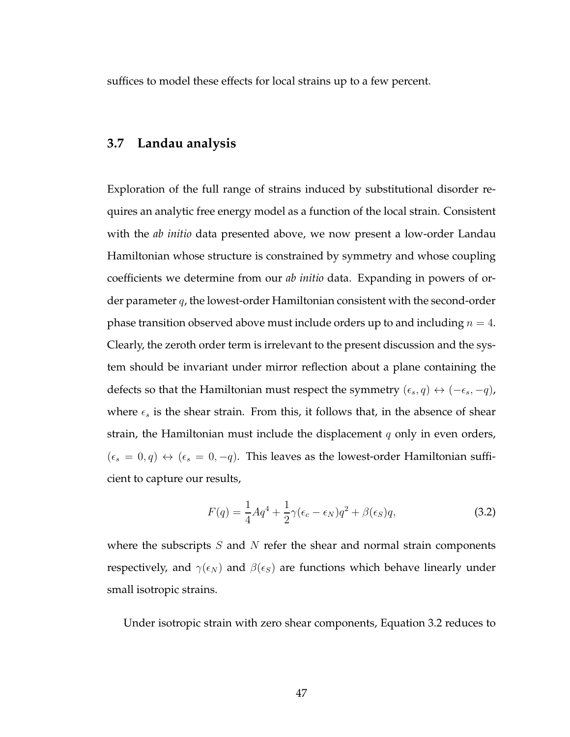suffices to model these effects for local strains up to a few percent.

## **3.7 Landau analysis**

Exploration of the full range of strains induced by substitutional disorder requires an analytic free energy model as a function of the local strain. Consistent with the *ab initio* data presented above, we now present a low-order Landau Hamiltonian whose structure is constrained by symmetry and whose coupling coefficients we determine from our *ab initio* data. Expanding in powers of order parameter  $q$ , the lowest-order Hamiltonian consistent with the second-order phase transition observed above must include orders up to and including  $n = 4$ . Clearly, the zeroth order term is irrelevant to the present discussion and the system should be invariant under mirror reflection about a plane containing the defects so that the Hamiltonian must respect the symmetry  $(\epsilon_s, q) \leftrightarrow (-\epsilon_s, -q)$ , where  $\epsilon_s$  is the shear strain. From this, it follows that, in the absence of shear strain, the Hamiltonian must include the displacement  $q$  only in even orders,  $(\epsilon_s = 0, q) \leftrightarrow (\epsilon_s = 0, -q)$ . This leaves as the lowest-order Hamiltonian sufficient to capture our results,

$$
F(q) = \frac{1}{4}Aq^4 + \frac{1}{2}\gamma(\epsilon_c - \epsilon_N)q^2 + \beta(\epsilon_S)q,
$$
\n(3.2)

where the subscripts  $S$  and  $N$  refer the shear and normal strain components respectively, and  $\gamma(\epsilon_N)$  and  $\beta(\epsilon_S)$  are functions which behave linearly under small isotropic strains.

Under isotropic strain with zero shear components, Equation 3.2 reduces to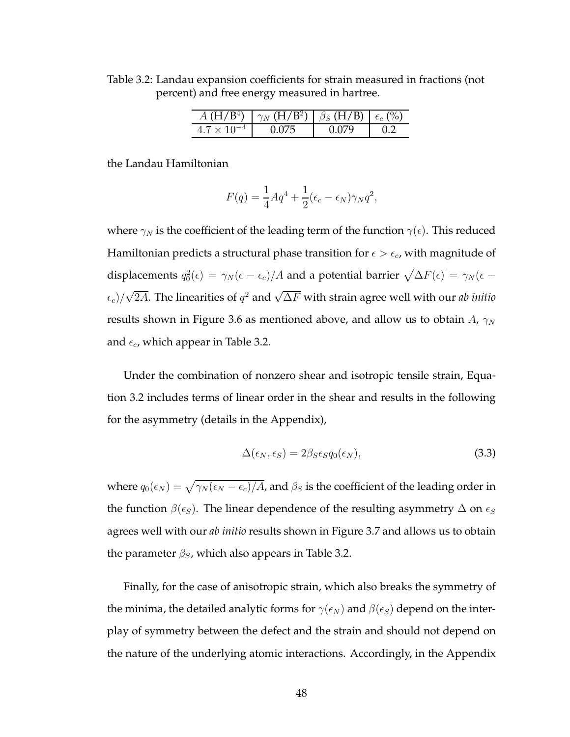$A (H/B<sup>4</sup>)$  $\gamma_N$  (H/B<sup>2</sup>)  $\beta_{S}$  (H/B)  $\epsilon_{c}$  (%)  $4.7 \times 10^{-4}$  0.075 0.079 0.2

Table 3.2: Landau expansion coefficients for strain measured in fractions (not

percent) and free energy measured in hartree.

the Landau Hamiltonian

$$
F(q) = \frac{1}{4}Aq^4 + \frac{1}{2}(\epsilon_c - \epsilon_N)\gamma_N q^2,
$$

where  $\gamma_N$  is the coefficient of the leading term of the function  $\gamma(\epsilon)$ . This reduced Hamiltonian predicts a structural phase transition for  $\epsilon > \epsilon_c$ , with magnitude of displacements  $q_0^2(\epsilon) = \gamma_N(\epsilon - \epsilon_c)/A$  and a potential barrier  $\sqrt{\Delta F(\epsilon)} = \gamma_N(\epsilon - \epsilon_c)/A$  $\epsilon_c)/\sqrt{2A}.$  The linearities of  $q^2$  and  $\sqrt{\Delta F}$  with strain agree well with our *ab initio* results shown in Figure 3.6 as mentioned above, and allow us to obtain  $A$ ,  $\gamma_N$ and  $\epsilon_c$ , which appear in Table 3.2.

Under the combination of nonzero shear and isotropic tensile strain, Equation 3.2 includes terms of linear order in the shear and results in the following for the asymmetry (details in the Appendix),

$$
\Delta(\epsilon_N, \epsilon_S) = 2\beta_S \epsilon_S q_0(\epsilon_N),\tag{3.3}
$$

where  $q_0(\epsilon_N) = \sqrt{\gamma_N (\epsilon_N - \epsilon_c)/A}$ , and  $\beta_S$  is the coefficient of the leading order in the function  $\beta(\epsilon_S)$ . The linear dependence of the resulting asymmetry  $\Delta$  on  $\epsilon_S$ agrees well with our *ab initio* results shown in Figure 3.7 and allows us to obtain the parameter  $\beta_{S}$ , which also appears in Table 3.2.

Finally, for the case of anisotropic strain, which also breaks the symmetry of the minima, the detailed analytic forms for  $\gamma(\epsilon_N)$  and  $\beta(\epsilon_S)$  depend on the interplay of symmetry between the defect and the strain and should not depend on the nature of the underlying atomic interactions. Accordingly, in the Appendix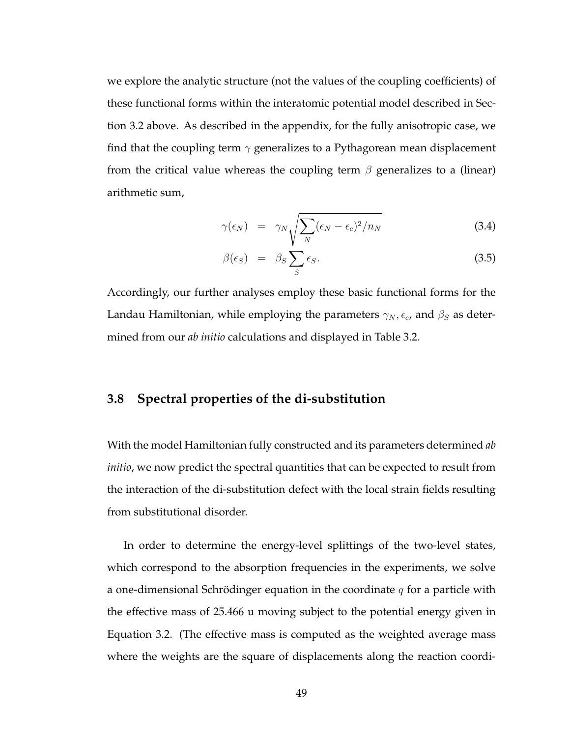we explore the analytic structure (not the values of the coupling coefficients) of these functional forms within the interatomic potential model described in Section 3.2 above. As described in the appendix, for the fully anisotropic case, we find that the coupling term  $\gamma$  generalizes to a Pythagorean mean displacement from the critical value whereas the coupling term  $\beta$  generalizes to a (linear) arithmetic sum,

$$
\gamma(\epsilon_N) = \gamma_N \sqrt{\sum_N (\epsilon_N - \epsilon_c)^2 / n_N} \tag{3.4}
$$

$$
\beta(\epsilon_S) = \beta_S \sum_S \epsilon_S. \tag{3.5}
$$

Accordingly, our further analyses employ these basic functional forms for the Landau Hamiltonian, while employing the parameters  $\gamma_N$ ,  $\epsilon_c$ , and  $\beta_S$  as determined from our *ab initio* calculations and displayed in Table 3.2.

## **3.8 Spectral properties of the di-substitution**

With the model Hamiltonian fully constructed and its parameters determined *ab initio*, we now predict the spectral quantities that can be expected to result from the interaction of the di-substitution defect with the local strain fields resulting from substitutional disorder.

In order to determine the energy-level splittings of the two-level states, which correspond to the absorption frequencies in the experiments, we solve a one-dimensional Schrödinger equation in the coordinate  $q$  for a particle with the effective mass of 25.466 u moving subject to the potential energy given in Equation 3.2. (The effective mass is computed as the weighted average mass where the weights are the square of displacements along the reaction coordi-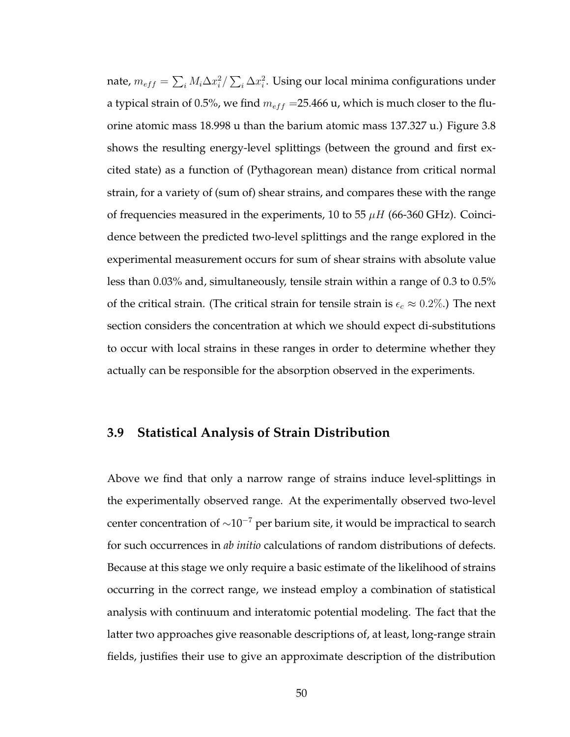nate,  $m_{eff}=\sum_{i}M_{i}\Delta x_{i}^{2}/\sum_{i}\Delta x_{i}^{2}.$  Using our local minima configurations under a typical strain of 0.5%, we find  $m_{eff}$  =25.466 u, which is much closer to the fluorine atomic mass 18.998 u than the barium atomic mass 137.327 u.) Figure 3.8 shows the resulting energy-level splittings (between the ground and first excited state) as a function of (Pythagorean mean) distance from critical normal strain, for a variety of (sum of) shear strains, and compares these with the range of frequencies measured in the experiments, 10 to 55  $\mu$ H (66-360 GHz). Coincidence between the predicted two-level splittings and the range explored in the experimental measurement occurs for sum of shear strains with absolute value less than 0.03% and, simultaneously, tensile strain within a range of 0.3 to 0.5% of the critical strain. (The critical strain for tensile strain is  $\epsilon_c \approx 0.2\%$ .) The next section considers the concentration at which we should expect di-substitutions to occur with local strains in these ranges in order to determine whether they actually can be responsible for the absorption observed in the experiments.

#### **3.9 Statistical Analysis of Strain Distribution**

Above we find that only a narrow range of strains induce level-splittings in the experimentally observed range. At the experimentally observed two-level center concentration of ∼10<sup>−</sup><sup>7</sup> per barium site, it would be impractical to search for such occurrences in *ab initio* calculations of random distributions of defects. Because at this stage we only require a basic estimate of the likelihood of strains occurring in the correct range, we instead employ a combination of statistical analysis with continuum and interatomic potential modeling. The fact that the latter two approaches give reasonable descriptions of, at least, long-range strain fields, justifies their use to give an approximate description of the distribution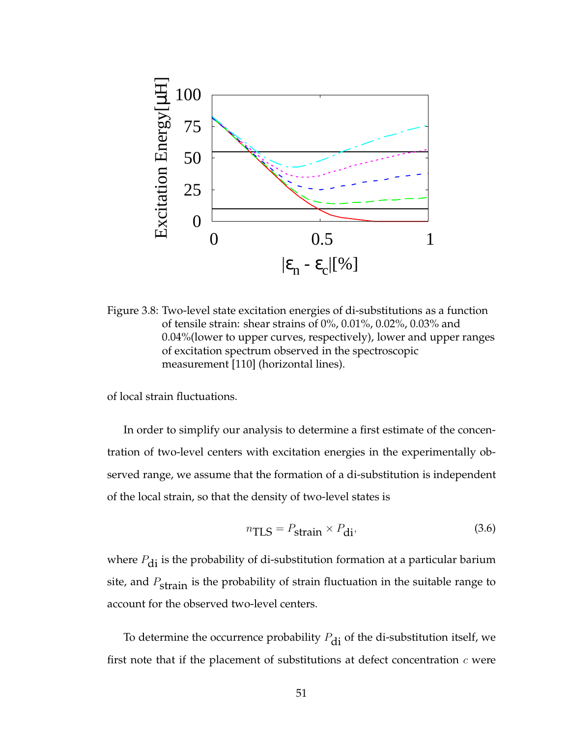

Figure 3.8: Two-level state excitation energies of di-substitutions as a function of tensile strain: shear strains of 0%, 0.01%, 0.02%, 0.03% and 0.04%(lower to upper curves, respectively), lower and upper ranges of excitation spectrum observed in the spectroscopic measurement [110] (horizontal lines).

of local strain fluctuations.

In order to simplify our analysis to determine a first estimate of the concentration of two-level centers with excitation energies in the experimentally observed range, we assume that the formation of a di-substitution is independent of the local strain, so that the density of two-level states is

$$
n_{\text{TLS}} = P_{\text{strain}} \times P_{\text{di}},\tag{3.6}
$$

where  $P_{di}$  is the probability of di-substitution formation at a particular barium site, and  $P_{\text{strain}}$  is the probability of strain fluctuation in the suitable range to account for the observed two-level centers.

To determine the occurrence probability  $P_{di}$  of the di-substitution itself, we first note that if the placement of substitutions at defect concentration  $c$  were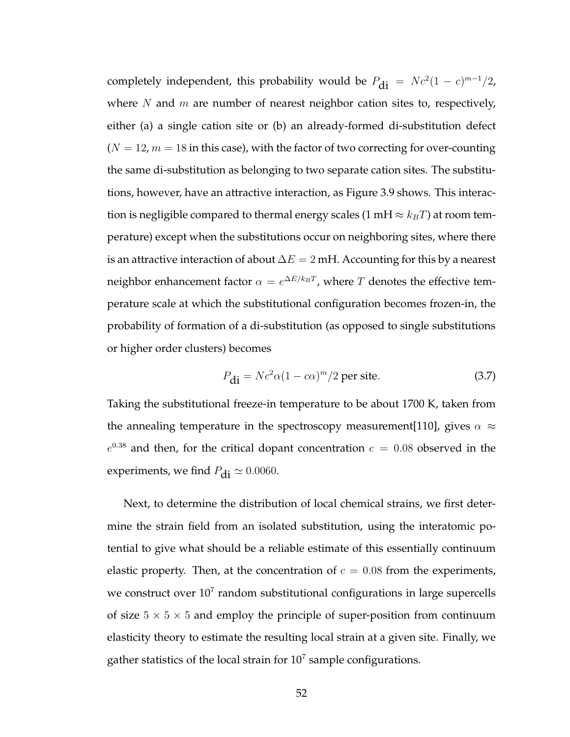completely independent, this probability would be  $P_{\text{di}} = Nc^2(1-c)^{m-1}/2$ , where  $N$  and  $m$  are number of nearest neighbor cation sites to, respectively, either (a) a single cation site or (b) an already-formed di-substitution defect  $(N = 12, m = 18$  in this case), with the factor of two correcting for over-counting the same di-substitution as belonging to two separate cation sites. The substitutions, however, have an attractive interaction, as Figure 3.9 shows. This interaction is negligible compared to thermal energy scales (1 mH  $\approx k_BT$ ) at room temperature) except when the substitutions occur on neighboring sites, where there is an attractive interaction of about  $\Delta E = 2$  mH. Accounting for this by a nearest neighbor enhancement factor  $\alpha = e^{\Delta E/k_BT}$ , where  $T$  denotes the effective temperature scale at which the substitutional configuration becomes frozen-in, the probability of formation of a di-substitution (as opposed to single substitutions or higher order clusters) becomes

$$
P_{\mathbf{di}} = Nc^2 \alpha (1 - c\alpha)^m / 2 \text{ per site.}
$$
 (3.7)

Taking the substitutional freeze-in temperature to be about 1700 K, taken from the annealing temperature in the spectroscopy measurement[110], gives  $\alpha \approx$  $e^{0.38}$  and then, for the critical dopant concentration  $c = 0.08$  observed in the experiments, we find  $P_{\text{di}} \simeq 0.0060$ .

Next, to determine the distribution of local chemical strains, we first determine the strain field from an isolated substitution, using the interatomic potential to give what should be a reliable estimate of this essentially continuum elastic property. Then, at the concentration of  $c = 0.08$  from the experiments, we construct over  $10^7$  random substitutional configurations in large supercells of size  $5 \times 5 \times 5$  and employ the principle of super-position from continuum elasticity theory to estimate the resulting local strain at a given site. Finally, we gather statistics of the local strain for  $10<sup>7</sup>$  sample configurations.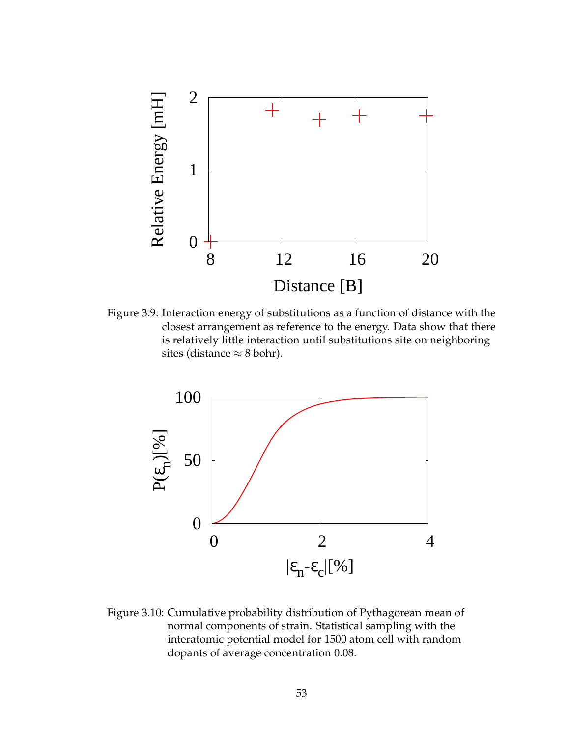

Figure 3.9: Interaction energy of substitutions as a function of distance with the closest arrangement as reference to the energy. Data show that there is relatively little interaction until substitutions site on neighboring sites (distance  $\approx$  8 bohr).



Figure 3.10: Cumulative probability distribution of Pythagorean mean of normal components of strain. Statistical sampling with the interatomic potential model for 1500 atom cell with random dopants of average concentration 0.08.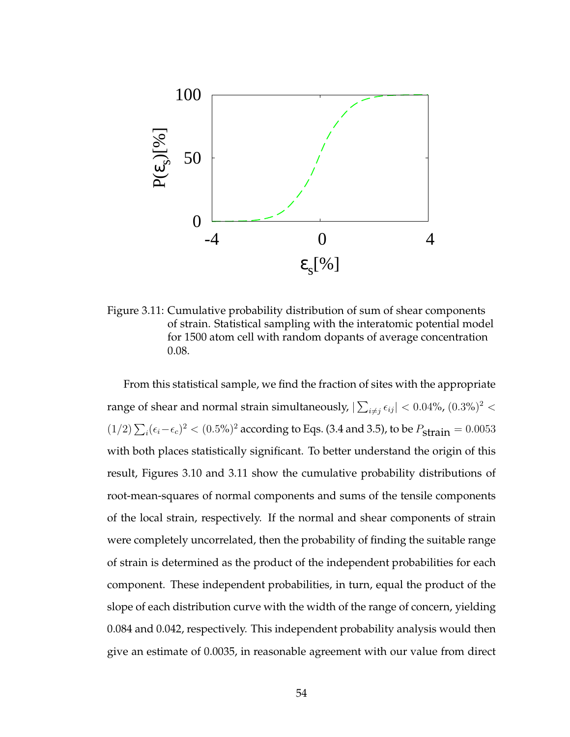

Figure 3.11: Cumulative probability distribution of sum of shear components of strain. Statistical sampling with the interatomic potential model for 1500 atom cell with random dopants of average concentration 0.08.

From this statistical sample, we find the fraction of sites with the appropriate range of shear and normal strain simultaneously,  $|\sum_{i\neq j}\epsilon_{ij}|< 0.04\%$ ,  $(0.3\%)^2<$  $(1/2)\sum_i(\epsilon_i-\epsilon_c)^2 < (0.5\%)^2$  according to Eqs. (3.4 and 3.5), to be  $P_{\text{strain}} = 0.0053$ with both places statistically significant. To better understand the origin of this result, Figures 3.10 and 3.11 show the cumulative probability distributions of root-mean-squares of normal components and sums of the tensile components of the local strain, respectively. If the normal and shear components of strain were completely uncorrelated, then the probability of finding the suitable range of strain is determined as the product of the independent probabilities for each component. These independent probabilities, in turn, equal the product of the slope of each distribution curve with the width of the range of concern, yielding 0.084 and 0.042, respectively. This independent probability analysis would then give an estimate of 0.0035, in reasonable agreement with our value from direct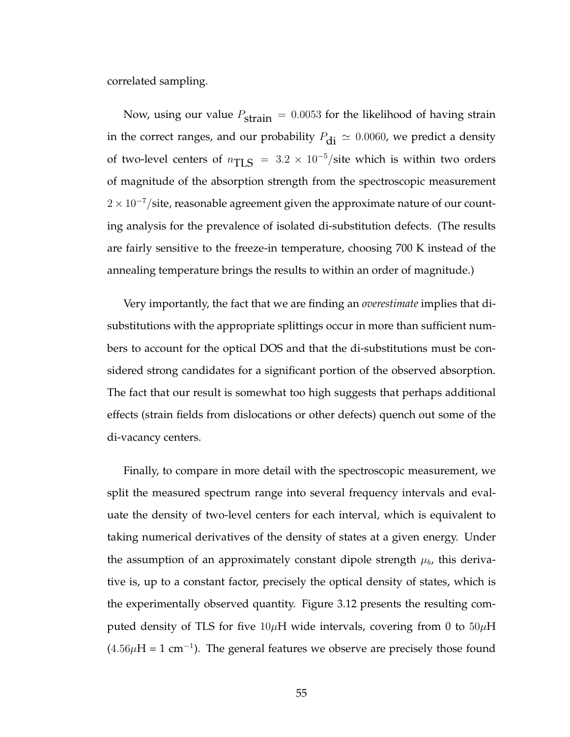correlated sampling.

Now, using our value  $P_{\text{strain}} = 0.0053$  for the likelihood of having strain in the correct ranges, and our probability  $P_{di} \simeq 0.0060$ , we predict a density of two-level centers of  $n_{\text{TLS}} = 3.2 \times 10^{-5} / \text{site}$  which is within two orders of magnitude of the absorption strength from the spectroscopic measurement  $2\times10^{-7}/\mathrm{site}$ , reasonable agreement given the approximate nature of our counting analysis for the prevalence of isolated di-substitution defects. (The results are fairly sensitive to the freeze-in temperature, choosing 700 K instead of the annealing temperature brings the results to within an order of magnitude.)

Very importantly, the fact that we are finding an *overestimate* implies that disubstitutions with the appropriate splittings occur in more than sufficient numbers to account for the optical DOS and that the di-substitutions must be considered strong candidates for a significant portion of the observed absorption. The fact that our result is somewhat too high suggests that perhaps additional effects (strain fields from dislocations or other defects) quench out some of the di-vacancy centers.

Finally, to compare in more detail with the spectroscopic measurement, we split the measured spectrum range into several frequency intervals and evaluate the density of two-level centers for each interval, which is equivalent to taking numerical derivatives of the density of states at a given energy. Under the assumption of an approximately constant dipole strength  $\mu_b$ , this derivative is, up to a constant factor, precisely the optical density of states, which is the experimentally observed quantity. Figure 3.12 presents the resulting computed density of TLS for five  $10\mu$ H wide intervals, covering from 0 to  $50\mu$ H  $(4.56\mu H = 1 cm<sup>-1</sup>)$ . The general features we observe are precisely those found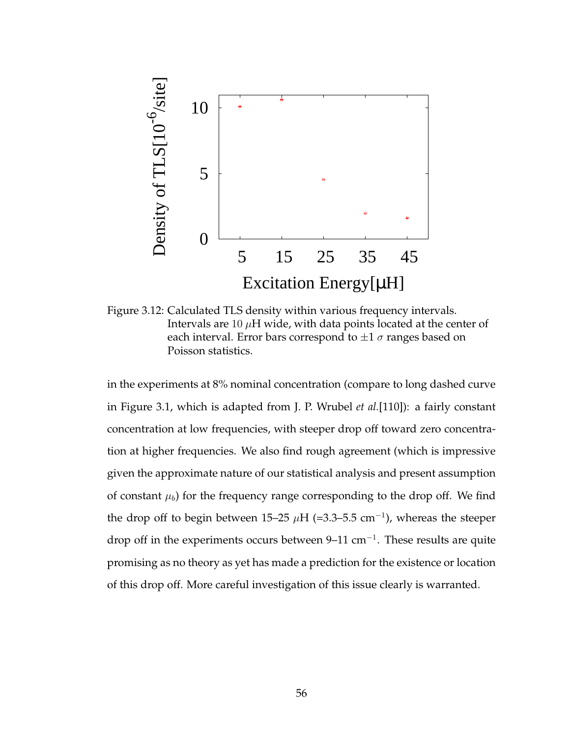

Figure 3.12: Calculated TLS density within various frequency intervals. Intervals are 10  $\mu$ H wide, with data points located at the center of each interval. Error bars correspond to  $\pm 1 \sigma$  ranges based on Poisson statistics.

in the experiments at 8% nominal concentration (compare to long dashed curve in Figure 3.1, which is adapted from J. P. Wrubel *et al.*[110]): a fairly constant concentration at low frequencies, with steeper drop off toward zero concentration at higher frequencies. We also find rough agreement (which is impressive given the approximate nature of our statistical analysis and present assumption of constant  $\mu_b$ ) for the frequency range corresponding to the drop off. We find the drop off to begin between 15–25  $\mu$ H (=3.3–5.5 cm<sup>-1</sup>), whereas the steeper drop off in the experiments occurs between 9–11 cm<sup>-1</sup>. These results are quite promising as no theory as yet has made a prediction for the existence or location of this drop off. More careful investigation of this issue clearly is warranted.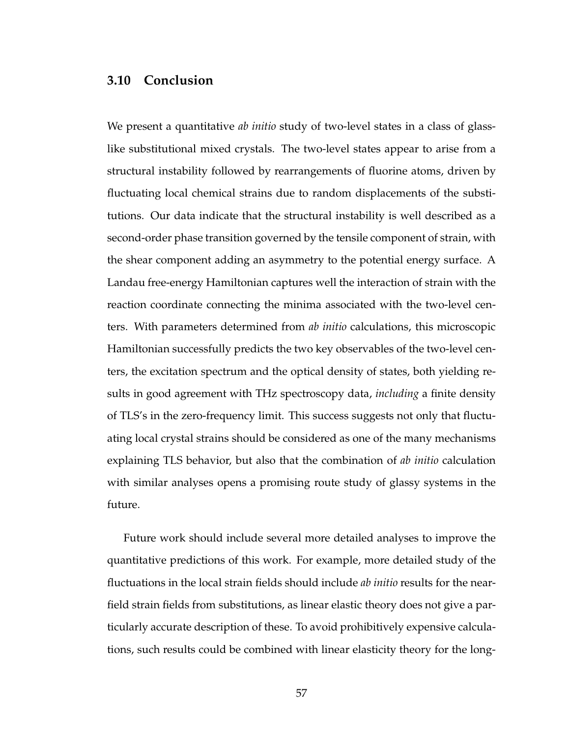# **3.10 Conclusion**

We present a quantitative *ab initio* study of two-level states in a class of glasslike substitutional mixed crystals. The two-level states appear to arise from a structural instability followed by rearrangements of fluorine atoms, driven by fluctuating local chemical strains due to random displacements of the substitutions. Our data indicate that the structural instability is well described as a second-order phase transition governed by the tensile component of strain, with the shear component adding an asymmetry to the potential energy surface. A Landau free-energy Hamiltonian captures well the interaction of strain with the reaction coordinate connecting the minima associated with the two-level centers. With parameters determined from *ab initio* calculations, this microscopic Hamiltonian successfully predicts the two key observables of the two-level centers, the excitation spectrum and the optical density of states, both yielding results in good agreement with THz spectroscopy data, *including* a finite density of TLS's in the zero-frequency limit. This success suggests not only that fluctuating local crystal strains should be considered as one of the many mechanisms explaining TLS behavior, but also that the combination of *ab initio* calculation with similar analyses opens a promising route study of glassy systems in the future.

Future work should include several more detailed analyses to improve the quantitative predictions of this work. For example, more detailed study of the fluctuations in the local strain fields should include *ab initio* results for the nearfield strain fields from substitutions, as linear elastic theory does not give a particularly accurate description of these. To avoid prohibitively expensive calculations, such results could be combined with linear elasticity theory for the long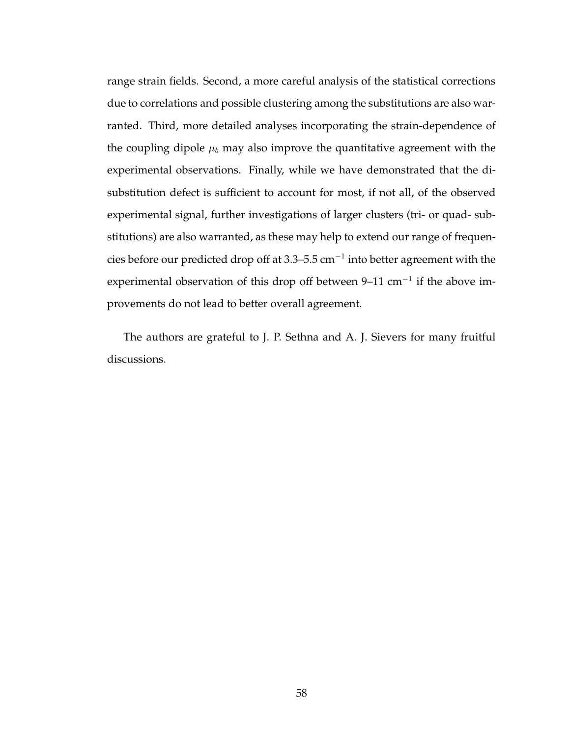range strain fields. Second, a more careful analysis of the statistical corrections due to correlations and possible clustering among the substitutions are also warranted. Third, more detailed analyses incorporating the strain-dependence of the coupling dipole  $\mu_b$  may also improve the quantitative agreement with the experimental observations. Finally, while we have demonstrated that the disubstitution defect is sufficient to account for most, if not all, of the observed experimental signal, further investigations of larger clusters (tri- or quad- substitutions) are also warranted, as these may help to extend our range of frequencies before our predicted drop off at 3.3–5.5 cm $^{-1}$  into better agreement with the experimental observation of this drop off between 9–11 cm<sup>-1</sup> if the above improvements do not lead to better overall agreement.

The authors are grateful to J. P. Sethna and A. J. Sievers for many fruitful discussions.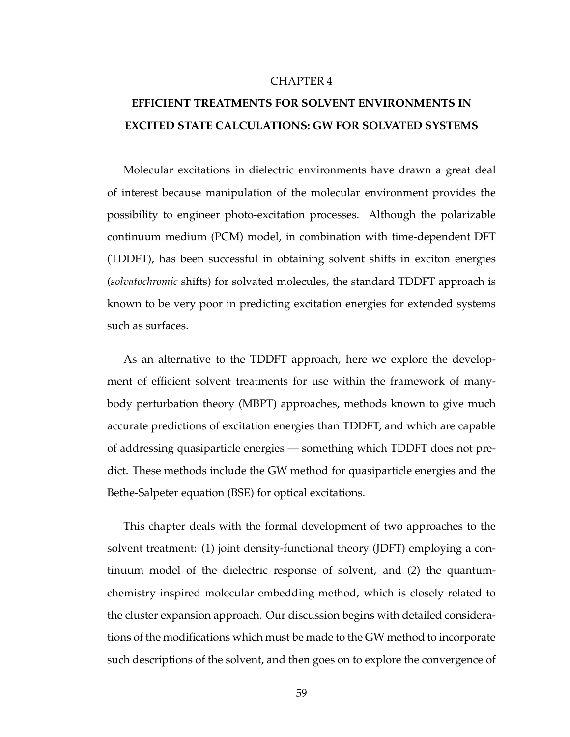#### CHAPTER 4

# **EFFICIENT TREATMENTS FOR SOLVENT ENVIRONMENTS IN EXCITED STATE CALCULATIONS: GW FOR SOLVATED SYSTEMS**

Molecular excitations in dielectric environments have drawn a great deal of interest because manipulation of the molecular environment provides the possibility to engineer photo-excitation processes. Although the polarizable continuum medium (PCM) model, in combination with time-dependent DFT (TDDFT), has been successful in obtaining solvent shifts in exciton energies (*solvatochromic* shifts) for solvated molecules, the standard TDDFT approach is known to be very poor in predicting excitation energies for extended systems such as surfaces.

As an alternative to the TDDFT approach, here we explore the development of efficient solvent treatments for use within the framework of manybody perturbation theory (MBPT) approaches, methods known to give much accurate predictions of excitation energies than TDDFT, and which are capable of addressing quasiparticle energies — something which TDDFT does not predict. These methods include the GW method for quasiparticle energies and the Bethe-Salpeter equation (BSE) for optical excitations.

This chapter deals with the formal development of two approaches to the solvent treatment: (1) joint density-functional theory (JDFT) employing a continuum model of the dielectric response of solvent, and (2) the quantumchemistry inspired molecular embedding method, which is closely related to the cluster expansion approach. Our discussion begins with detailed considerations of the modifications which must be made to the GW method to incorporate such descriptions of the solvent, and then goes on to explore the convergence of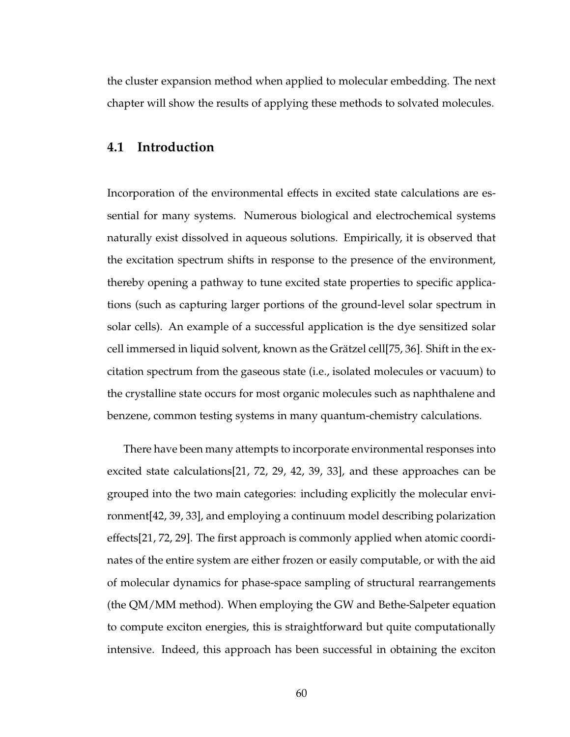the cluster expansion method when applied to molecular embedding. The next chapter will show the results of applying these methods to solvated molecules.

#### **4.1 Introduction**

Incorporation of the environmental effects in excited state calculations are essential for many systems. Numerous biological and electrochemical systems naturally exist dissolved in aqueous solutions. Empirically, it is observed that the excitation spectrum shifts in response to the presence of the environment, thereby opening a pathway to tune excited state properties to specific applications (such as capturing larger portions of the ground-level solar spectrum in solar cells). An example of a successful application is the dye sensitized solar cell immersed in liquid solvent, known as the Grätzel cell[75, 36]. Shift in the excitation spectrum from the gaseous state (i.e., isolated molecules or vacuum) to the crystalline state occurs for most organic molecules such as naphthalene and benzene, common testing systems in many quantum-chemistry calculations.

There have been many attempts to incorporate environmental responses into excited state calculations[21, 72, 29, 42, 39, 33], and these approaches can be grouped into the two main categories: including explicitly the molecular environment[42, 39, 33], and employing a continuum model describing polarization effects[21, 72, 29]. The first approach is commonly applied when atomic coordinates of the entire system are either frozen or easily computable, or with the aid of molecular dynamics for phase-space sampling of structural rearrangements (the QM/MM method). When employing the GW and Bethe-Salpeter equation to compute exciton energies, this is straightforward but quite computationally intensive. Indeed, this approach has been successful in obtaining the exciton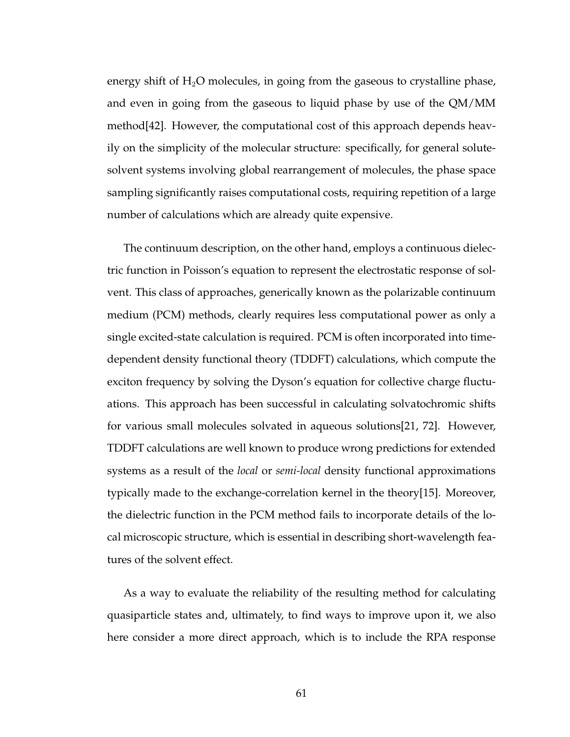energy shift of  $H_2O$  molecules, in going from the gaseous to crystalline phase, and even in going from the gaseous to liquid phase by use of the QM/MM method[42]. However, the computational cost of this approach depends heavily on the simplicity of the molecular structure: specifically, for general solutesolvent systems involving global rearrangement of molecules, the phase space sampling significantly raises computational costs, requiring repetition of a large number of calculations which are already quite expensive.

The continuum description, on the other hand, employs a continuous dielectric function in Poisson's equation to represent the electrostatic response of solvent. This class of approaches, generically known as the polarizable continuum medium (PCM) methods, clearly requires less computational power as only a single excited-state calculation is required. PCM is often incorporated into timedependent density functional theory (TDDFT) calculations, which compute the exciton frequency by solving the Dyson's equation for collective charge fluctuations. This approach has been successful in calculating solvatochromic shifts for various small molecules solvated in aqueous solutions[21, 72]. However, TDDFT calculations are well known to produce wrong predictions for extended systems as a result of the *local* or *semi-local* density functional approximations typically made to the exchange-correlation kernel in the theory[15]. Moreover, the dielectric function in the PCM method fails to incorporate details of the local microscopic structure, which is essential in describing short-wavelength features of the solvent effect.

As a way to evaluate the reliability of the resulting method for calculating quasiparticle states and, ultimately, to find ways to improve upon it, we also here consider a more direct approach, which is to include the RPA response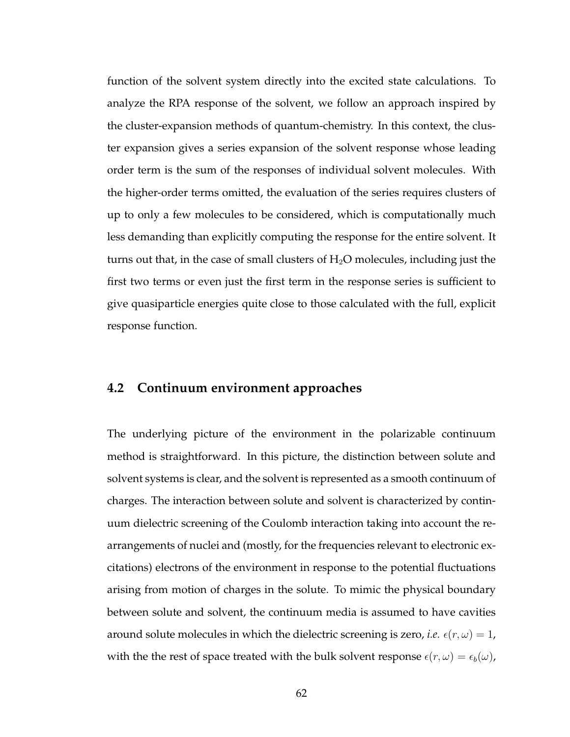function of the solvent system directly into the excited state calculations. To analyze the RPA response of the solvent, we follow an approach inspired by the cluster-expansion methods of quantum-chemistry. In this context, the cluster expansion gives a series expansion of the solvent response whose leading order term is the sum of the responses of individual solvent molecules. With the higher-order terms omitted, the evaluation of the series requires clusters of up to only a few molecules to be considered, which is computationally much less demanding than explicitly computing the response for the entire solvent. It turns out that, in the case of small clusters of  $H_2O$  molecules, including just the first two terms or even just the first term in the response series is sufficient to give quasiparticle energies quite close to those calculated with the full, explicit response function.

## **4.2 Continuum environment approaches**

The underlying picture of the environment in the polarizable continuum method is straightforward. In this picture, the distinction between solute and solvent systems is clear, and the solvent is represented as a smooth continuum of charges. The interaction between solute and solvent is characterized by continuum dielectric screening of the Coulomb interaction taking into account the rearrangements of nuclei and (mostly, for the frequencies relevant to electronic excitations) electrons of the environment in response to the potential fluctuations arising from motion of charges in the solute. To mimic the physical boundary between solute and solvent, the continuum media is assumed to have cavities around solute molecules in which the dielectric screening is zero, *i.e.*  $\epsilon(r, \omega) = 1$ , with the the rest of space treated with the bulk solvent response  $\epsilon(r, \omega) = \epsilon_b(\omega)$ ,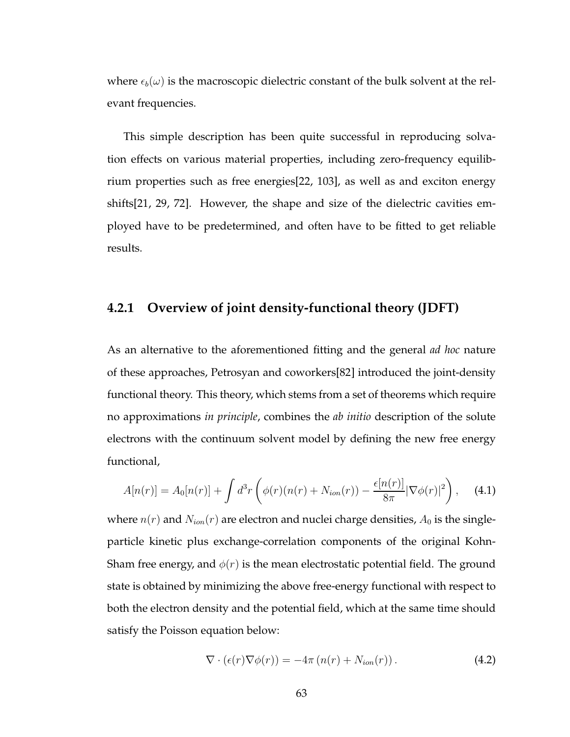where  $\epsilon_b(\omega)$  is the macroscopic dielectric constant of the bulk solvent at the relevant frequencies.

This simple description has been quite successful in reproducing solvation effects on various material properties, including zero-frequency equilibrium properties such as free energies[22, 103], as well as and exciton energy shifts[21, 29, 72]. However, the shape and size of the dielectric cavities employed have to be predetermined, and often have to be fitted to get reliable results.

#### **4.2.1 Overview of joint density-functional theory (JDFT)**

As an alternative to the aforementioned fitting and the general *ad hoc* nature of these approaches, Petrosyan and coworkers[82] introduced the joint-density functional theory. This theory, which stems from a set of theorems which require no approximations *in principle*, combines the *ab initio* description of the solute electrons with the continuum solvent model by defining the new free energy functional,

$$
A[n(r)] = A_0[n(r)] + \int d^3r \left( \phi(r)(n(r) + N_{ion}(r)) - \frac{\epsilon[n(r)]}{8\pi} |\nabla \phi(r)|^2 \right), \quad (4.1)
$$

where  $n(r)$  and  $N_{ion}(r)$  are electron and nuclei charge densities,  $A_0$  is the singleparticle kinetic plus exchange-correlation components of the original Kohn-Sham free energy, and  $\phi(r)$  is the mean electrostatic potential field. The ground state is obtained by minimizing the above free-energy functional with respect to both the electron density and the potential field, which at the same time should satisfy the Poisson equation below:

$$
\nabla \cdot (\epsilon(r) \nabla \phi(r)) = -4\pi (n(r) + N_{ion}(r)). \qquad (4.2)
$$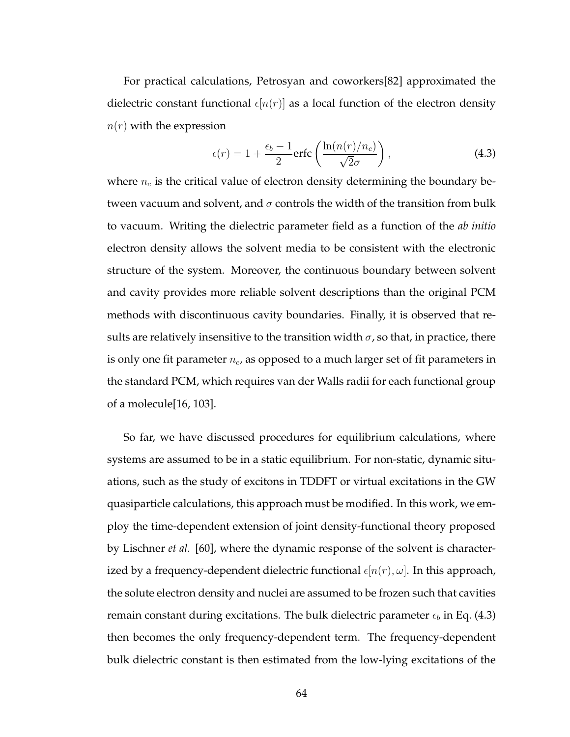For practical calculations, Petrosyan and coworkers[82] approximated the dielectric constant functional  $\epsilon[n(r)]$  as a local function of the electron density  $n(r)$  with the expression

$$
\epsilon(r) = 1 + \frac{\epsilon_b - 1}{2} \text{erfc}\left(\frac{\ln(n(r)/n_c)}{\sqrt{2}\sigma}\right),\tag{4.3}
$$

where  $n_c$  is the critical value of electron density determining the boundary between vacuum and solvent, and  $\sigma$  controls the width of the transition from bulk to vacuum. Writing the dielectric parameter field as a function of the *ab initio* electron density allows the solvent media to be consistent with the electronic structure of the system. Moreover, the continuous boundary between solvent and cavity provides more reliable solvent descriptions than the original PCM methods with discontinuous cavity boundaries. Finally, it is observed that results are relatively insensitive to the transition width  $\sigma$ , so that, in practice, there is only one fit parameter  $n_c$ , as opposed to a much larger set of fit parameters in the standard PCM, which requires van der Walls radii for each functional group of a molecule[16, 103].

So far, we have discussed procedures for equilibrium calculations, where systems are assumed to be in a static equilibrium. For non-static, dynamic situations, such as the study of excitons in TDDFT or virtual excitations in the GW quasiparticle calculations, this approach must be modified. In this work, we employ the time-dependent extension of joint density-functional theory proposed by Lischner *et al.* [60], where the dynamic response of the solvent is characterized by a frequency-dependent dielectric functional  $\epsilon[n(r), \omega]$ . In this approach, the solute electron density and nuclei are assumed to be frozen such that cavities remain constant during excitations. The bulk dielectric parameter  $\epsilon_b$  in Eq. (4.3) then becomes the only frequency-dependent term. The frequency-dependent bulk dielectric constant is then estimated from the low-lying excitations of the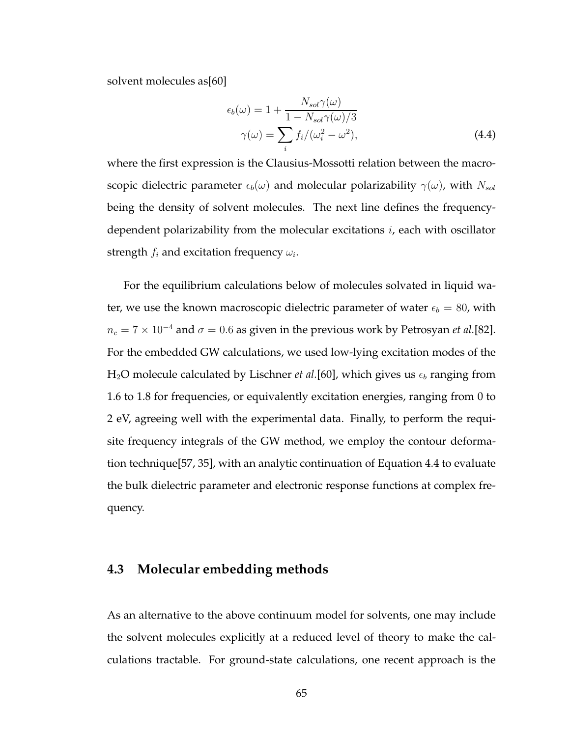solvent molecules as[60]

$$
\epsilon_b(\omega) = 1 + \frac{N_{sol}\gamma(\omega)}{1 - N_{sol}\gamma(\omega)/3}
$$

$$
\gamma(\omega) = \sum_i f_i / (\omega_i^2 - \omega^2), \tag{4.4}
$$

where the first expression is the Clausius-Mossotti relation between the macroscopic dielectric parameter  $\epsilon_b(\omega)$  and molecular polarizability  $\gamma(\omega)$ , with  $N_{sol}$ being the density of solvent molecules. The next line defines the frequencydependent polarizability from the molecular excitations  $i$ , each with oscillator strength  $f_i$  and excitation frequency  $\omega_i.$ 

For the equilibrium calculations below of molecules solvated in liquid water, we use the known macroscopic dielectric parameter of water  $\epsilon_b = 80$ , with  $n_c = 7 \times 10^{-4}$  and  $\sigma = 0.6$  as given in the previous work by Petrosyan *et al*.[82]. For the embedded GW calculations, we used low-lying excitation modes of the  $H_2O$  molecule calculated by Lischner *et al.*[60], which gives us  $\epsilon_b$  ranging from 1.6 to 1.8 for frequencies, or equivalently excitation energies, ranging from 0 to 2 eV, agreeing well with the experimental data. Finally, to perform the requisite frequency integrals of the GW method, we employ the contour deformation technique[57, 35], with an analytic continuation of Equation 4.4 to evaluate the bulk dielectric parameter and electronic response functions at complex frequency.

## **4.3 Molecular embedding methods**

As an alternative to the above continuum model for solvents, one may include the solvent molecules explicitly at a reduced level of theory to make the calculations tractable. For ground-state calculations, one recent approach is the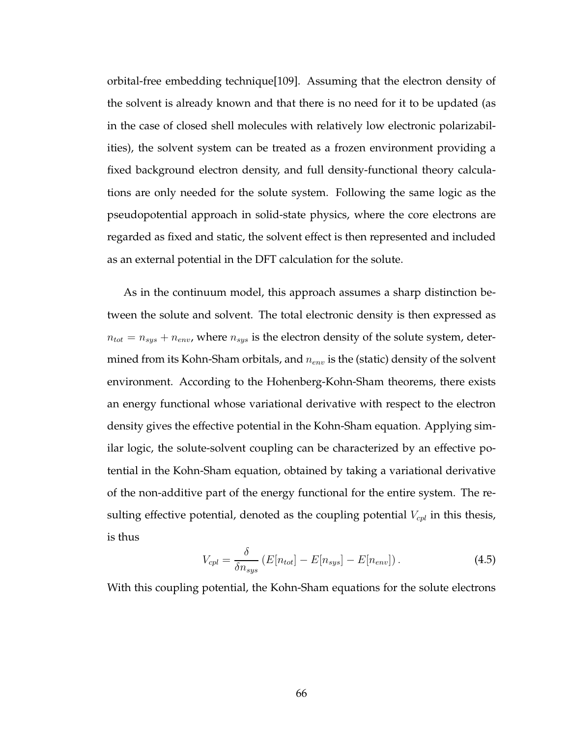orbital-free embedding technique[109]. Assuming that the electron density of the solvent is already known and that there is no need for it to be updated (as in the case of closed shell molecules with relatively low electronic polarizabilities), the solvent system can be treated as a frozen environment providing a fixed background electron density, and full density-functional theory calculations are only needed for the solute system. Following the same logic as the pseudopotential approach in solid-state physics, where the core electrons are regarded as fixed and static, the solvent effect is then represented and included as an external potential in the DFT calculation for the solute.

As in the continuum model, this approach assumes a sharp distinction between the solute and solvent. The total electronic density is then expressed as  $n_{tot} = n_{sys} + n_{env}$ , where  $n_{sys}$  is the electron density of the solute system, determined from its Kohn-Sham orbitals, and  $n_{env}$  is the (static) density of the solvent environment. According to the Hohenberg-Kohn-Sham theorems, there exists an energy functional whose variational derivative with respect to the electron density gives the effective potential in the Kohn-Sham equation. Applying similar logic, the solute-solvent coupling can be characterized by an effective potential in the Kohn-Sham equation, obtained by taking a variational derivative of the non-additive part of the energy functional for the entire system. The resulting effective potential, denoted as the coupling potential  $V_{cpl}$  in this thesis, is thus

$$
V_{cpl} = \frac{\delta}{\delta n_{sys}} \left( E[n_{tot}] - E[n_{sys}] - E[n_{env}] \right). \tag{4.5}
$$

With this coupling potential, the Kohn-Sham equations for the solute electrons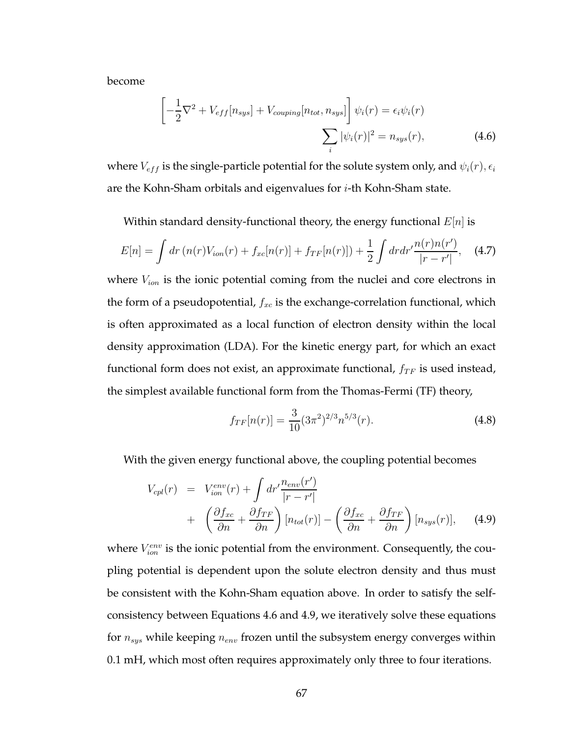become

$$
\left[-\frac{1}{2}\nabla^2 + V_{eff}[n_{sys}] + V_{couping}[n_{tot}, n_{sys}]\right]\psi_i(r) = \epsilon_i\psi_i(r)
$$

$$
\sum_i |\psi_i(r)|^2 = n_{sys}(r), \tag{4.6}
$$

where  $V_{eff}$  is the single-particle potential for the solute system only, and  $\psi_i(r)$ ,  $\epsilon_i$ are the Kohn-Sham orbitals and eigenvalues for  $i$ -th Kohn-Sham state.

Within standard density-functional theory, the energy functional  $E[n]$  is

$$
E[n] = \int dr \left( n(r) V_{ion}(r) + f_{xc}[n(r)] + f_{TF}[n(r)] \right) + \frac{1}{2} \int dr dr' \frac{n(r)n(r')}{|r - r'|}, \quad (4.7)
$$

where  $V_{ion}$  is the ionic potential coming from the nuclei and core electrons in the form of a pseudopotential,  $f_{xc}$  is the exchange-correlation functional, which is often approximated as a local function of electron density within the local density approximation (LDA). For the kinetic energy part, for which an exact functional form does not exist, an approximate functional,  $f_{TF}$  is used instead, the simplest available functional form from the Thomas-Fermi (TF) theory,

$$
f_{TF}[n(r)] = \frac{3}{10}(3\pi^2)^{2/3}n^{5/3}(r). \tag{4.8}
$$

With the given energy functional above, the coupling potential becomes

$$
V_{cpl}(r) = V_{ion}^{env}(r) + \int dr' \frac{n_{env}(r')}{|r - r'|} + \left(\frac{\partial f_{xc}}{\partial n} + \frac{\partial f_{TF}}{\partial n}\right) [n_{tot}(r)] - \left(\frac{\partial f_{xc}}{\partial n} + \frac{\partial f_{TF}}{\partial n}\right) [n_{sys}(r)], \quad (4.9)
$$

where  $V_{ion}^{env}$  is the ionic potential from the environment. Consequently, the coupling potential is dependent upon the solute electron density and thus must be consistent with the Kohn-Sham equation above. In order to satisfy the selfconsistency between Equations 4.6 and 4.9, we iteratively solve these equations for  $n_{sys}$  while keeping  $n_{env}$  frozen until the subsystem energy converges within 0.1 mH, which most often requires approximately only three to four iterations.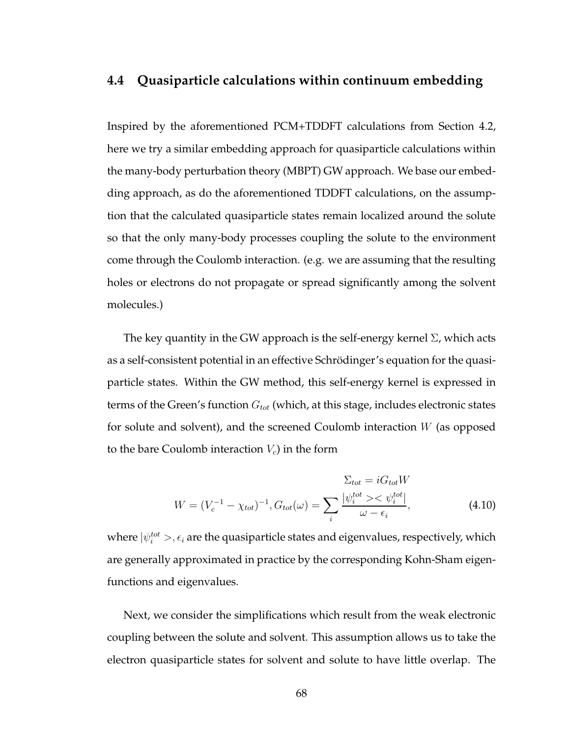## **4.4 Quasiparticle calculations within continuum embedding**

Inspired by the aforementioned PCM+TDDFT calculations from Section 4.2, here we try a similar embedding approach for quasiparticle calculations within the many-body perturbation theory (MBPT) GW approach. We base our embedding approach, as do the aforementioned TDDFT calculations, on the assumption that the calculated quasiparticle states remain localized around the solute so that the only many-body processes coupling the solute to the environment come through the Coulomb interaction. (e.g. we are assuming that the resulting holes or electrons do not propagate or spread significantly among the solvent molecules.)

The key quantity in the GW approach is the self-energy kernel  $\Sigma$ , which acts as a self-consistent potential in an effective Schrödinger's equation for the quasiparticle states. Within the GW method, this self-energy kernel is expressed in terms of the Green's function  $G_{tot}$  (which, at this stage, includes electronic states for solute and solvent), and the screened Coulomb interaction  $W$  (as opposed to the bare Coulomb interaction  $V_c$ ) in the form

$$
\Sigma_{tot} = iG_{tot}W
$$

$$
W = (V_c^{-1} - \chi_{tot})^{-1}, G_{tot}(\omega) = \sum_{i} \frac{|\psi_i^{tot} \rangle \langle \psi_i^{tot}|}{\omega - \epsilon_i}, \tag{4.10}
$$

where  $|\psi_i^{tot}>$  ,  $\epsilon_i$  are the quasiparticle states and eigenvalues, respectively, which are generally approximated in practice by the corresponding Kohn-Sham eigenfunctions and eigenvalues.

Next, we consider the simplifications which result from the weak electronic coupling between the solute and solvent. This assumption allows us to take the electron quasiparticle states for solvent and solute to have little overlap. The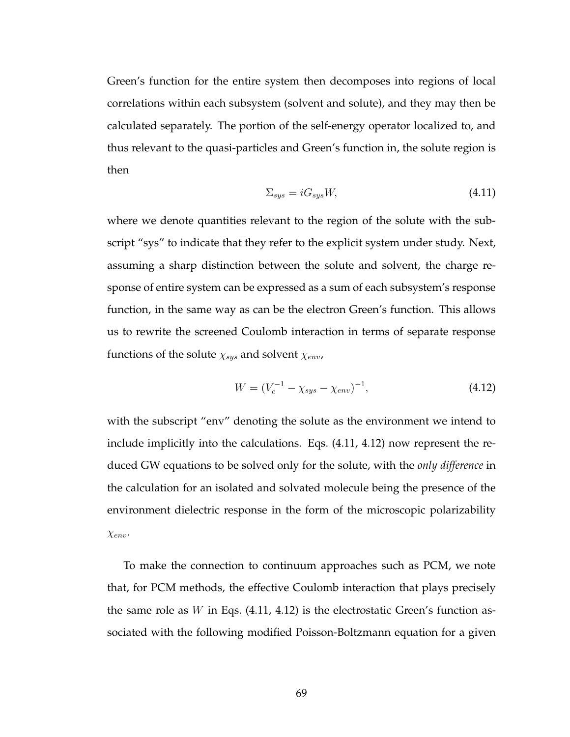Green's function for the entire system then decomposes into regions of local correlations within each subsystem (solvent and solute), and they may then be calculated separately. The portion of the self-energy operator localized to, and thus relevant to the quasi-particles and Green's function in, the solute region is then

$$
\Sigma_{sys} = iG_{sys}W,\tag{4.11}
$$

where we denote quantities relevant to the region of the solute with the subscript "sys" to indicate that they refer to the explicit system under study. Next, assuming a sharp distinction between the solute and solvent, the charge response of entire system can be expressed as a sum of each subsystem's response function, in the same way as can be the electron Green's function. This allows us to rewrite the screened Coulomb interaction in terms of separate response functions of the solute  $\chi_{sys}$  and solvent  $\chi_{env}$ ,

$$
W = (V_c^{-1} - \chi_{sys} - \chi_{env})^{-1}, \tag{4.12}
$$

with the subscript "env" denoting the solute as the environment we intend to include implicitly into the calculations. Eqs. (4.11, 4.12) now represent the reduced GW equations to be solved only for the solute, with the *only difference* in the calculation for an isolated and solvated molecule being the presence of the environment dielectric response in the form of the microscopic polarizability χenv.

To make the connection to continuum approaches such as PCM, we note that, for PCM methods, the effective Coulomb interaction that plays precisely the same role as  $W$  in Eqs. (4.11, 4.12) is the electrostatic Green's function associated with the following modified Poisson-Boltzmann equation for a given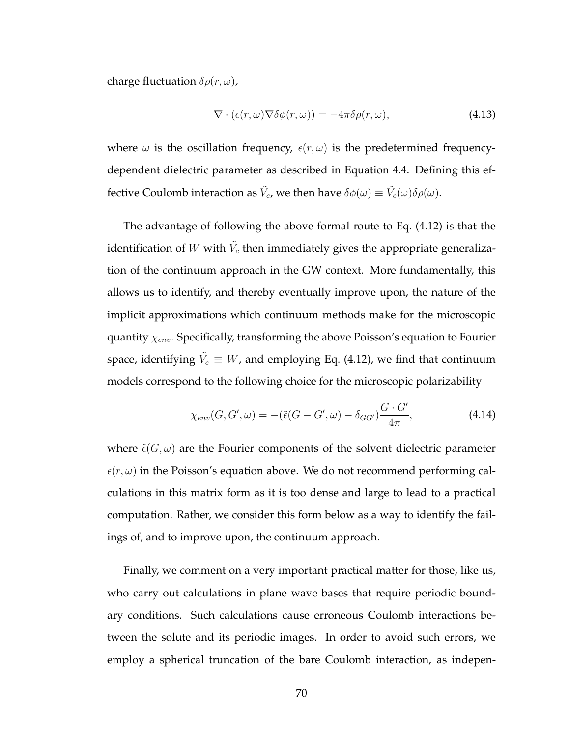charge fluctuation  $\delta \rho(r,\omega)$ ,

$$
\nabla \cdot (\epsilon(r,\omega) \nabla \delta \phi(r,\omega)) = -4\pi \delta \rho(r,\omega), \qquad (4.13)
$$

where  $\omega$  is the oscillation frequency,  $\epsilon(r, \omega)$  is the predetermined frequencydependent dielectric parameter as described in Equation 4.4. Defining this effective Coulomb interaction as  $\tilde{V_c}$ , we then have  $\delta\phi(\omega) \equiv \tilde{V_c}(\omega)\delta\rho(\omega)$ .

The advantage of following the above formal route to Eq. (4.12) is that the identification of  $W$  with  $\tilde{V_c}$  then immediately gives the appropriate generalization of the continuum approach in the GW context. More fundamentally, this allows us to identify, and thereby eventually improve upon, the nature of the implicit approximations which continuum methods make for the microscopic quantity  $\chi_{env}$ . Specifically, transforming the above Poisson's equation to Fourier space, identifying  $\tilde{V_c} \equiv W$ , and employing Eq. (4.12), we find that continuum models correspond to the following choice for the microscopic polarizability

$$
\chi_{env}(G, G', \omega) = -(\tilde{\epsilon}(G - G', \omega) - \delta_{GG'}) \frac{G \cdot G'}{4\pi}, \tag{4.14}
$$

where  $\tilde{\epsilon}(G,\omega)$  are the Fourier components of the solvent dielectric parameter  $\epsilon(r,\omega)$  in the Poisson's equation above. We do not recommend performing calculations in this matrix form as it is too dense and large to lead to a practical computation. Rather, we consider this form below as a way to identify the failings of, and to improve upon, the continuum approach.

Finally, we comment on a very important practical matter for those, like us, who carry out calculations in plane wave bases that require periodic boundary conditions. Such calculations cause erroneous Coulomb interactions between the solute and its periodic images. In order to avoid such errors, we employ a spherical truncation of the bare Coulomb interaction, as indepen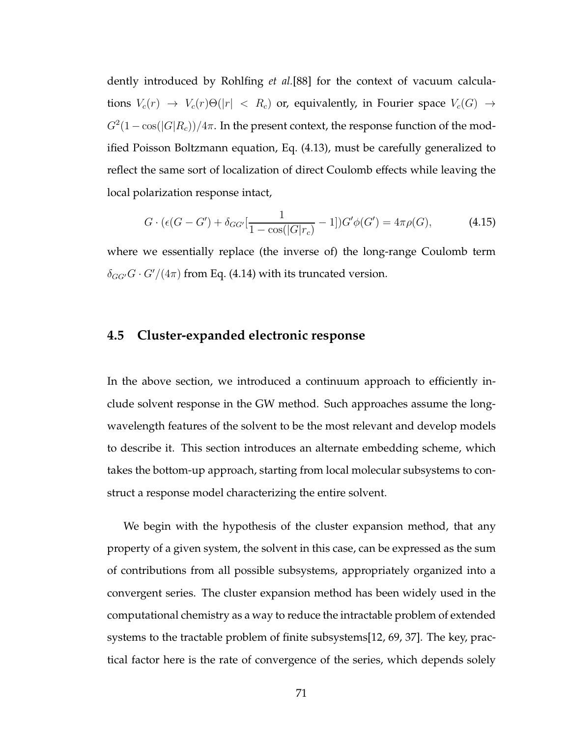dently introduced by Rohlfing *et al.*[88] for the context of vacuum calculations  $V_c(r) \rightarrow V_c(r) \Theta(|r| \langle R_c \rangle)$  or, equivalently, in Fourier space  $V_c(G) \rightarrow$  $G^2(1-\cos(|G|R_c))/4\pi.$  In the present context, the response function of the modified Poisson Boltzmann equation, Eq. (4.13), must be carefully generalized to reflect the same sort of localization of direct Coulomb effects while leaving the local polarization response intact,

$$
G \cdot (\epsilon(G - G') + \delta_{GG'}[\frac{1}{1 - \cos(|G| r_c)} - 1])G'\phi(G') = 4\pi \rho(G), \tag{4.15}
$$

where we essentially replace (the inverse of) the long-range Coulomb term  $\delta_{GG'}G \cdot G'/(4\pi)$  from Eq. (4.14) with its truncated version.

# **4.5 Cluster-expanded electronic response**

In the above section, we introduced a continuum approach to efficiently include solvent response in the GW method. Such approaches assume the longwavelength features of the solvent to be the most relevant and develop models to describe it. This section introduces an alternate embedding scheme, which takes the bottom-up approach, starting from local molecular subsystems to construct a response model characterizing the entire solvent.

We begin with the hypothesis of the cluster expansion method, that any property of a given system, the solvent in this case, can be expressed as the sum of contributions from all possible subsystems, appropriately organized into a convergent series. The cluster expansion method has been widely used in the computational chemistry as a way to reduce the intractable problem of extended systems to the tractable problem of finite subsystems[12, 69, 37]. The key, practical factor here is the rate of convergence of the series, which depends solely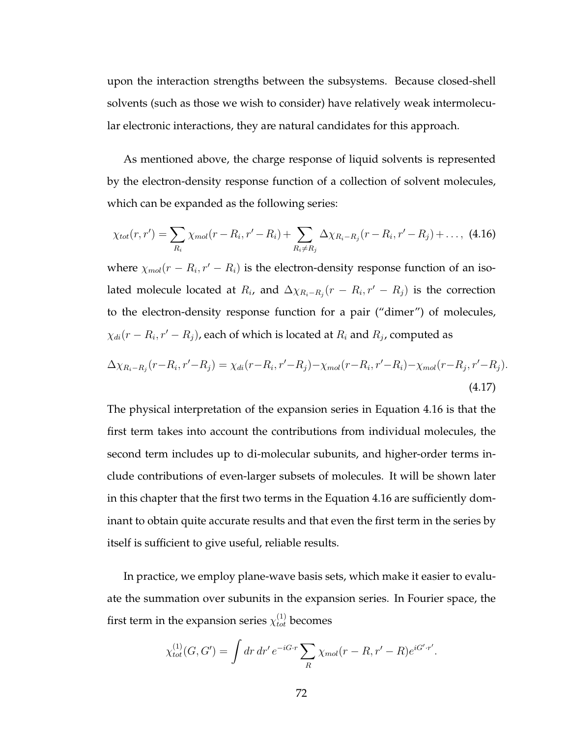upon the interaction strengths between the subsystems. Because closed-shell solvents (such as those we wish to consider) have relatively weak intermolecular electronic interactions, they are natural candidates for this approach.

As mentioned above, the charge response of liquid solvents is represented by the electron-density response function of a collection of solvent molecules, which can be expanded as the following series:

$$
\chi_{tot}(r,r') = \sum_{R_i} \chi_{mol}(r - R_i, r' - R_i) + \sum_{R_i \neq R_j} \Delta \chi_{R_i - R_j}(r - R_i, r' - R_j) + \dots, (4.16)
$$

where  $\chi_{mol}(r - R_i, r' - R_i)$  is the electron-density response function of an isolated molecule located at  $R_i$ , and  $\Delta \chi_{R_i-R_j}(r - R_i, r' - R_j)$  is the correction to the electron-density response function for a pair ("dimer") of molecules,  $\chi_{di}(r-R_i,r'-R_j)$ , each of which is located at  $R_i$  and  $R_j$ , computed as

$$
\Delta \chi_{R_i - R_j}(r - R_i, r' - R_j) = \chi_{di}(r - R_i, r' - R_j) - \chi_{mol}(r - R_i, r' - R_i) - \chi_{mol}(r - R_j, r' - R_j).
$$
\n(4.17)

The physical interpretation of the expansion series in Equation 4.16 is that the first term takes into account the contributions from individual molecules, the second term includes up to di-molecular subunits, and higher-order terms include contributions of even-larger subsets of molecules. It will be shown later in this chapter that the first two terms in the Equation 4.16 are sufficiently dominant to obtain quite accurate results and that even the first term in the series by itself is sufficient to give useful, reliable results.

In practice, we employ plane-wave basis sets, which make it easier to evaluate the summation over subunits in the expansion series. In Fourier space, the first term in the expansion series  $\chi_{tot}^{(1)}$  becomes

$$
\chi^{(1)}_{tot}(G, G') = \int dr dr' e^{-iG \cdot r} \sum_{R} \chi_{mol}(r - R, r' - R) e^{iG' \cdot r'}.
$$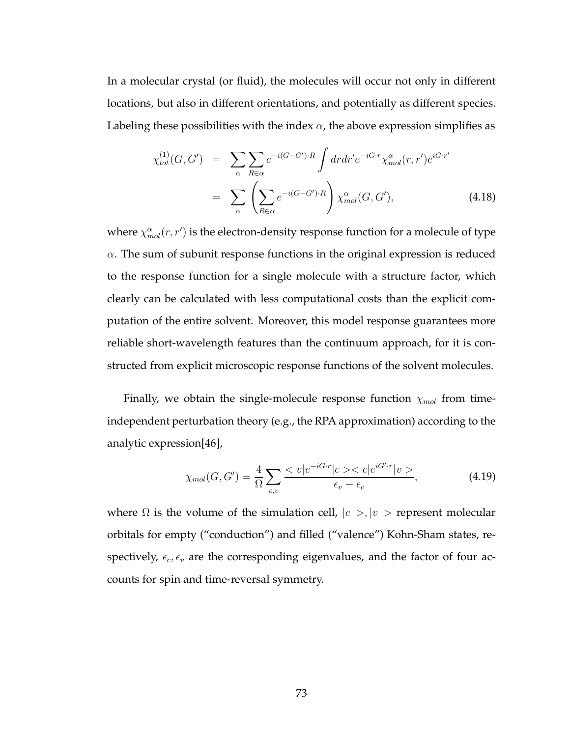In a molecular crystal (or fluid), the molecules will occur not only in different locations, but also in different orientations, and potentially as different species. Labeling these possibilities with the index  $\alpha$ , the above expression simplifies as

$$
\chi_{tot}^{(1)}(G, G') = \sum_{\alpha} \sum_{R \in \alpha} e^{-i(G - G') \cdot R} \int dr dr' e^{-iG \cdot r} \chi_{mol}^{\alpha}(r, r') e^{iG \cdot r'}
$$

$$
= \sum_{\alpha} \left( \sum_{R \in \alpha} e^{-i(G - G') \cdot R} \right) \chi_{mol}^{\alpha}(G, G'), \tag{4.18}
$$

where  $\chi_{mol}^{\alpha}(r,r')$  is the electron-density response function for a molecule of type  $\alpha$ . The sum of subunit response functions in the original expression is reduced to the response function for a single molecule with a structure factor, which clearly can be calculated with less computational costs than the explicit computation of the entire solvent. Moreover, this model response guarantees more reliable short-wavelength features than the continuum approach, for it is constructed from explicit microscopic response functions of the solvent molecules.

Finally, we obtain the single-molecule response function  $\chi_{mol}$  from timeindependent perturbation theory (e.g., the RPA approximation) according to the analytic expression[46],

$$
\chi_{mol}(G, G') = \frac{4}{\Omega} \sum_{c,v} \frac{\langle v|e^{-iG\cdot r}|c \rangle \langle c|e^{iG'\cdot r}|v \rangle}{\epsilon_v - \epsilon_c},
$$
(4.19)

where  $\Omega$  is the volume of the simulation cell,  $|c \rangle$ ,  $|v \rangle$  represent molecular orbitals for empty ("conduction") and filled ("valence") Kohn-Sham states, respectively,  $\epsilon_c, \epsilon_v$  are the corresponding eigenvalues, and the factor of four accounts for spin and time-reversal symmetry.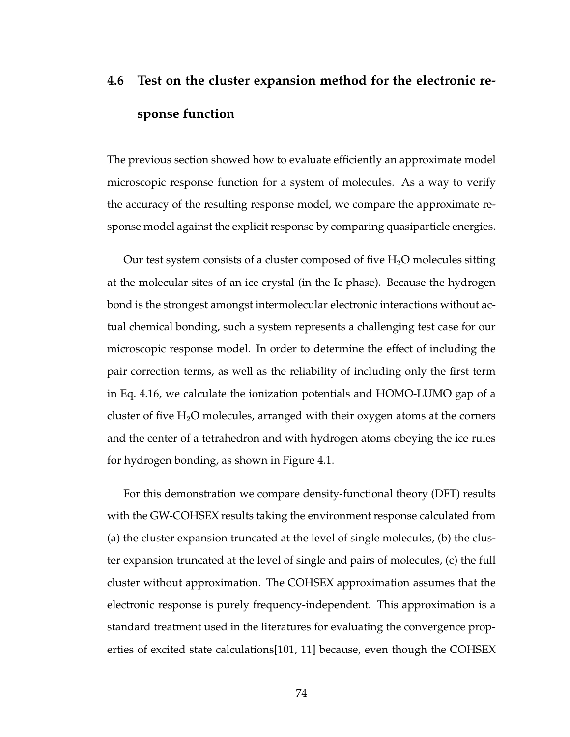# **4.6 Test on the cluster expansion method for the electronic response function**

The previous section showed how to evaluate efficiently an approximate model microscopic response function for a system of molecules. As a way to verify the accuracy of the resulting response model, we compare the approximate response model against the explicit response by comparing quasiparticle energies.

Our test system consists of a cluster composed of five  $H_2O$  molecules sitting at the molecular sites of an ice crystal (in the Ic phase). Because the hydrogen bond is the strongest amongst intermolecular electronic interactions without actual chemical bonding, such a system represents a challenging test case for our microscopic response model. In order to determine the effect of including the pair correction terms, as well as the reliability of including only the first term in Eq. 4.16, we calculate the ionization potentials and HOMO-LUMO gap of a cluster of five  $H_2O$  molecules, arranged with their oxygen atoms at the corners and the center of a tetrahedron and with hydrogen atoms obeying the ice rules for hydrogen bonding, as shown in Figure 4.1.

For this demonstration we compare density-functional theory (DFT) results with the GW-COHSEX results taking the environment response calculated from (a) the cluster expansion truncated at the level of single molecules, (b) the cluster expansion truncated at the level of single and pairs of molecules, (c) the full cluster without approximation. The COHSEX approximation assumes that the electronic response is purely frequency-independent. This approximation is a standard treatment used in the literatures for evaluating the convergence properties of excited state calculations[101, 11] because, even though the COHSEX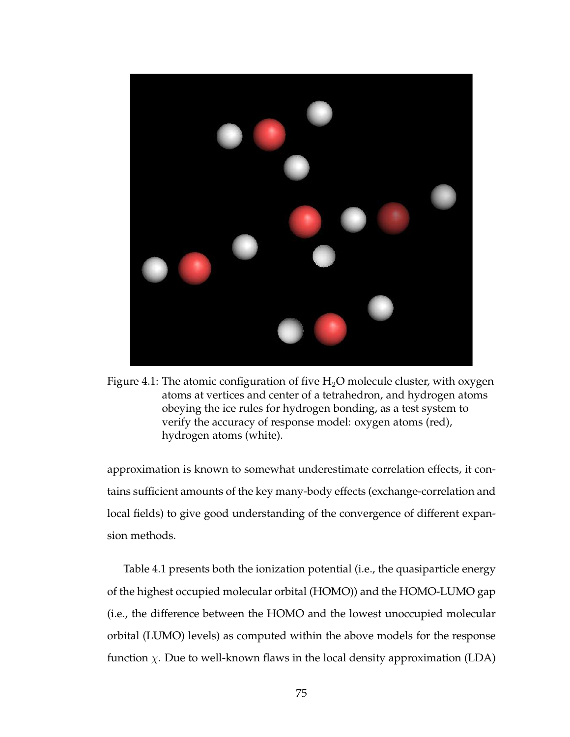

Figure 4.1: The atomic configuration of five  $H_2O$  molecule cluster, with oxygen atoms at vertices and center of a tetrahedron, and hydrogen atoms obeying the ice rules for hydrogen bonding, as a test system to verify the accuracy of response model: oxygen atoms (red), hydrogen atoms (white).

approximation is known to somewhat underestimate correlation effects, it contains sufficient amounts of the key many-body effects (exchange-correlation and local fields) to give good understanding of the convergence of different expansion methods.

Table 4.1 presents both the ionization potential (i.e., the quasiparticle energy of the highest occupied molecular orbital (HOMO)) and the HOMO-LUMO gap (i.e., the difference between the HOMO and the lowest unoccupied molecular orbital (LUMO) levels) as computed within the above models for the response function  $\chi$ . Due to well-known flaws in the local density approximation (LDA)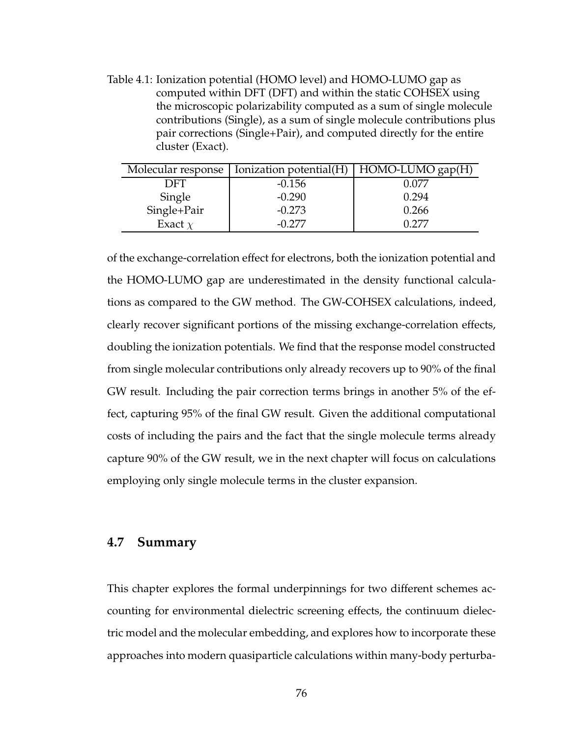Table 4.1: Ionization potential (HOMO level) and HOMO-LUMO gap as computed within DFT (DFT) and within the static COHSEX using the microscopic polarizability computed as a sum of single molecule contributions (Single), as a sum of single molecule contributions plus pair corrections (Single+Pair), and computed directly for the entire cluster (Exact).

| Molecular response | Ionization potential(H) | HOMO-LUMO gap(H) |  |
|--------------------|-------------------------|------------------|--|
| DFT                | $-0.156$                | 0.077            |  |
| Single             | $-0.290$                | 0.294            |  |
| Single+Pair        | $-0.273$                | 0.266            |  |
| Exact $\chi$       | -0.277                  |                  |  |

of the exchange-correlation effect for electrons, both the ionization potential and the HOMO-LUMO gap are underestimated in the density functional calculations as compared to the GW method. The GW-COHSEX calculations, indeed, clearly recover significant portions of the missing exchange-correlation effects, doubling the ionization potentials. We find that the response model constructed from single molecular contributions only already recovers up to 90% of the final GW result. Including the pair correction terms brings in another 5% of the effect, capturing 95% of the final GW result. Given the additional computational costs of including the pairs and the fact that the single molecule terms already capture 90% of the GW result, we in the next chapter will focus on calculations employing only single molecule terms in the cluster expansion.

#### **4.7 Summary**

This chapter explores the formal underpinnings for two different schemes accounting for environmental dielectric screening effects, the continuum dielectric model and the molecular embedding, and explores how to incorporate these approaches into modern quasiparticle calculations within many-body perturba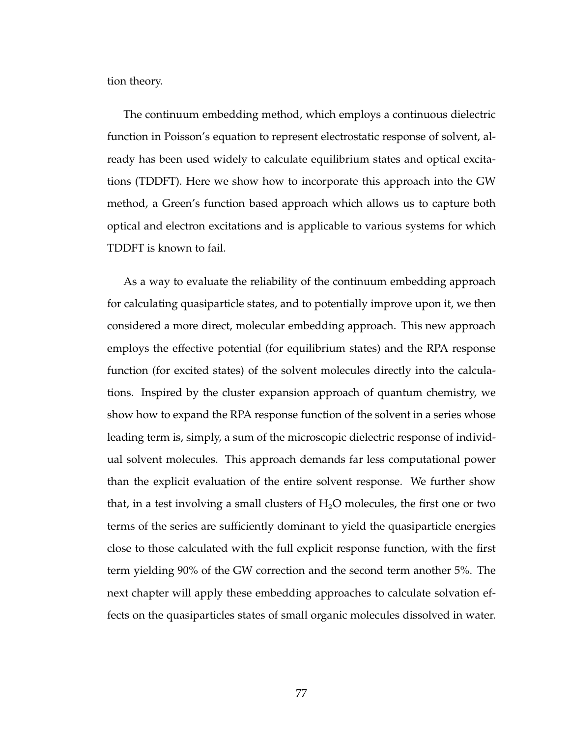tion theory.

The continuum embedding method, which employs a continuous dielectric function in Poisson's equation to represent electrostatic response of solvent, already has been used widely to calculate equilibrium states and optical excitations (TDDFT). Here we show how to incorporate this approach into the GW method, a Green's function based approach which allows us to capture both optical and electron excitations and is applicable to various systems for which TDDFT is known to fail.

As a way to evaluate the reliability of the continuum embedding approach for calculating quasiparticle states, and to potentially improve upon it, we then considered a more direct, molecular embedding approach. This new approach employs the effective potential (for equilibrium states) and the RPA response function (for excited states) of the solvent molecules directly into the calculations. Inspired by the cluster expansion approach of quantum chemistry, we show how to expand the RPA response function of the solvent in a series whose leading term is, simply, a sum of the microscopic dielectric response of individual solvent molecules. This approach demands far less computational power than the explicit evaluation of the entire solvent response. We further show that, in a test involving a small clusters of  $H_2O$  molecules, the first one or two terms of the series are sufficiently dominant to yield the quasiparticle energies close to those calculated with the full explicit response function, with the first term yielding 90% of the GW correction and the second term another 5%. The next chapter will apply these embedding approaches to calculate solvation effects on the quasiparticles states of small organic molecules dissolved in water.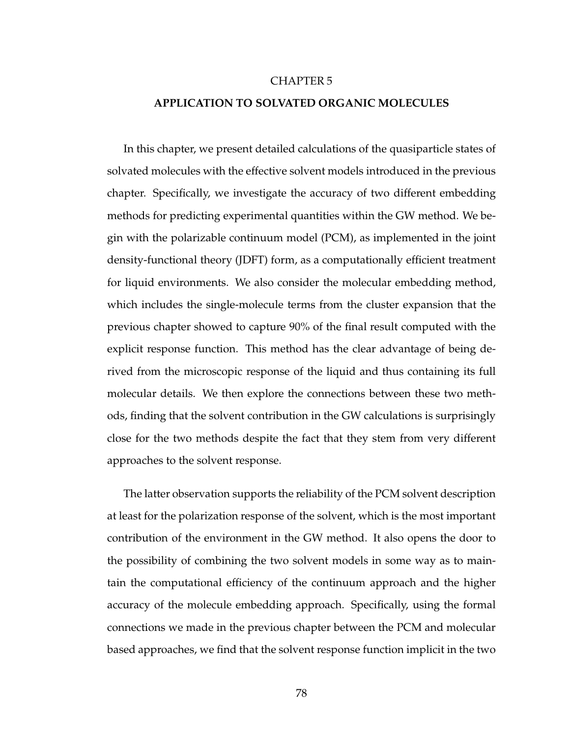#### CHAPTER 5

#### **APPLICATION TO SOLVATED ORGANIC MOLECULES**

In this chapter, we present detailed calculations of the quasiparticle states of solvated molecules with the effective solvent models introduced in the previous chapter. Specifically, we investigate the accuracy of two different embedding methods for predicting experimental quantities within the GW method. We begin with the polarizable continuum model (PCM), as implemented in the joint density-functional theory (JDFT) form, as a computationally efficient treatment for liquid environments. We also consider the molecular embedding method, which includes the single-molecule terms from the cluster expansion that the previous chapter showed to capture 90% of the final result computed with the explicit response function. This method has the clear advantage of being derived from the microscopic response of the liquid and thus containing its full molecular details. We then explore the connections between these two methods, finding that the solvent contribution in the GW calculations is surprisingly close for the two methods despite the fact that they stem from very different approaches to the solvent response.

The latter observation supports the reliability of the PCM solvent description at least for the polarization response of the solvent, which is the most important contribution of the environment in the GW method. It also opens the door to the possibility of combining the two solvent models in some way as to maintain the computational efficiency of the continuum approach and the higher accuracy of the molecule embedding approach. Specifically, using the formal connections we made in the previous chapter between the PCM and molecular based approaches, we find that the solvent response function implicit in the two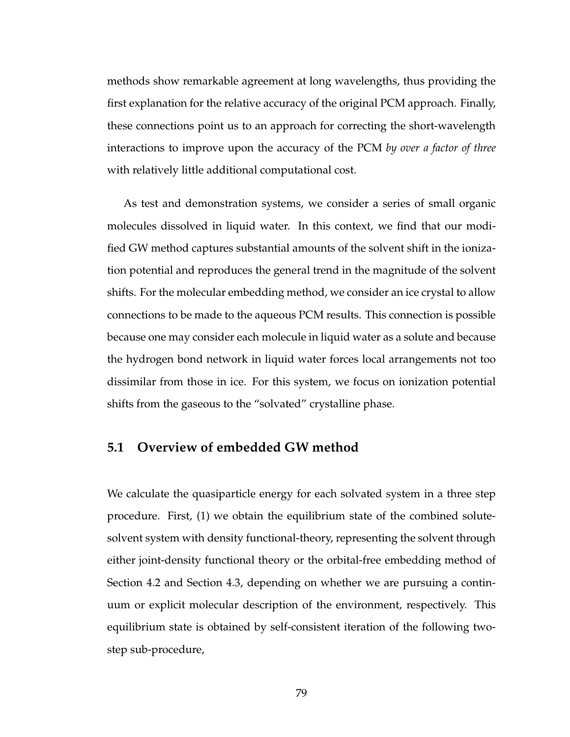methods show remarkable agreement at long wavelengths, thus providing the first explanation for the relative accuracy of the original PCM approach. Finally, these connections point us to an approach for correcting the short-wavelength interactions to improve upon the accuracy of the PCM *by over a factor of three* with relatively little additional computational cost.

As test and demonstration systems, we consider a series of small organic molecules dissolved in liquid water. In this context, we find that our modified GW method captures substantial amounts of the solvent shift in the ionization potential and reproduces the general trend in the magnitude of the solvent shifts. For the molecular embedding method, we consider an ice crystal to allow connections to be made to the aqueous PCM results. This connection is possible because one may consider each molecule in liquid water as a solute and because the hydrogen bond network in liquid water forces local arrangements not too dissimilar from those in ice. For this system, we focus on ionization potential shifts from the gaseous to the "solvated" crystalline phase.

#### **5.1 Overview of embedded GW method**

We calculate the quasiparticle energy for each solvated system in a three step procedure. First, (1) we obtain the equilibrium state of the combined solutesolvent system with density functional-theory, representing the solvent through either joint-density functional theory or the orbital-free embedding method of Section 4.2 and Section 4.3, depending on whether we are pursuing a continuum or explicit molecular description of the environment, respectively. This equilibrium state is obtained by self-consistent iteration of the following twostep sub-procedure,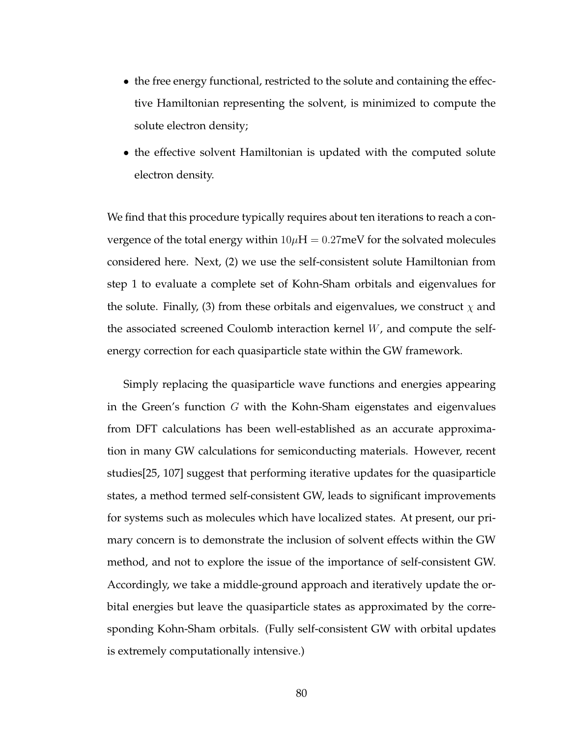- the free energy functional, restricted to the solute and containing the effective Hamiltonian representing the solvent, is minimized to compute the solute electron density;
- the effective solvent Hamiltonian is updated with the computed solute electron density.

We find that this procedure typically requires about ten iterations to reach a convergence of the total energy within  $10\mu$ H = 0.27meV for the solvated molecules considered here. Next, (2) we use the self-consistent solute Hamiltonian from step 1 to evaluate a complete set of Kohn-Sham orbitals and eigenvalues for the solute. Finally, (3) from these orbitals and eigenvalues, we construct  $\chi$  and the associated screened Coulomb interaction kernel W, and compute the selfenergy correction for each quasiparticle state within the GW framework.

Simply replacing the quasiparticle wave functions and energies appearing in the Green's function  $G$  with the Kohn-Sham eigenstates and eigenvalues from DFT calculations has been well-established as an accurate approximation in many GW calculations for semiconducting materials. However, recent studies[25, 107] suggest that performing iterative updates for the quasiparticle states, a method termed self-consistent GW, leads to significant improvements for systems such as molecules which have localized states. At present, our primary concern is to demonstrate the inclusion of solvent effects within the GW method, and not to explore the issue of the importance of self-consistent GW. Accordingly, we take a middle-ground approach and iteratively update the orbital energies but leave the quasiparticle states as approximated by the corresponding Kohn-Sham orbitals. (Fully self-consistent GW with orbital updates is extremely computationally intensive.)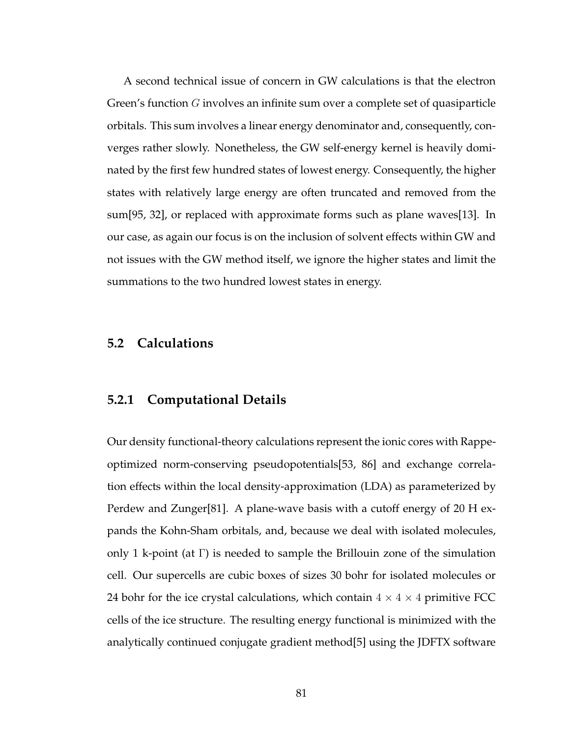A second technical issue of concern in GW calculations is that the electron Green's function G involves an infinite sum over a complete set of quasiparticle orbitals. This sum involves a linear energy denominator and, consequently, converges rather slowly. Nonetheless, the GW self-energy kernel is heavily dominated by the first few hundred states of lowest energy. Consequently, the higher states with relatively large energy are often truncated and removed from the sum[95, 32], or replaced with approximate forms such as plane waves[13]. In our case, as again our focus is on the inclusion of solvent effects within GW and not issues with the GW method itself, we ignore the higher states and limit the summations to the two hundred lowest states in energy.

## **5.2 Calculations**

#### **5.2.1 Computational Details**

Our density functional-theory calculations represent the ionic cores with Rappeoptimized norm-conserving pseudopotentials[53, 86] and exchange correlation effects within the local density-approximation (LDA) as parameterized by Perdew and Zunger[81]. A plane-wave basis with a cutoff energy of 20 H expands the Kohn-Sham orbitals, and, because we deal with isolated molecules, only 1 k-point (at  $\Gamma$ ) is needed to sample the Brillouin zone of the simulation cell. Our supercells are cubic boxes of sizes 30 bohr for isolated molecules or 24 bohr for the ice crystal calculations, which contain  $4 \times 4 \times 4$  primitive FCC cells of the ice structure. The resulting energy functional is minimized with the analytically continued conjugate gradient method[5] using the JDFTX software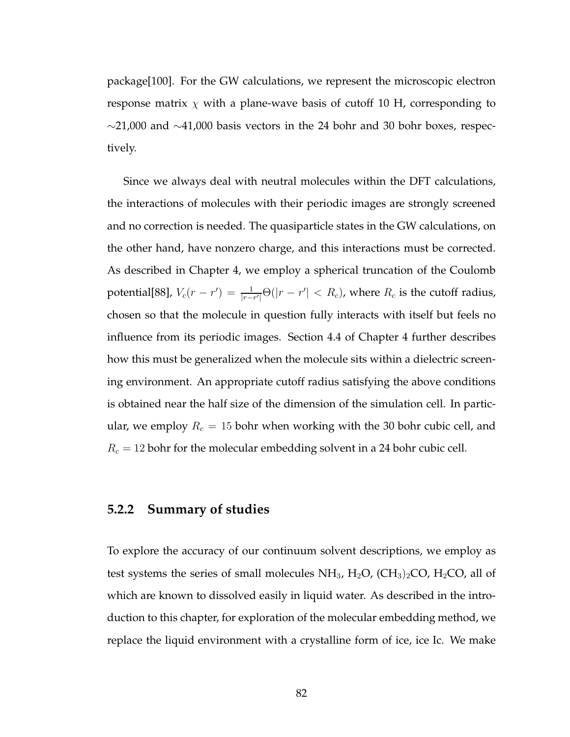package[100]. For the GW calculations, we represent the microscopic electron response matrix  $\chi$  with a plane-wave basis of cutoff 10 H, corresponding to  $\sim$ 21,000 and  $\sim$ 41,000 basis vectors in the 24 bohr and 30 bohr boxes, respectively.

Since we always deal with neutral molecules within the DFT calculations, the interactions of molecules with their periodic images are strongly screened and no correction is needed. The quasiparticle states in the GW calculations, on the other hand, have nonzero charge, and this interactions must be corrected. As described in Chapter 4, we employ a spherical truncation of the Coulomb potential[88],  $V_c(r - r') = \frac{1}{|r - r'|}\Theta(|r - r'| < R_c)$ , where  $R_c$  is the cutoff radius, chosen so that the molecule in question fully interacts with itself but feels no influence from its periodic images. Section 4.4 of Chapter 4 further describes how this must be generalized when the molecule sits within a dielectric screening environment. An appropriate cutoff radius satisfying the above conditions is obtained near the half size of the dimension of the simulation cell. In particular, we employ  $R_c = 15$  bohr when working with the 30 bohr cubic cell, and  $R_c = 12$  bohr for the molecular embedding solvent in a 24 bohr cubic cell.

#### **5.2.2 Summary of studies**

To explore the accuracy of our continuum solvent descriptions, we employ as test systems the series of small molecules  $NH_3$ ,  $H_2O$ ,  $(CH_3)_2CO$ ,  $H_2CO$ , all of which are known to dissolved easily in liquid water. As described in the introduction to this chapter, for exploration of the molecular embedding method, we replace the liquid environment with a crystalline form of ice, ice Ic. We make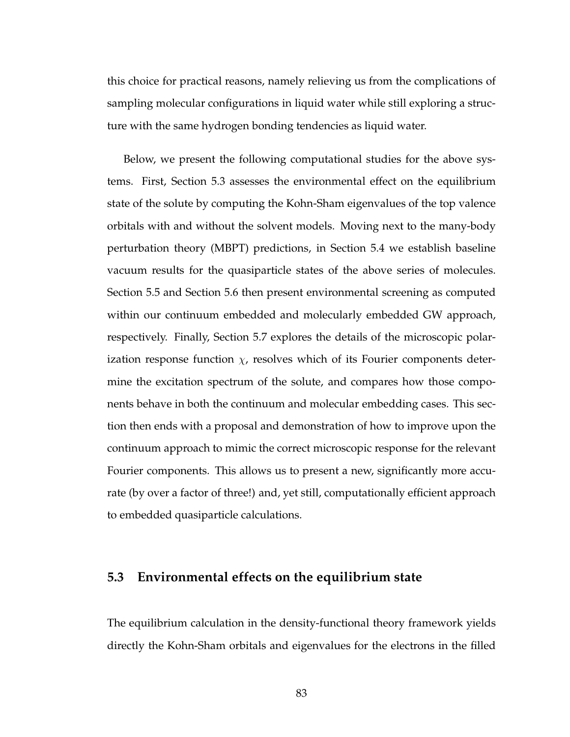this choice for practical reasons, namely relieving us from the complications of sampling molecular configurations in liquid water while still exploring a structure with the same hydrogen bonding tendencies as liquid water.

Below, we present the following computational studies for the above systems. First, Section 5.3 assesses the environmental effect on the equilibrium state of the solute by computing the Kohn-Sham eigenvalues of the top valence orbitals with and without the solvent models. Moving next to the many-body perturbation theory (MBPT) predictions, in Section 5.4 we establish baseline vacuum results for the quasiparticle states of the above series of molecules. Section 5.5 and Section 5.6 then present environmental screening as computed within our continuum embedded and molecularly embedded GW approach, respectively. Finally, Section 5.7 explores the details of the microscopic polarization response function  $\chi$ , resolves which of its Fourier components determine the excitation spectrum of the solute, and compares how those components behave in both the continuum and molecular embedding cases. This section then ends with a proposal and demonstration of how to improve upon the continuum approach to mimic the correct microscopic response for the relevant Fourier components. This allows us to present a new, significantly more accurate (by over a factor of three!) and, yet still, computationally efficient approach to embedded quasiparticle calculations.

#### **5.3 Environmental effects on the equilibrium state**

The equilibrium calculation in the density-functional theory framework yields directly the Kohn-Sham orbitals and eigenvalues for the electrons in the filled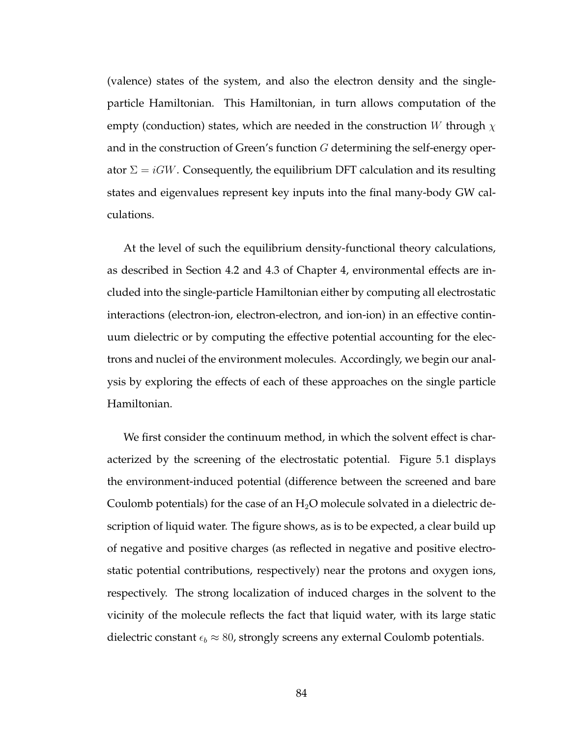(valence) states of the system, and also the electron density and the singleparticle Hamiltonian. This Hamiltonian, in turn allows computation of the empty (conduction) states, which are needed in the construction W through  $\chi$ and in the construction of Green's function G determining the self-energy operator  $\Sigma = iGW$ . Consequently, the equilibrium DFT calculation and its resulting states and eigenvalues represent key inputs into the final many-body GW calculations.

At the level of such the equilibrium density-functional theory calculations, as described in Section 4.2 and 4.3 of Chapter 4, environmental effects are included into the single-particle Hamiltonian either by computing all electrostatic interactions (electron-ion, electron-electron, and ion-ion) in an effective continuum dielectric or by computing the effective potential accounting for the electrons and nuclei of the environment molecules. Accordingly, we begin our analysis by exploring the effects of each of these approaches on the single particle Hamiltonian.

We first consider the continuum method, in which the solvent effect is characterized by the screening of the electrostatic potential. Figure 5.1 displays the environment-induced potential (difference between the screened and bare Coulomb potentials) for the case of an  $H_2O$  molecule solvated in a dielectric description of liquid water. The figure shows, as is to be expected, a clear build up of negative and positive charges (as reflected in negative and positive electrostatic potential contributions, respectively) near the protons and oxygen ions, respectively. The strong localization of induced charges in the solvent to the vicinity of the molecule reflects the fact that liquid water, with its large static dielectric constant  $\epsilon_b \approx 80$ , strongly screens any external Coulomb potentials.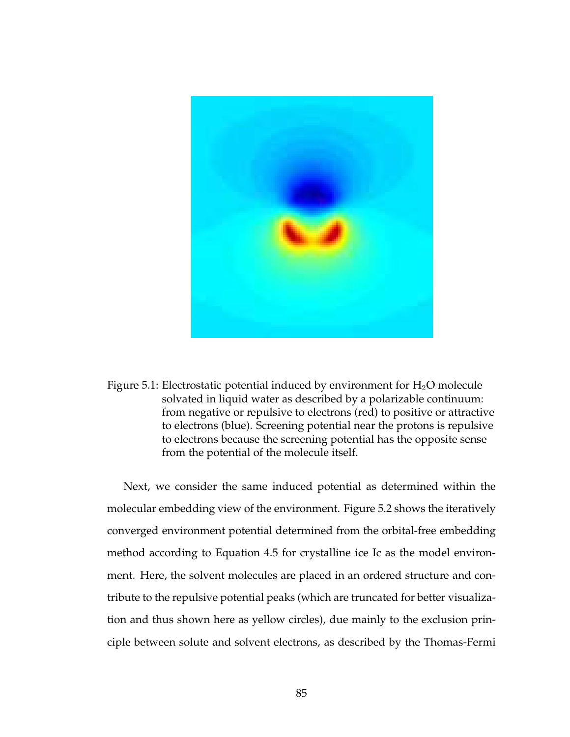

Figure 5.1: Electrostatic potential induced by environment for  $H_2O$  molecule solvated in liquid water as described by a polarizable continuum: from negative or repulsive to electrons (red) to positive or attractive to electrons (blue). Screening potential near the protons is repulsive to electrons because the screening potential has the opposite sense from the potential of the molecule itself.

Next, we consider the same induced potential as determined within the molecular embedding view of the environment. Figure 5.2 shows the iteratively converged environment potential determined from the orbital-free embedding method according to Equation 4.5 for crystalline ice Ic as the model environment. Here, the solvent molecules are placed in an ordered structure and contribute to the repulsive potential peaks (which are truncated for better visualization and thus shown here as yellow circles), due mainly to the exclusion principle between solute and solvent electrons, as described by the Thomas-Fermi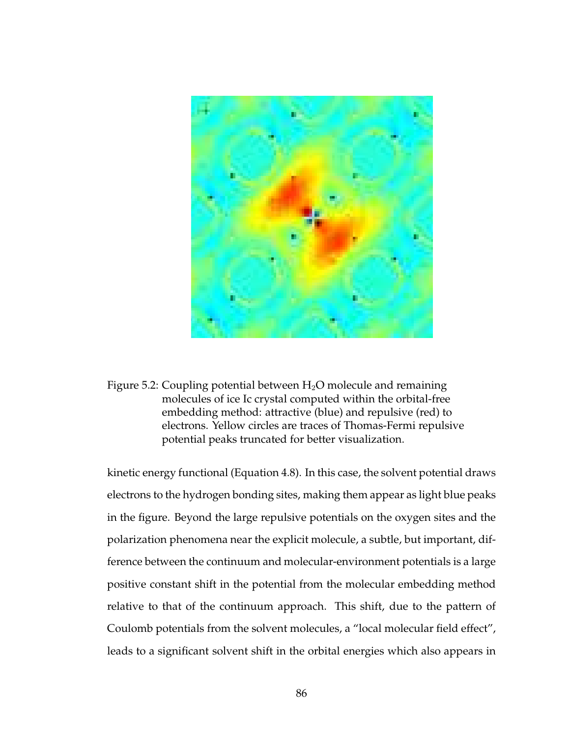

Figure 5.2: Coupling potential between  $H_2O$  molecule and remaining molecules of ice Ic crystal computed within the orbital-free embedding method: attractive (blue) and repulsive (red) to electrons. Yellow circles are traces of Thomas-Fermi repulsive potential peaks truncated for better visualization.

kinetic energy functional (Equation 4.8). In this case, the solvent potential draws electrons to the hydrogen bonding sites, making them appear as light blue peaks in the figure. Beyond the large repulsive potentials on the oxygen sites and the polarization phenomena near the explicit molecule, a subtle, but important, difference between the continuum and molecular-environment potentials is a large positive constant shift in the potential from the molecular embedding method relative to that of the continuum approach. This shift, due to the pattern of Coulomb potentials from the solvent molecules, a "local molecular field effect", leads to a significant solvent shift in the orbital energies which also appears in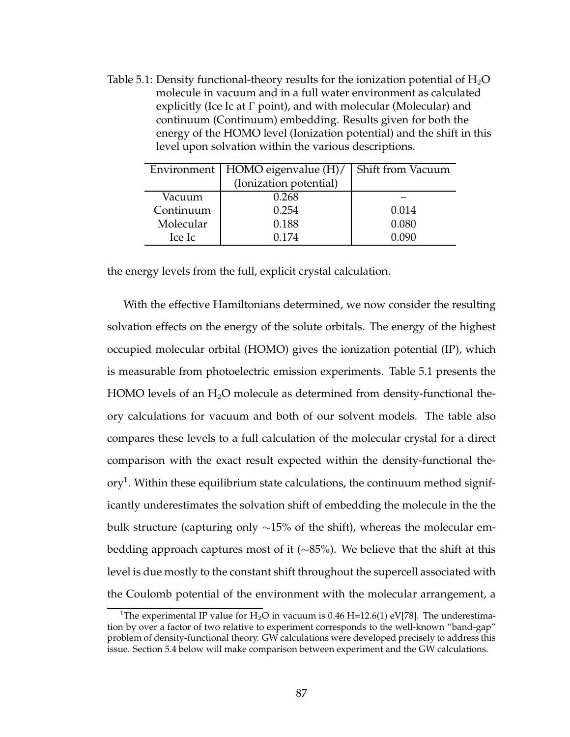Table 5.1: Density functional-theory results for the ionization potential of  $H_2O$ molecule in vacuum and in a full water environment as calculated explicitly (Ice Ic at  $\Gamma$  point), and with molecular (Molecular) and continuum (Continuum) embedding. Results given for both the energy of the HOMO level (Ionization potential) and the shift in this level upon solvation within the various descriptions.

|           | Environment   HOMO eigenvalue (H)/ | Shift from Vacuum |
|-----------|------------------------------------|-------------------|
|           | (Ionization potential)             |                   |
| Vacuum    | 0.268                              |                   |
| Continuum | 0.254                              | 0.014             |
| Molecular | 0.188                              | 0.080             |
| Ice Ic    | 0.174                              | 0.090             |

the energy levels from the full, explicit crystal calculation.

With the effective Hamiltonians determined, we now consider the resulting solvation effects on the energy of the solute orbitals. The energy of the highest occupied molecular orbital (HOMO) gives the ionization potential (IP), which is measurable from photoelectric emission experiments. Table 5.1 presents the HOMO levels of an  $H_2O$  molecule as determined from density-functional theory calculations for vacuum and both of our solvent models. The table also compares these levels to a full calculation of the molecular crystal for a direct comparison with the exact result expected within the density-functional the- $\operatorname{ory}^1.$  Within these equilibrium state calculations, the continuum method significantly underestimates the solvation shift of embedding the molecule in the the bulk structure (capturing only ∼15% of the shift), whereas the molecular embedding approach captures most of it (∼85%). We believe that the shift at this level is due mostly to the constant shift throughout the supercell associated with the Coulomb potential of the environment with the molecular arrangement, a

<sup>&</sup>lt;sup>1</sup>The experimental IP value for H<sub>2</sub>O in vacuum is 0.46 H=12.6(1) eV[78]. The underestimation by over a factor of two relative to experiment corresponds to the well-known "band-gap" problem of density-functional theory. GW calculations were developed precisely to address this issue. Section 5.4 below will make comparison between experiment and the GW calculations.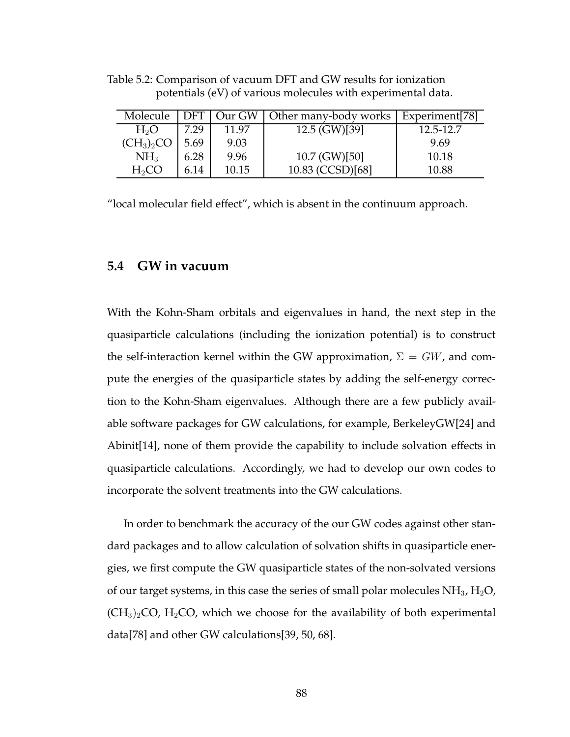| Molecule         |      |       | DFT   Our GW   Other many-body works   Experiment [78] |           |
|------------------|------|-------|--------------------------------------------------------|-----------|
| H <sub>2</sub> O | 7.29 | 11.97 | $12.5$ (GW)[39]                                        | 12.5-12.7 |
| $(CH_3)_2CO$     | 5.69 | 9.03  |                                                        | 9.69      |
| NH <sub>3</sub>  | 6.28 | 9.96  | 10.7 (GW)[50]                                          | 10.18     |
| $H_2CO$          | 6.14 | 10.15 | 10.83 (CCSD)[68]                                       | 10.88     |

Table 5.2: Comparison of vacuum DFT and GW results for ionization potentials (eV) of various molecules with experimental data.

"local molecular field effect", which is absent in the continuum approach.

## **5.4 GW in vacuum**

With the Kohn-Sham orbitals and eigenvalues in hand, the next step in the quasiparticle calculations (including the ionization potential) is to construct the self-interaction kernel within the GW approximation,  $\Sigma = GW$ , and compute the energies of the quasiparticle states by adding the self-energy correction to the Kohn-Sham eigenvalues. Although there are a few publicly available software packages for GW calculations, for example, BerkeleyGW[24] and Abinit[14], none of them provide the capability to include solvation effects in quasiparticle calculations. Accordingly, we had to develop our own codes to incorporate the solvent treatments into the GW calculations.

In order to benchmark the accuracy of the our GW codes against other standard packages and to allow calculation of solvation shifts in quasiparticle energies, we first compute the GW quasiparticle states of the non-solvated versions of our target systems, in this case the series of small polar molecules  $NH<sub>3</sub>$ ,  $H<sub>2</sub>O$ ,  $(CH<sub>3</sub>)<sub>2</sub>CO, H<sub>2</sub>CO$ , which we choose for the availability of both experimental data[78] and other GW calculations[39, 50, 68].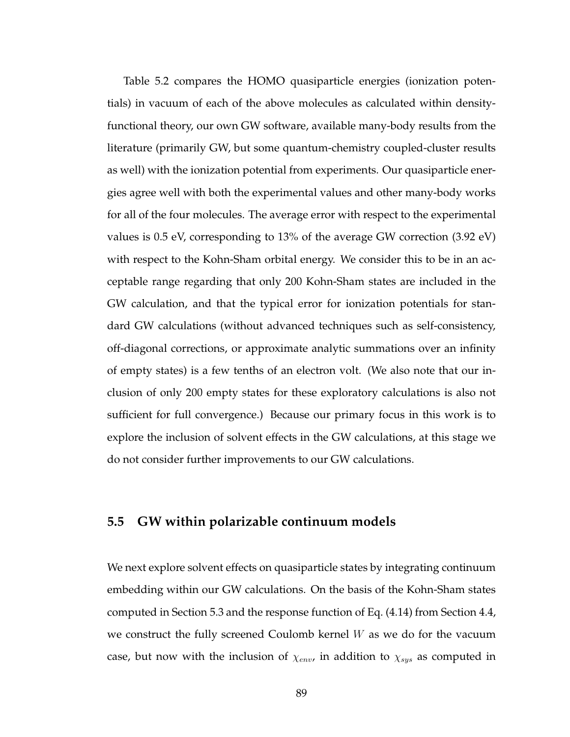Table 5.2 compares the HOMO quasiparticle energies (ionization potentials) in vacuum of each of the above molecules as calculated within densityfunctional theory, our own GW software, available many-body results from the literature (primarily GW, but some quantum-chemistry coupled-cluster results as well) with the ionization potential from experiments. Our quasiparticle energies agree well with both the experimental values and other many-body works for all of the four molecules. The average error with respect to the experimental values is 0.5 eV, corresponding to 13% of the average GW correction (3.92 eV) with respect to the Kohn-Sham orbital energy. We consider this to be in an acceptable range regarding that only 200 Kohn-Sham states are included in the GW calculation, and that the typical error for ionization potentials for standard GW calculations (without advanced techniques such as self-consistency, off-diagonal corrections, or approximate analytic summations over an infinity of empty states) is a few tenths of an electron volt. (We also note that our inclusion of only 200 empty states for these exploratory calculations is also not sufficient for full convergence.) Because our primary focus in this work is to explore the inclusion of solvent effects in the GW calculations, at this stage we do not consider further improvements to our GW calculations.

# **5.5 GW within polarizable continuum models**

We next explore solvent effects on quasiparticle states by integrating continuum embedding within our GW calculations. On the basis of the Kohn-Sham states computed in Section 5.3 and the response function of Eq. (4.14) from Section 4.4, we construct the fully screened Coulomb kernel  $W$  as we do for the vacuum case, but now with the inclusion of  $\chi_{env}$ , in addition to  $\chi_{sys}$  as computed in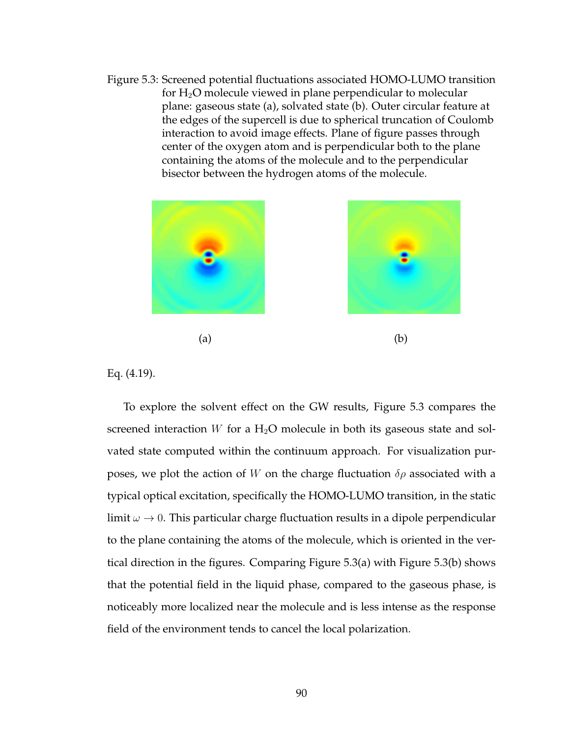Figure 5.3: Screened potential fluctuations associated HOMO-LUMO transition for  $H_2O$  molecule viewed in plane perpendicular to molecular plane: gaseous state (a), solvated state (b). Outer circular feature at the edges of the supercell is due to spherical truncation of Coulomb interaction to avoid image effects. Plane of figure passes through center of the oxygen atom and is perpendicular both to the plane containing the atoms of the molecule and to the perpendicular bisector between the hydrogen atoms of the molecule.





 $(a)$  (b)

Eq. (4.19).

To explore the solvent effect on the GW results, Figure 5.3 compares the screened interaction  $W$  for a  $H_2O$  molecule in both its gaseous state and solvated state computed within the continuum approach. For visualization purposes, we plot the action of W on the charge fluctuation  $\delta \rho$  associated with a typical optical excitation, specifically the HOMO-LUMO transition, in the static limit  $\omega \to 0$ . This particular charge fluctuation results in a dipole perpendicular to the plane containing the atoms of the molecule, which is oriented in the vertical direction in the figures. Comparing Figure 5.3(a) with Figure 5.3(b) shows that the potential field in the liquid phase, compared to the gaseous phase, is noticeably more localized near the molecule and is less intense as the response field of the environment tends to cancel the local polarization.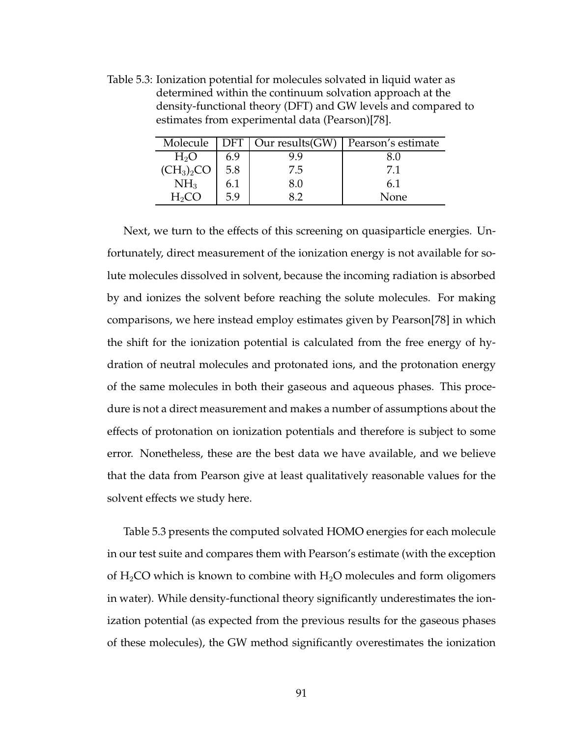Molecule DFT | Our results(GW) | Pearson's estimate  $H_2O$  | 6.9 | 9.9 | 8.0  $(CH_3)_2CO$  5.8 7.5 7.1  $NH_3$  | 6.1 | 8.0 | 6.1  $H_2CO$  | 5.9 | 8.2 | None

Table 5.3: Ionization potential for molecules solvated in liquid water as determined within the continuum solvation approach at the density-functional theory (DFT) and GW levels and compared to estimates from experimental data (Pearson)[78].

Next, we turn to the effects of this screening on quasiparticle energies. Unfortunately, direct measurement of the ionization energy is not available for solute molecules dissolved in solvent, because the incoming radiation is absorbed by and ionizes the solvent before reaching the solute molecules. For making comparisons, we here instead employ estimates given by Pearson[78] in which the shift for the ionization potential is calculated from the free energy of hydration of neutral molecules and protonated ions, and the protonation energy of the same molecules in both their gaseous and aqueous phases. This procedure is not a direct measurement and makes a number of assumptions about the effects of protonation on ionization potentials and therefore is subject to some error. Nonetheless, these are the best data we have available, and we believe that the data from Pearson give at least qualitatively reasonable values for the solvent effects we study here.

Table 5.3 presents the computed solvated HOMO energies for each molecule in our test suite and compares them with Pearson's estimate (with the exception of  $H_2CO$  which is known to combine with  $H_2O$  molecules and form oligomers in water). While density-functional theory significantly underestimates the ionization potential (as expected from the previous results for the gaseous phases of these molecules), the GW method significantly overestimates the ionization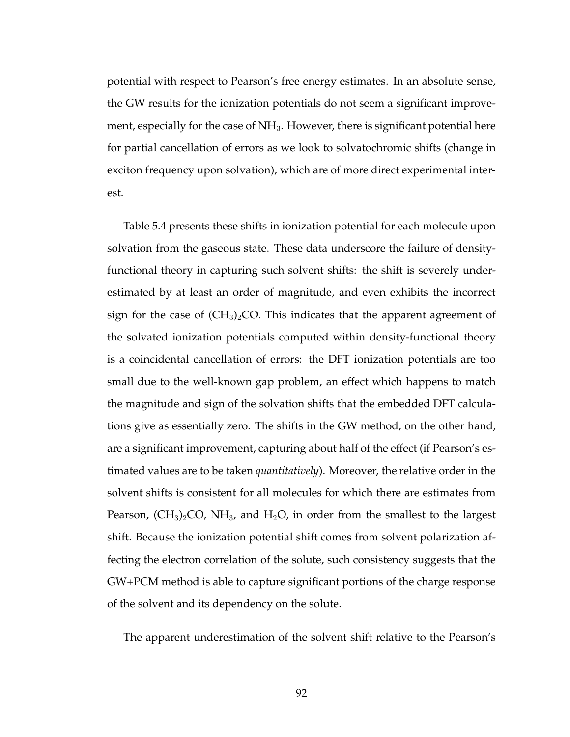potential with respect to Pearson's free energy estimates. In an absolute sense, the GW results for the ionization potentials do not seem a significant improvement, especially for the case of NH<sub>3</sub>. However, there is significant potential here for partial cancellation of errors as we look to solvatochromic shifts (change in exciton frequency upon solvation), which are of more direct experimental interest.

Table 5.4 presents these shifts in ionization potential for each molecule upon solvation from the gaseous state. These data underscore the failure of densityfunctional theory in capturing such solvent shifts: the shift is severely underestimated by at least an order of magnitude, and even exhibits the incorrect sign for the case of  $(CH_3)_2CO$ . This indicates that the apparent agreement of the solvated ionization potentials computed within density-functional theory is a coincidental cancellation of errors: the DFT ionization potentials are too small due to the well-known gap problem, an effect which happens to match the magnitude and sign of the solvation shifts that the embedded DFT calculations give as essentially zero. The shifts in the GW method, on the other hand, are a significant improvement, capturing about half of the effect (if Pearson's estimated values are to be taken *quantitatively*). Moreover, the relative order in the solvent shifts is consistent for all molecules for which there are estimates from Pearson,  $(CH_3)_2CO$ , NH<sub>3</sub>, and H<sub>2</sub>O, in order from the smallest to the largest shift. Because the ionization potential shift comes from solvent polarization affecting the electron correlation of the solute, such consistency suggests that the GW+PCM method is able to capture significant portions of the charge response of the solvent and its dependency on the solute.

The apparent underestimation of the solvent shift relative to the Pearson's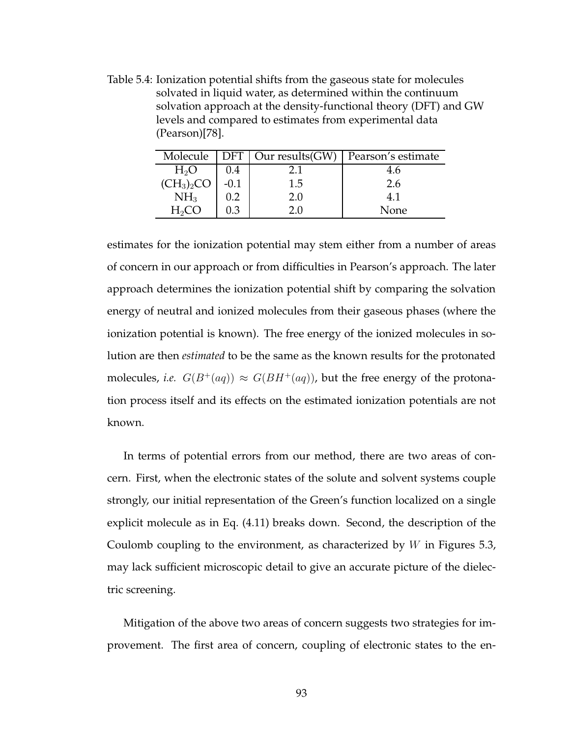Table 5.4: Ionization potential shifts from the gaseous state for molecules solvated in liquid water, as determined within the continuum solvation approach at the density-functional theory (DFT) and GW levels and compared to estimates from experimental data (Pearson)[78].

| Molecule                                                                                                                       | <b>DFT</b> | Our results(GW) | Pearson's estimate |
|--------------------------------------------------------------------------------------------------------------------------------|------------|-----------------|--------------------|
|                                                                                                                                | 0.4        | 2.1             | 4.6                |
| $\begin{array}{c}\n\overline{\mathrm{H}_2\mathrm{O}} \\ (\mathrm{CH}_3)_2\mathrm{CO} \\ \overline{\mathrm{NH}}_3\n\end{array}$ | $-0.1$     | 1.5             | 2.6                |
|                                                                                                                                | 0.2        | 2.0             | 4.1                |
| $H_2CO$                                                                                                                        | 0.3        |                 | None               |

estimates for the ionization potential may stem either from a number of areas of concern in our approach or from difficulties in Pearson's approach. The later approach determines the ionization potential shift by comparing the solvation energy of neutral and ionized molecules from their gaseous phases (where the ionization potential is known). The free energy of the ionized molecules in solution are then *estimated* to be the same as the known results for the protonated molecules, *i.e.*  $G(B^+(aq)) \approx G(BH^+(aq))$ , but the free energy of the protonation process itself and its effects on the estimated ionization potentials are not known.

In terms of potential errors from our method, there are two areas of concern. First, when the electronic states of the solute and solvent systems couple strongly, our initial representation of the Green's function localized on a single explicit molecule as in Eq. (4.11) breaks down. Second, the description of the Coulomb coupling to the environment, as characterized by  $W$  in Figures 5.3, may lack sufficient microscopic detail to give an accurate picture of the dielectric screening.

Mitigation of the above two areas of concern suggests two strategies for improvement. The first area of concern, coupling of electronic states to the en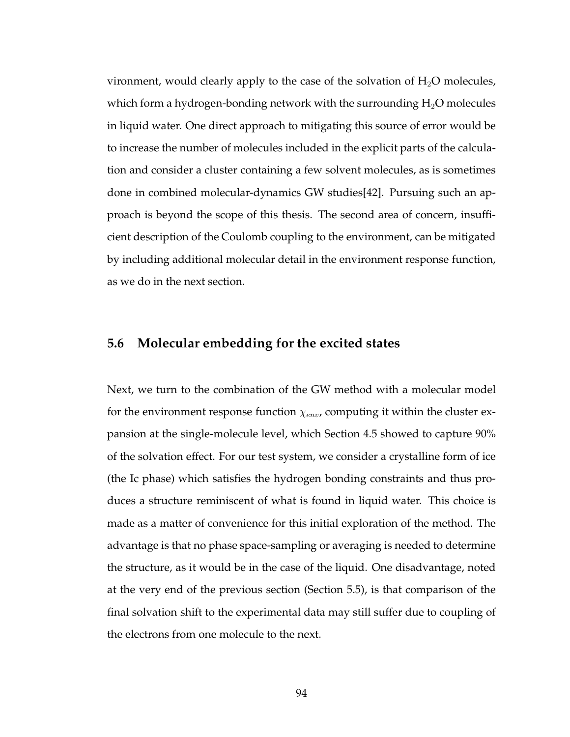vironment, would clearly apply to the case of the solvation of  $H_2O$  molecules, which form a hydrogen-bonding network with the surrounding  $H_2O$  molecules in liquid water. One direct approach to mitigating this source of error would be to increase the number of molecules included in the explicit parts of the calculation and consider a cluster containing a few solvent molecules, as is sometimes done in combined molecular-dynamics GW studies[42]. Pursuing such an approach is beyond the scope of this thesis. The second area of concern, insufficient description of the Coulomb coupling to the environment, can be mitigated by including additional molecular detail in the environment response function, as we do in the next section.

#### **5.6 Molecular embedding for the excited states**

Next, we turn to the combination of the GW method with a molecular model for the environment response function  $\chi_{env}$ , computing it within the cluster expansion at the single-molecule level, which Section 4.5 showed to capture 90% of the solvation effect. For our test system, we consider a crystalline form of ice (the Ic phase) which satisfies the hydrogen bonding constraints and thus produces a structure reminiscent of what is found in liquid water. This choice is made as a matter of convenience for this initial exploration of the method. The advantage is that no phase space-sampling or averaging is needed to determine the structure, as it would be in the case of the liquid. One disadvantage, noted at the very end of the previous section (Section 5.5), is that comparison of the final solvation shift to the experimental data may still suffer due to coupling of the electrons from one molecule to the next.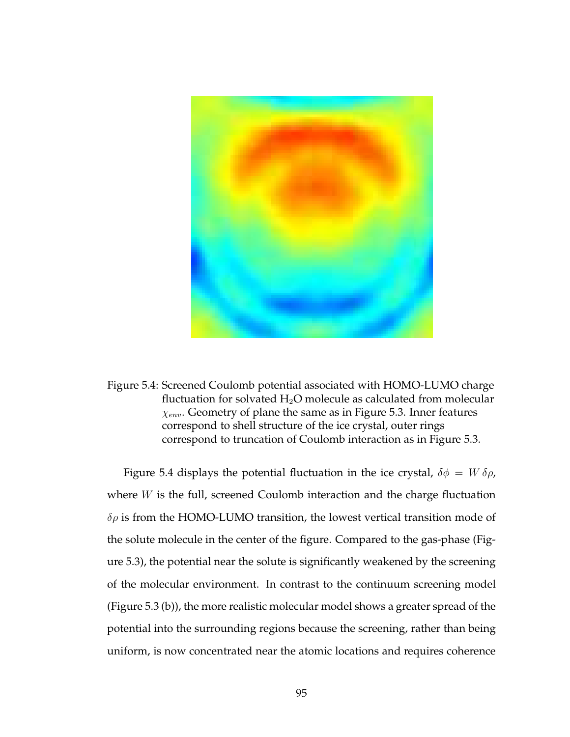

Figure 5.4: Screened Coulomb potential associated with HOMO-LUMO charge fluctuation for solvated  $H_2O$  molecule as calculated from molecular  $\chi_{env}$ . Geometry of plane the same as in Figure 5.3. Inner features correspond to shell structure of the ice crystal, outer rings correspond to truncation of Coulomb interaction as in Figure 5.3.

Figure 5.4 displays the potential fluctuation in the ice crystal,  $\delta \phi = W \delta \rho$ , where  $W$  is the full, screened Coulomb interaction and the charge fluctuation  $\delta \rho$  is from the HOMO-LUMO transition, the lowest vertical transition mode of the solute molecule in the center of the figure. Compared to the gas-phase (Figure 5.3), the potential near the solute is significantly weakened by the screening of the molecular environment. In contrast to the continuum screening model (Figure 5.3 (b)), the more realistic molecular model shows a greater spread of the potential into the surrounding regions because the screening, rather than being uniform, is now concentrated near the atomic locations and requires coherence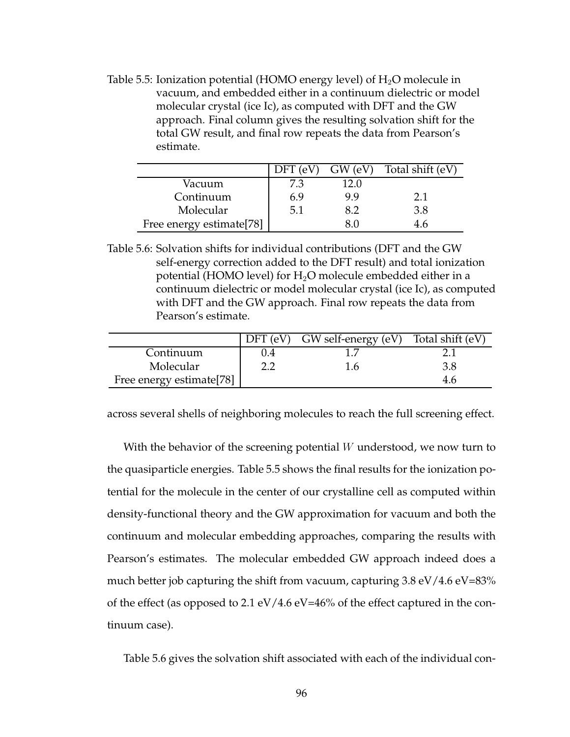Table 5.5: Ionization potential (HOMO energy level) of  $H_2O$  molecule in vacuum, and embedded either in a continuum dielectric or model molecular crystal (ice Ic), as computed with DFT and the GW approach. Final column gives the resulting solvation shift for the total GW result, and final row repeats the data from Pearson's estimate.

|                                      | $DFT$ (eV) | $GW$ (eV) | Total shift (eV) |
|--------------------------------------|------------|-----------|------------------|
| Vacuum                               | 7.3        | 12.0      |                  |
| Continuum                            | 6.9        | 9.9       | 2.1              |
| Molecular                            | 5.1        | 8.2       | 3.8              |
| Free energy estimate <sup>[78]</sup> |            |           |                  |

Table 5.6: Solvation shifts for individual contributions (DFT and the GW self-energy correction added to the DFT result) and total ionization potential (HOMO level) for  $H_2O$  molecule embedded either in a continuum dielectric or model molecular crystal (ice Ic), as computed with DFT and the GW approach. Final row repeats the data from Pearson's estimate.

|                                      | $DFT$ (eV) | $GW$ self-energy (eV) Total shift (eV) |     |
|--------------------------------------|------------|----------------------------------------|-----|
| Continuum                            | 0.4        |                                        |     |
| Molecular                            | ר ר        | 1.6                                    |     |
| Free energy estimate <sup>[78]</sup> |            |                                        | 4.6 |

across several shells of neighboring molecules to reach the full screening effect.

With the behavior of the screening potential  $W$  understood, we now turn to the quasiparticle energies. Table 5.5 shows the final results for the ionization potential for the molecule in the center of our crystalline cell as computed within density-functional theory and the GW approximation for vacuum and both the continuum and molecular embedding approaches, comparing the results with Pearson's estimates. The molecular embedded GW approach indeed does a much better job capturing the shift from vacuum, capturing  $3.8 \text{ eV}/4.6 \text{ eV}$ =83% of the effect (as opposed to 2.1 eV/4.6 eV=46% of the effect captured in the continuum case).

Table 5.6 gives the solvation shift associated with each of the individual con-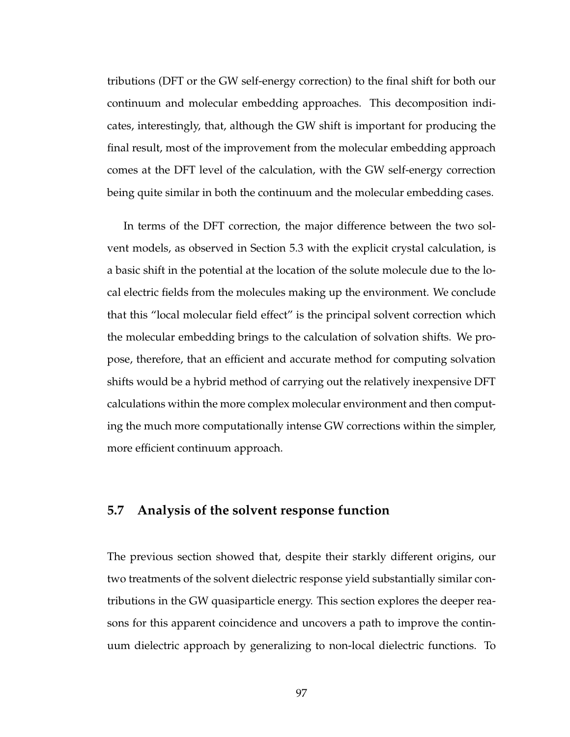tributions (DFT or the GW self-energy correction) to the final shift for both our continuum and molecular embedding approaches. This decomposition indicates, interestingly, that, although the GW shift is important for producing the final result, most of the improvement from the molecular embedding approach comes at the DFT level of the calculation, with the GW self-energy correction being quite similar in both the continuum and the molecular embedding cases.

In terms of the DFT correction, the major difference between the two solvent models, as observed in Section 5.3 with the explicit crystal calculation, is a basic shift in the potential at the location of the solute molecule due to the local electric fields from the molecules making up the environment. We conclude that this "local molecular field effect" is the principal solvent correction which the molecular embedding brings to the calculation of solvation shifts. We propose, therefore, that an efficient and accurate method for computing solvation shifts would be a hybrid method of carrying out the relatively inexpensive DFT calculations within the more complex molecular environment and then computing the much more computationally intense GW corrections within the simpler, more efficient continuum approach.

# **5.7 Analysis of the solvent response function**

The previous section showed that, despite their starkly different origins, our two treatments of the solvent dielectric response yield substantially similar contributions in the GW quasiparticle energy. This section explores the deeper reasons for this apparent coincidence and uncovers a path to improve the continuum dielectric approach by generalizing to non-local dielectric functions. To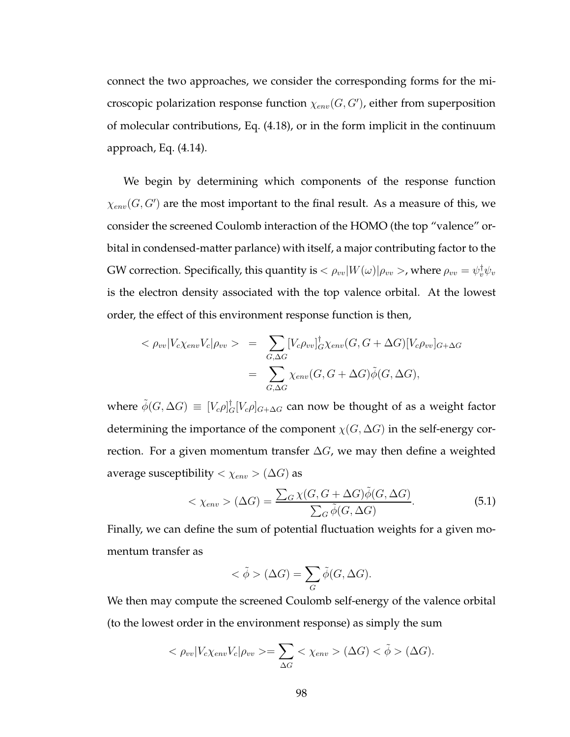connect the two approaches, we consider the corresponding forms for the microscopic polarization response function  $\chi_{env}(G,G')$ , either from superposition of molecular contributions, Eq. (4.18), or in the form implicit in the continuum approach, Eq. (4.14).

We begin by determining which components of the response function  $\chi_{env}(G,G')$  are the most important to the final result. As a measure of this, we consider the screened Coulomb interaction of the HOMO (the top "valence" orbital in condensed-matter parlance) with itself, a major contributing factor to the GW correction. Specifically, this quantity is  $<\rho_{vv}|W(\omega)|\rho_{vv}>$ , where  $\rho_{vv}=\psi_v^\dagger\psi_v$ is the electron density associated with the top valence orbital. At the lowest order, the effect of this environment response function is then,

$$
\langle \rho_{vv} | V_c \chi_{env} V_c | \rho_{vv} \rangle = \sum_{G, \Delta G} [V_c \rho_{vv}]_G^{\dagger} \chi_{env} (G, G + \Delta G) [V_c \rho_{vv}]_{G + \Delta G}
$$

$$
= \sum_{G, \Delta G} \chi_{env} (G, G + \Delta G) \tilde{\phi} (G, \Delta G),
$$

where  $\tilde{\phi}(G, \Delta G) \equiv [V_c \rho]_G^{\dagger} [V_c \rho]_{G+\Delta G}$  can now be thought of as a weight factor determining the importance of the component  $\chi(G, \Delta G)$  in the self-energy correction. For a given momentum transfer  $\Delta G$ , we may then define a weighted average susceptibility  $<\chi_{env}> (\Delta G)$  as

$$
\langle \chi_{env} \rangle (\Delta G) = \frac{\sum_{G} \chi(G, G + \Delta G) \tilde{\phi}(G, \Delta G)}{\sum_{G} \tilde{\phi}(G, \Delta G)}.
$$
(5.1)

Finally, we can define the sum of potential fluctuation weights for a given momentum transfer as

$$
\langle \tilde{\phi} \rangle (\Delta G) = \sum_{G} \tilde{\phi}(G, \Delta G).
$$

We then may compute the screened Coulomb self-energy of the valence orbital (to the lowest order in the environment response) as simply the sum

$$
\langle \rho_{vv} | V_c \chi_{env} V_c | \rho_{vv} \rangle = \sum_{\Delta G} \langle \chi_{env} \rangle (\Delta G) \langle \tilde{\phi} \rangle (\Delta G).
$$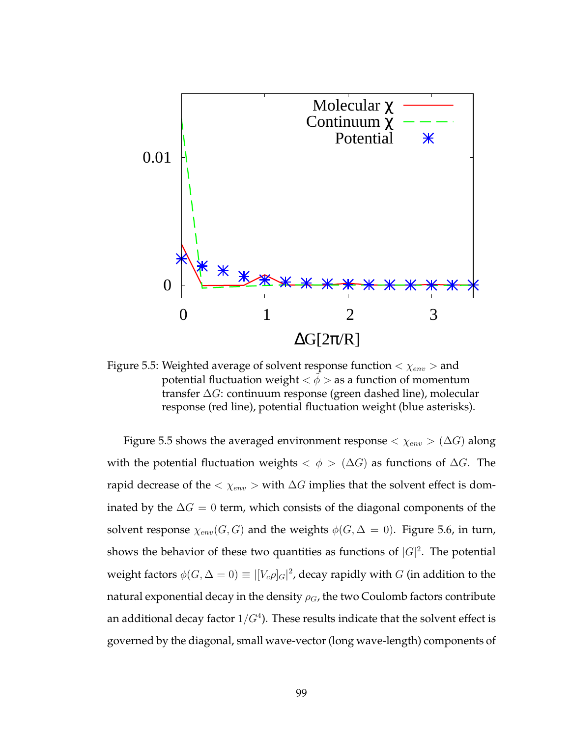

Figure 5.5: Weighted average of solvent response function  $< \chi_{env} >$  and potential fluctuation weight  $\langle \phi \rangle$  as a function of momentum transfer ∆G: continuum response (green dashed line), molecular response (red line), potential fluctuation weight (blue asterisks).

Figure 5.5 shows the averaged environment response  $< \chi_{env} > (\Delta G)$  along with the potential fluctuation weights  $\langle \phi \rangle$  ( $\Delta G$ ) as functions of  $\Delta G$ . The rapid decrease of the  $\langle \chi_{env} \rangle$  with  $\Delta G$  implies that the solvent effect is dominated by the  $\Delta G = 0$  term, which consists of the diagonal components of the solvent response  $\chi_{env}(G, G)$  and the weights  $\phi(G, \Delta = 0)$ . Figure 5.6, in turn, shows the behavior of these two quantities as functions of  $|G|^2$ . The potential weight factors  $\phi(G, \Delta = 0) \equiv |[V_c \rho]_G|^2$ , decay rapidly with  $G$  (in addition to the natural exponential decay in the density  $\rho_G$ , the two Coulomb factors contribute an additional decay factor  $1/G^4$ ). These results indicate that the solvent effect is governed by the diagonal, small wave-vector (long wave-length) components of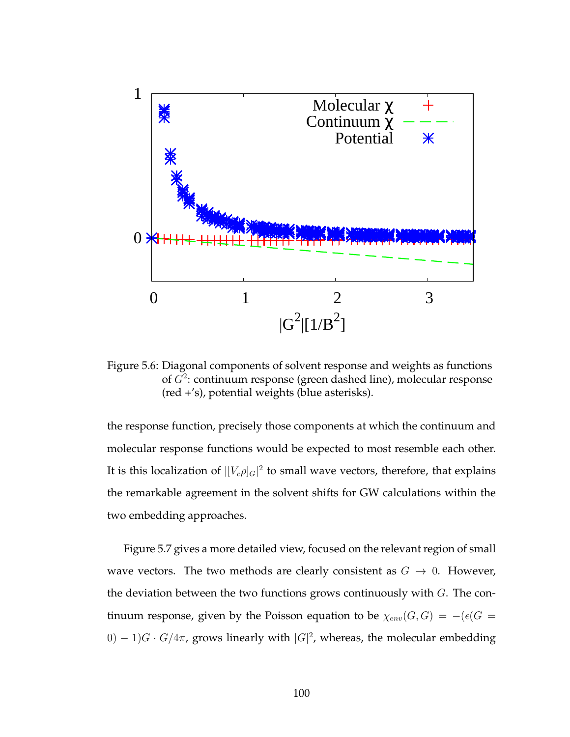

Figure 5.6: Diagonal components of solvent response and weights as functions of  $G^2$ : continuum response (green dashed line), molecular response (red +'s), potential weights (blue asterisks).

the response function, precisely those components at which the continuum and molecular response functions would be expected to most resemble each other. It is this localization of  $|[V_c \rho]_G|^2$  to small wave vectors, therefore, that explains the remarkable agreement in the solvent shifts for GW calculations within the two embedding approaches.

Figure 5.7 gives a more detailed view, focused on the relevant region of small wave vectors. The two methods are clearly consistent as  $G \rightarrow 0$ . However, the deviation between the two functions grows continuously with  $G$ . The continuum response, given by the Poisson equation to be  $\chi_{env}(G, G) = -\left(\epsilon(G) - \epsilon\right)$  $(0) - 1$ ) $G \cdot G/4\pi$ , grows linearly with  $|G|^2$ , whereas, the molecular embedding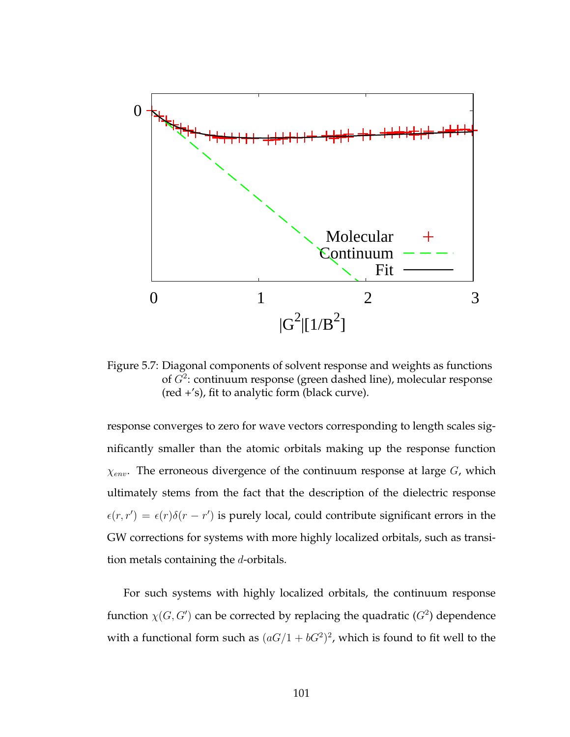

Figure 5.7: Diagonal components of solvent response and weights as functions of  $G^2$ : continuum response (green dashed line), molecular response (red +'s), fit to analytic form (black curve).

response converges to zero for wave vectors corresponding to length scales significantly smaller than the atomic orbitals making up the response function  $\chi_{env}$ . The erroneous divergence of the continuum response at large G, which ultimately stems from the fact that the description of the dielectric response  $\epsilon(r,r') = \epsilon(r)\delta(r-r')$  is purely local, could contribute significant errors in the GW corrections for systems with more highly localized orbitals, such as transition metals containing the d-orbitals.

For such systems with highly localized orbitals, the continuum response function  $\chi(G, G')$  can be corrected by replacing the quadratic  $(G^2)$  dependence with a functional form such as  $(aG/1 + bG^2)^2$ , which is found to fit well to the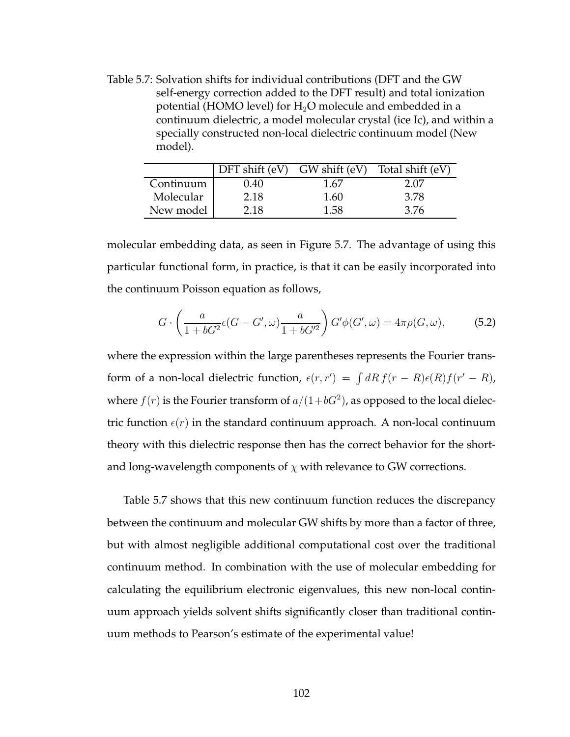Table 5.7: Solvation shifts for individual contributions (DFT and the GW self-energy correction added to the DFT result) and total ionization potential (HOMO level) for  $H_2O$  molecule and embedded in a continuum dielectric, a model molecular crystal (ice Ic), and within a specially constructed non-local dielectric continuum model (New model).

|           | DFT shift $(eV)$ GW shift $(eV)$ |      | Total shift (eV) |
|-----------|----------------------------------|------|------------------|
| Continuum | 0.40                             | 1.67 | 2.07             |
| Molecular | 2.18                             | 1.60 | 3.78             |
| New model | 2.18                             | 1.58 | 3.76             |

molecular embedding data, as seen in Figure 5.7. The advantage of using this particular functional form, in practice, is that it can be easily incorporated into the continuum Poisson equation as follows,

$$
G \cdot \left(\frac{a}{1 + bG^2} \epsilon(G - G', \omega) \frac{a}{1 + bG'^2}\right) G' \phi(G', \omega) = 4\pi \rho(G, \omega),\tag{5.2}
$$

where the expression within the large parentheses represents the Fourier transform of a non-local dielectric function,  $\epsilon(r, r') = \int dR f(r - R) \epsilon(R) f(r' - R)$ , where  $f(r)$  is the Fourier transform of  $a/(1+bG^2)$ , as opposed to the local dielectric function  $\epsilon(r)$  in the standard continuum approach. A non-local continuum theory with this dielectric response then has the correct behavior for the shortand long-wavelength components of  $\chi$  with relevance to GW corrections.

Table 5.7 shows that this new continuum function reduces the discrepancy between the continuum and molecular GW shifts by more than a factor of three, but with almost negligible additional computational cost over the traditional continuum method. In combination with the use of molecular embedding for calculating the equilibrium electronic eigenvalues, this new non-local continuum approach yields solvent shifts significantly closer than traditional continuum methods to Pearson's estimate of the experimental value!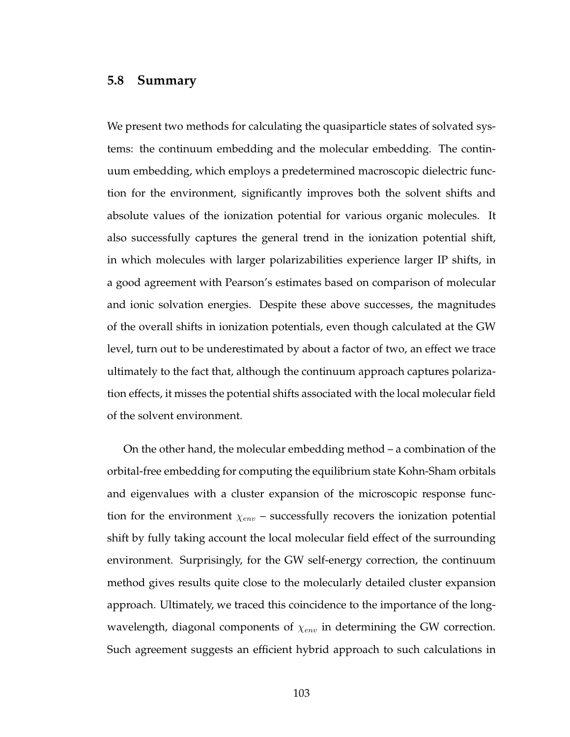## **5.8 Summary**

We present two methods for calculating the quasiparticle states of solvated systems: the continuum embedding and the molecular embedding. The continuum embedding, which employs a predetermined macroscopic dielectric function for the environment, significantly improves both the solvent shifts and absolute values of the ionization potential for various organic molecules. It also successfully captures the general trend in the ionization potential shift, in which molecules with larger polarizabilities experience larger IP shifts, in a good agreement with Pearson's estimates based on comparison of molecular and ionic solvation energies. Despite these above successes, the magnitudes of the overall shifts in ionization potentials, even though calculated at the GW level, turn out to be underestimated by about a factor of two, an effect we trace ultimately to the fact that, although the continuum approach captures polarization effects, it misses the potential shifts associated with the local molecular field of the solvent environment.

On the other hand, the molecular embedding method – a combination of the orbital-free embedding for computing the equilibrium state Kohn-Sham orbitals and eigenvalues with a cluster expansion of the microscopic response function for the environment  $\chi_{env}$  – successfully recovers the ionization potential shift by fully taking account the local molecular field effect of the surrounding environment. Surprisingly, for the GW self-energy correction, the continuum method gives results quite close to the molecularly detailed cluster expansion approach. Ultimately, we traced this coincidence to the importance of the longwavelength, diagonal components of  $\chi_{env}$  in determining the GW correction. Such agreement suggests an efficient hybrid approach to such calculations in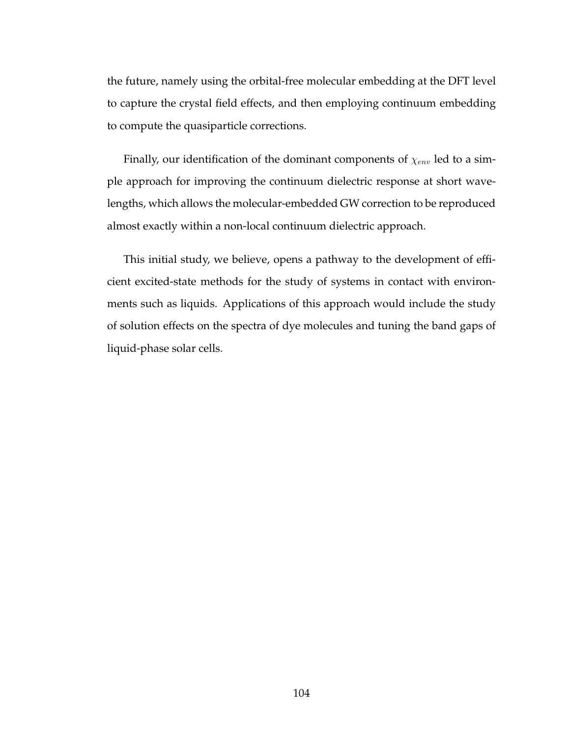the future, namely using the orbital-free molecular embedding at the DFT level to capture the crystal field effects, and then employing continuum embedding to compute the quasiparticle corrections.

Finally, our identification of the dominant components of  $\chi_{env}$  led to a simple approach for improving the continuum dielectric response at short wavelengths, which allows the molecular-embedded GW correction to be reproduced almost exactly within a non-local continuum dielectric approach.

This initial study, we believe, opens a pathway to the development of efficient excited-state methods for the study of systems in contact with environments such as liquids. Applications of this approach would include the study of solution effects on the spectra of dye molecules and tuning the band gaps of liquid-phase solar cells.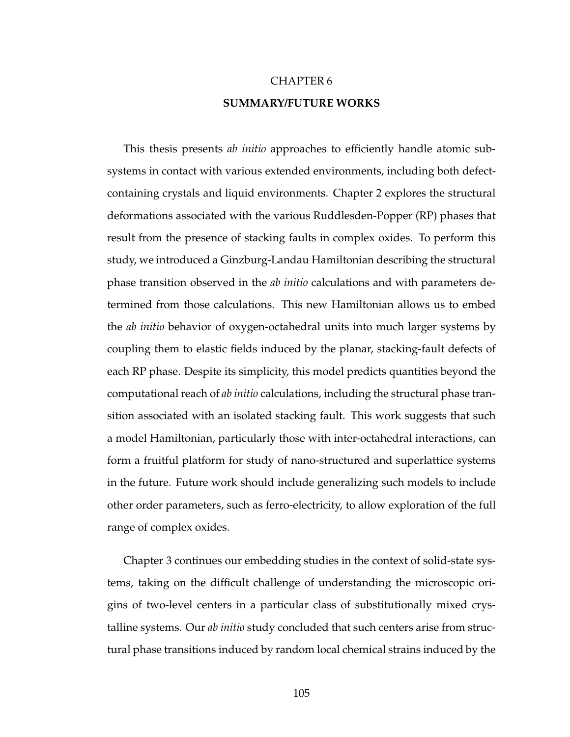# CHAPTER 6 **SUMMARY/FUTURE WORKS**

This thesis presents *ab initio* approaches to efficiently handle atomic subsystems in contact with various extended environments, including both defectcontaining crystals and liquid environments. Chapter 2 explores the structural deformations associated with the various Ruddlesden-Popper (RP) phases that result from the presence of stacking faults in complex oxides. To perform this study, we introduced a Ginzburg-Landau Hamiltonian describing the structural phase transition observed in the *ab initio* calculations and with parameters determined from those calculations. This new Hamiltonian allows us to embed the *ab initio* behavior of oxygen-octahedral units into much larger systems by coupling them to elastic fields induced by the planar, stacking-fault defects of each RP phase. Despite its simplicity, this model predicts quantities beyond the computational reach of *ab initio* calculations, including the structural phase transition associated with an isolated stacking fault. This work suggests that such a model Hamiltonian, particularly those with inter-octahedral interactions, can form a fruitful platform for study of nano-structured and superlattice systems in the future. Future work should include generalizing such models to include other order parameters, such as ferro-electricity, to allow exploration of the full range of complex oxides.

Chapter 3 continues our embedding studies in the context of solid-state systems, taking on the difficult challenge of understanding the microscopic origins of two-level centers in a particular class of substitutionally mixed crystalline systems. Our *ab initio* study concluded that such centers arise from structural phase transitions induced by random local chemical strains induced by the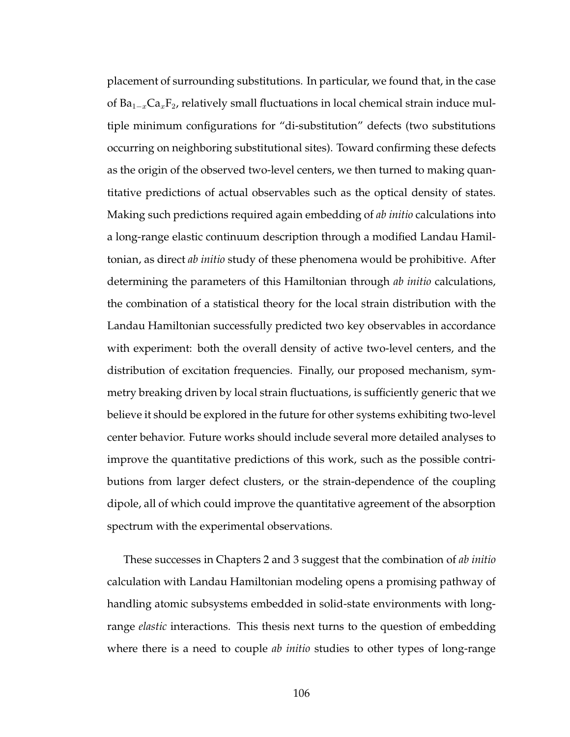placement of surrounding substitutions. In particular, we found that, in the case of  $Ba_{1-x}Ca_xF_2$ , relatively small fluctuations in local chemical strain induce multiple minimum configurations for "di-substitution" defects (two substitutions occurring on neighboring substitutional sites). Toward confirming these defects as the origin of the observed two-level centers, we then turned to making quantitative predictions of actual observables such as the optical density of states. Making such predictions required again embedding of *ab initio* calculations into a long-range elastic continuum description through a modified Landau Hamiltonian, as direct *ab initio* study of these phenomena would be prohibitive. After determining the parameters of this Hamiltonian through *ab initio* calculations, the combination of a statistical theory for the local strain distribution with the Landau Hamiltonian successfully predicted two key observables in accordance with experiment: both the overall density of active two-level centers, and the distribution of excitation frequencies. Finally, our proposed mechanism, symmetry breaking driven by local strain fluctuations, is sufficiently generic that we believe it should be explored in the future for other systems exhibiting two-level center behavior. Future works should include several more detailed analyses to improve the quantitative predictions of this work, such as the possible contributions from larger defect clusters, or the strain-dependence of the coupling dipole, all of which could improve the quantitative agreement of the absorption spectrum with the experimental observations.

These successes in Chapters 2 and 3 suggest that the combination of *ab initio* calculation with Landau Hamiltonian modeling opens a promising pathway of handling atomic subsystems embedded in solid-state environments with longrange *elastic* interactions. This thesis next turns to the question of embedding where there is a need to couple *ab initio* studies to other types of long-range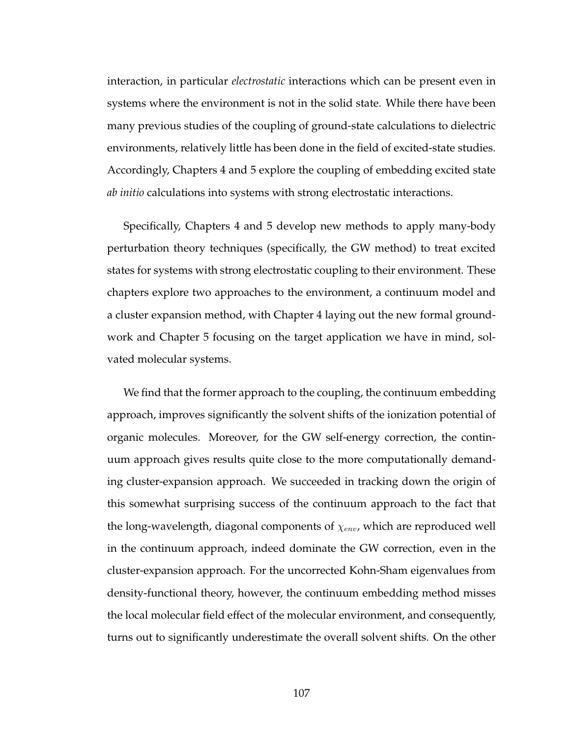interaction, in particular *electrostatic* interactions which can be present even in systems where the environment is not in the solid state. While there have been many previous studies of the coupling of ground-state calculations to dielectric environments, relatively little has been done in the field of excited-state studies. Accordingly, Chapters 4 and 5 explore the coupling of embedding excited state *ab initio* calculations into systems with strong electrostatic interactions.

Specifically, Chapters 4 and 5 develop new methods to apply many-body perturbation theory techniques (specifically, the GW method) to treat excited states for systems with strong electrostatic coupling to their environment. These chapters explore two approaches to the environment, a continuum model and a cluster expansion method, with Chapter 4 laying out the new formal groundwork and Chapter 5 focusing on the target application we have in mind, solvated molecular systems.

We find that the former approach to the coupling, the continuum embedding approach, improves significantly the solvent shifts of the ionization potential of organic molecules. Moreover, for the GW self-energy correction, the continuum approach gives results quite close to the more computationally demanding cluster-expansion approach. We succeeded in tracking down the origin of this somewhat surprising success of the continuum approach to the fact that the long-wavelength, diagonal components of  $\chi_{env}$ , which are reproduced well in the continuum approach, indeed dominate the GW correction, even in the cluster-expansion approach. For the uncorrected Kohn-Sham eigenvalues from density-functional theory, however, the continuum embedding method misses the local molecular field effect of the molecular environment, and consequently, turns out to significantly underestimate the overall solvent shifts. On the other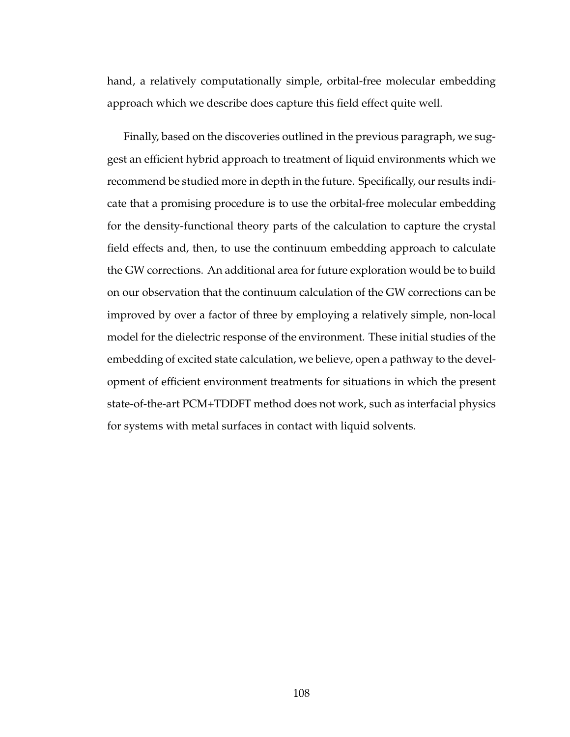hand, a relatively computationally simple, orbital-free molecular embedding approach which we describe does capture this field effect quite well.

Finally, based on the discoveries outlined in the previous paragraph, we suggest an efficient hybrid approach to treatment of liquid environments which we recommend be studied more in depth in the future. Specifically, our results indicate that a promising procedure is to use the orbital-free molecular embedding for the density-functional theory parts of the calculation to capture the crystal field effects and, then, to use the continuum embedding approach to calculate the GW corrections. An additional area for future exploration would be to build on our observation that the continuum calculation of the GW corrections can be improved by over a factor of three by employing a relatively simple, non-local model for the dielectric response of the environment. These initial studies of the embedding of excited state calculation, we believe, open a pathway to the development of efficient environment treatments for situations in which the present state-of-the-art PCM+TDDFT method does not work, such as interfacial physics for systems with metal surfaces in contact with liquid solvents.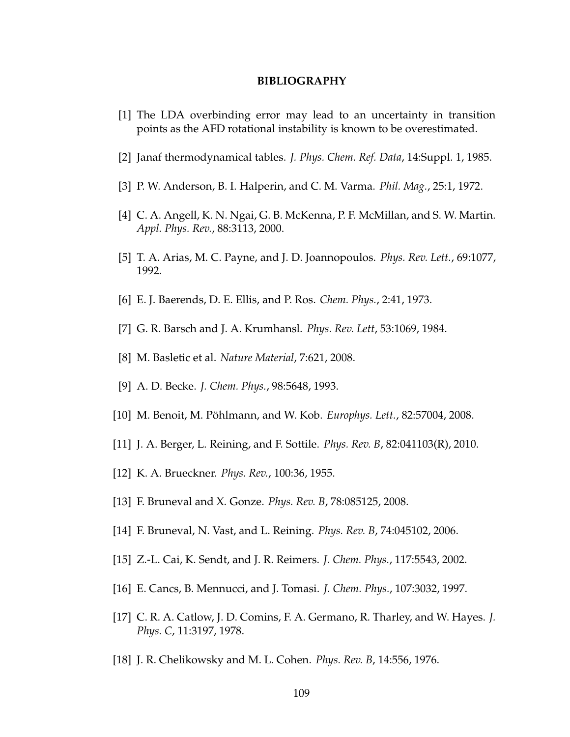#### **BIBLIOGRAPHY**

- [1] The LDA overbinding error may lead to an uncertainty in transition points as the AFD rotational instability is known to be overestimated.
- [2] Janaf thermodynamical tables. *J. Phys. Chem. Ref. Data*, 14:Suppl. 1, 1985.
- [3] P. W. Anderson, B. I. Halperin, and C. M. Varma. *Phil. Mag.*, 25:1, 1972.
- [4] C. A. Angell, K. N. Ngai, G. B. McKenna, P. F. McMillan, and S. W. Martin. *Appl. Phys. Rev.*, 88:3113, 2000.
- [5] T. A. Arias, M. C. Payne, and J. D. Joannopoulos. *Phys. Rev. Lett.*, 69:1077, 1992.
- [6] E. J. Baerends, D. E. Ellis, and P. Ros. *Chem. Phys.*, 2:41, 1973.
- [7] G. R. Barsch and J. A. Krumhansl. *Phys. Rev. Lett*, 53:1069, 1984.
- [8] M. Basletic et al. *Nature Material*, 7:621, 2008.
- [9] A. D. Becke. *J. Chem. Phys.*, 98:5648, 1993.
- [10] M. Benoit, M. Pöhlmann, and W. Kob. *Europhys. Lett.*, 82:57004, 2008.
- [11] J. A. Berger, L. Reining, and F. Sottile. *Phys. Rev. B*, 82:041103(R), 2010.
- [12] K. A. Brueckner. *Phys. Rev.*, 100:36, 1955.
- [13] F. Bruneval and X. Gonze. *Phys. Rev. B*, 78:085125, 2008.
- [14] F. Bruneval, N. Vast, and L. Reining. *Phys. Rev. B*, 74:045102, 2006.
- [15] Z.-L. Cai, K. Sendt, and J. R. Reimers. *J. Chem. Phys.*, 117:5543, 2002.
- [16] E. Cancs, B. Mennucci, and J. Tomasi. *J. Chem. Phys.*, 107:3032, 1997.
- [17] C. R. A. Catlow, J. D. Comins, F. A. Germano, R. Tharley, and W. Hayes. *J. Phys. C*, 11:3197, 1978.
- [18] J. R. Chelikowsky and M. L. Cohen. *Phys. Rev. B*, 14:556, 1976.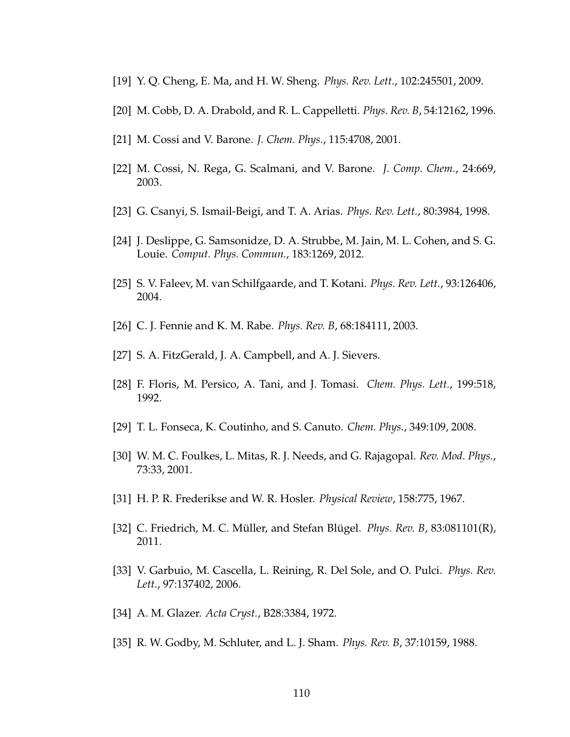- [19] Y. Q. Cheng, E. Ma, and H. W. Sheng. *Phys. Rev. Lett.*, 102:245501, 2009.
- [20] M. Cobb, D. A. Drabold, and R. L. Cappelletti. *Phys. Rev. B*, 54:12162, 1996.
- [21] M. Cossi and V. Barone. *J. Chem. Phys.*, 115:4708, 2001.
- [22] M. Cossi, N. Rega, G. Scalmani, and V. Barone. *J. Comp. Chem.*, 24:669, 2003.
- [23] G. Csanyi, S. Ismail-Beigi, and T. A. Arias. *Phys. Rev. Lett.*, 80:3984, 1998.
- [24] J. Deslippe, G. Samsonidze, D. A. Strubbe, M. Jain, M. L. Cohen, and S. G. Louie. *Comput. Phys. Commun.*, 183:1269, 2012.
- [25] S. V. Faleev, M. van Schilfgaarde, and T. Kotani. *Phys. Rev. Lett.*, 93:126406, 2004.
- [26] C. J. Fennie and K. M. Rabe. *Phys. Rev. B*, 68:184111, 2003.
- [27] S. A. FitzGerald, J. A. Campbell, and A. J. Sievers.
- [28] F. Floris, M. Persico, A. Tani, and J. Tomasi. *Chem. Phys. Lett.*, 199:518, 1992.
- [29] T. L. Fonseca, K. Coutinho, and S. Canuto. *Chem. Phys.*, 349:109, 2008.
- [30] W. M. C. Foulkes, L. Mitas, R. J. Needs, and G. Rajagopal. *Rev. Mod. Phys.*, 73:33, 2001.
- [31] H. P. R. Frederikse and W. R. Hosler. *Physical Review*, 158:775, 1967.
- [32] C. Friedrich, M. C. Müller, and Stefan Blügel. *Phys. Rev. B*, 83:081101(R), 2011.
- [33] V. Garbuio, M. Cascella, L. Reining, R. Del Sole, and O. Pulci. *Phys. Rev. Lett.*, 97:137402, 2006.
- [34] A. M. Glazer. *Acta Cryst.*, B28:3384, 1972.
- [35] R. W. Godby, M. Schluter, and L. J. Sham. *Phys. Rev. B*, 37:10159, 1988.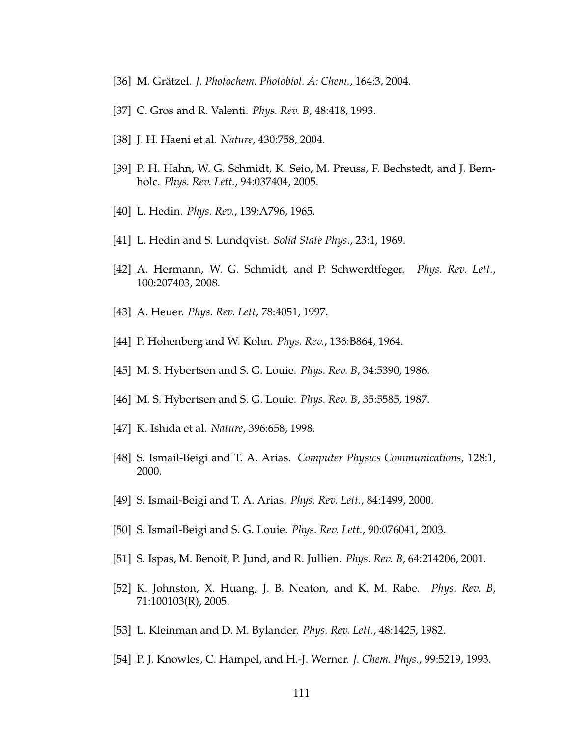- [36] M. Grätzel. *J. Photochem. Photobiol. A: Chem.*, 164:3, 2004.
- [37] C. Gros and R. Valenti. *Phys. Rev. B*, 48:418, 1993.
- [38] J. H. Haeni et al. *Nature*, 430:758, 2004.
- [39] P. H. Hahn, W. G. Schmidt, K. Seio, M. Preuss, F. Bechstedt, and J. Bernholc. *Phys. Rev. Lett.*, 94:037404, 2005.
- [40] L. Hedin. *Phys. Rev.*, 139:A796, 1965.
- [41] L. Hedin and S. Lundqvist. *Solid State Phys.*, 23:1, 1969.
- [42] A. Hermann, W. G. Schmidt, and P. Schwerdtfeger. *Phys. Rev. Lett.*, 100:207403, 2008.
- [43] A. Heuer. *Phys. Rev. Lett*, 78:4051, 1997.
- [44] P. Hohenberg and W. Kohn. *Phys. Rev.*, 136:B864, 1964.
- [45] M. S. Hybertsen and S. G. Louie. *Phys. Rev. B*, 34:5390, 1986.
- [46] M. S. Hybertsen and S. G. Louie. *Phys. Rev. B*, 35:5585, 1987.
- [47] K. Ishida et al. *Nature*, 396:658, 1998.
- [48] S. Ismail-Beigi and T. A. Arias. *Computer Physics Communications*, 128:1, 2000.
- [49] S. Ismail-Beigi and T. A. Arias. *Phys. Rev. Lett.*, 84:1499, 2000.
- [50] S. Ismail-Beigi and S. G. Louie. *Phys. Rev. Lett.*, 90:076041, 2003.
- [51] S. Ispas, M. Benoit, P. Jund, and R. Jullien. *Phys. Rev. B*, 64:214206, 2001.
- [52] K. Johnston, X. Huang, J. B. Neaton, and K. M. Rabe. *Phys. Rev. B*, 71:100103(R), 2005.
- [53] L. Kleinman and D. M. Bylander. *Phys. Rev. Lett.*, 48:1425, 1982.
- [54] P. J. Knowles, C. Hampel, and H.-J. Werner. *J. Chem. Phys.*, 99:5219, 1993.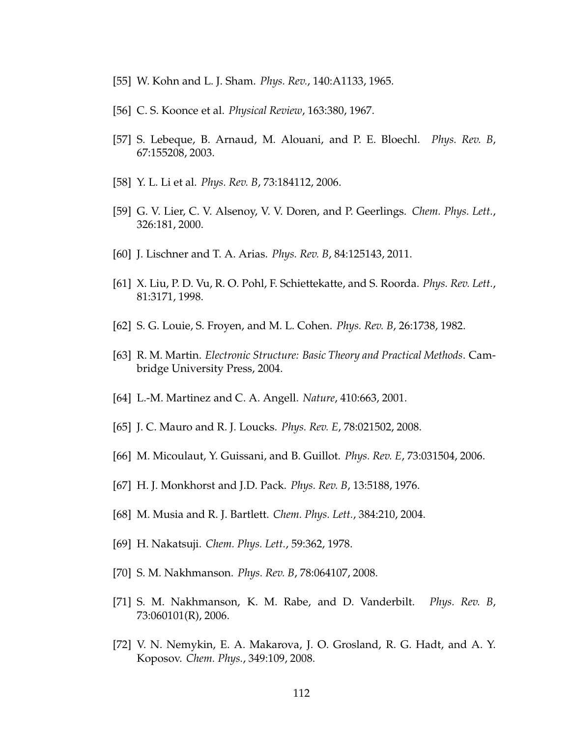- [55] W. Kohn and L. J. Sham. *Phys. Rev.*, 140:A1133, 1965.
- [56] C. S. Koonce et al. *Physical Review*, 163:380, 1967.
- [57] S. Lebeque, B. Arnaud, M. Alouani, and P. E. Bloechl. *Phys. Rev. B*, 67:155208, 2003.
- [58] Y. L. Li et al. *Phys. Rev. B*, 73:184112, 2006.
- [59] G. V. Lier, C. V. Alsenoy, V. V. Doren, and P. Geerlings. *Chem. Phys. Lett.*, 326:181, 2000.
- [60] J. Lischner and T. A. Arias. *Phys. Rev. B*, 84:125143, 2011.
- [61] X. Liu, P. D. Vu, R. O. Pohl, F. Schiettekatte, and S. Roorda. *Phys. Rev. Lett.*, 81:3171, 1998.
- [62] S. G. Louie, S. Froyen, and M. L. Cohen. *Phys. Rev. B*, 26:1738, 1982.
- [63] R. M. Martin. *Electronic Structure: Basic Theory and Practical Methods*. Cambridge University Press, 2004.
- [64] L.-M. Martinez and C. A. Angell. *Nature*, 410:663, 2001.
- [65] J. C. Mauro and R. J. Loucks. *Phys. Rev. E*, 78:021502, 2008.
- [66] M. Micoulaut, Y. Guissani, and B. Guillot. *Phys. Rev. E*, 73:031504, 2006.
- [67] H. J. Monkhorst and J.D. Pack. *Phys. Rev. B*, 13:5188, 1976.
- [68] M. Musia and R. J. Bartlett. *Chem. Phys. Lett.*, 384:210, 2004.
- [69] H. Nakatsuji. *Chem. Phys. Lett.*, 59:362, 1978.
- [70] S. M. Nakhmanson. *Phys. Rev. B*, 78:064107, 2008.
- [71] S. M. Nakhmanson, K. M. Rabe, and D. Vanderbilt. *Phys. Rev. B*, 73:060101(R), 2006.
- [72] V. N. Nemykin, E. A. Makarova, J. O. Grosland, R. G. Hadt, and A. Y. Koposov. *Chem. Phys.*, 349:109, 2008.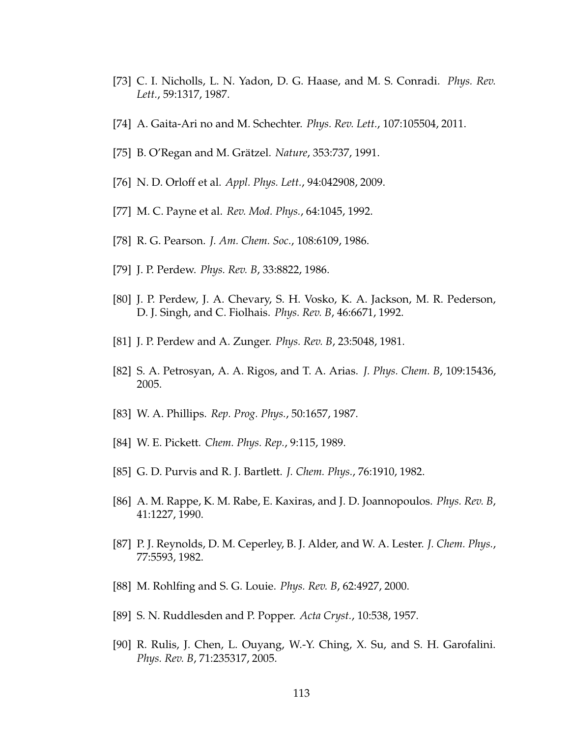- [73] C. I. Nicholls, L. N. Yadon, D. G. Haase, and M. S. Conradi. *Phys. Rev. Lett.*, 59:1317, 1987.
- [74] A. Gaita-Ari no and M. Schechter. *Phys. Rev. Lett.*, 107:105504, 2011.
- [75] B. O'Regan and M. Grätzel. *Nature*, 353:737, 1991.
- [76] N. D. Orloff et al. *Appl. Phys. Lett.*, 94:042908, 2009.
- [77] M. C. Payne et al. *Rev. Mod. Phys.*, 64:1045, 1992.
- [78] R. G. Pearson. *J. Am. Chem. Soc.*, 108:6109, 1986.
- [79] J. P. Perdew. *Phys. Rev. B*, 33:8822, 1986.
- [80] J. P. Perdew, J. A. Chevary, S. H. Vosko, K. A. Jackson, M. R. Pederson, D. J. Singh, and C. Fiolhais. *Phys. Rev. B*, 46:6671, 1992.
- [81] J. P. Perdew and A. Zunger. *Phys. Rev. B*, 23:5048, 1981.
- [82] S. A. Petrosyan, A. A. Rigos, and T. A. Arias. *J. Phys. Chem. B*, 109:15436, 2005.
- [83] W. A. Phillips. *Rep. Prog. Phys.*, 50:1657, 1987.
- [84] W. E. Pickett. *Chem. Phys. Rep.*, 9:115, 1989.
- [85] G. D. Purvis and R. J. Bartlett. *J. Chem. Phys.*, 76:1910, 1982.
- [86] A. M. Rappe, K. M. Rabe, E. Kaxiras, and J. D. Joannopoulos. *Phys. Rev. B*, 41:1227, 1990.
- [87] P. J. Reynolds, D. M. Ceperley, B. J. Alder, and W. A. Lester. *J. Chem. Phys.*, 77:5593, 1982.
- [88] M. Rohlfing and S. G. Louie. *Phys. Rev. B*, 62:4927, 2000.
- [89] S. N. Ruddlesden and P. Popper. *Acta Cryst.*, 10:538, 1957.
- [90] R. Rulis, J. Chen, L. Ouyang, W.-Y. Ching, X. Su, and S. H. Garofalini. *Phys. Rev. B*, 71:235317, 2005.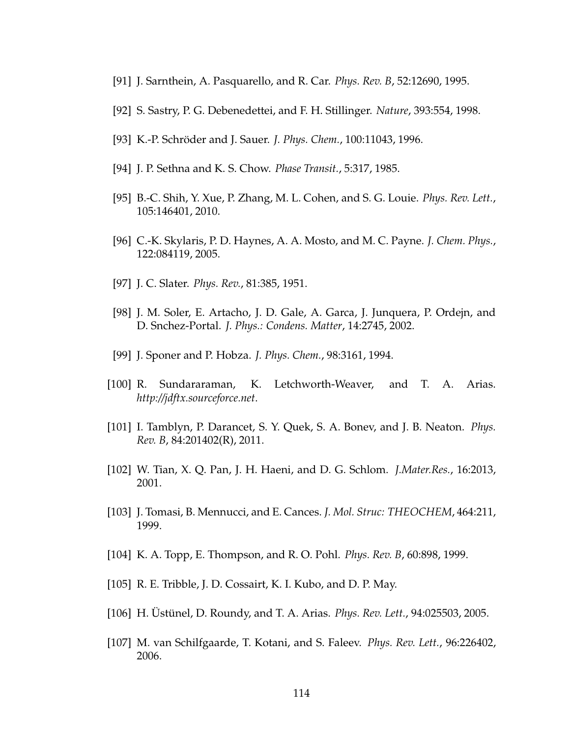- [91] J. Sarnthein, A. Pasquarello, and R. Car. *Phys. Rev. B*, 52:12690, 1995.
- [92] S. Sastry, P. G. Debenedettei, and F. H. Stillinger. *Nature*, 393:554, 1998.
- [93] K.-P. Schröder and J. Sauer. *J. Phys. Chem.*, 100:11043, 1996.
- [94] J. P. Sethna and K. S. Chow. *Phase Transit.*, 5:317, 1985.
- [95] B.-C. Shih, Y. Xue, P. Zhang, M. L. Cohen, and S. G. Louie. *Phys. Rev. Lett.*, 105:146401, 2010.
- [96] C.-K. Skylaris, P. D. Haynes, A. A. Mosto, and M. C. Payne. *J. Chem. Phys.*, 122:084119, 2005.
- [97] J. C. Slater. *Phys. Rev.*, 81:385, 1951.
- [98] J. M. Soler, E. Artacho, J. D. Gale, A. Garca, J. Junquera, P. Ordejn, and D. Snchez-Portal. *J. Phys.: Condens. Matter*, 14:2745, 2002.
- [99] J. Sponer and P. Hobza. *J. Phys. Chem.*, 98:3161, 1994.
- [100] R. Sundararaman, K. Letchworth-Weaver, and T. A. Arias. *http://jdftx.sourceforce.net*.
- [101] I. Tamblyn, P. Darancet, S. Y. Quek, S. A. Bonev, and J. B. Neaton. *Phys. Rev. B*, 84:201402(R), 2011.
- [102] W. Tian, X. Q. Pan, J. H. Haeni, and D. G. Schlom. *J.Mater.Res.*, 16:2013, 2001.
- [103] J. Tomasi, B. Mennucci, and E. Cances. *J. Mol. Struc: THEOCHEM*, 464:211, 1999.
- [104] K. A. Topp, E. Thompson, and R. O. Pohl. *Phys. Rev. B*, 60:898, 1999.
- [105] R. E. Tribble, J. D. Cossairt, K. I. Kubo, and D. P. May.
- [106] H. Üstünel, D. Roundy, and T. A. Arias. *Phys. Rev. Lett.*, 94:025503, 2005.
- [107] M. van Schilfgaarde, T. Kotani, and S. Faleev. *Phys. Rev. Lett.*, 96:226402, 2006.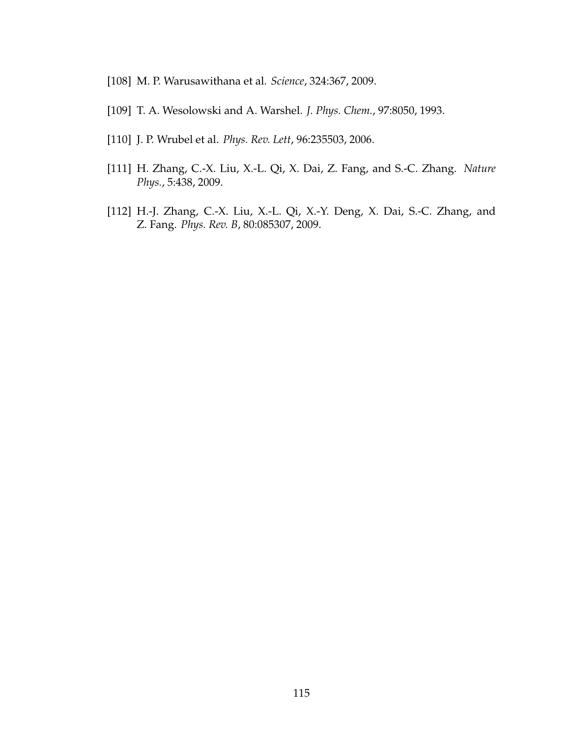- [108] M. P. Warusawithana et al. *Science*, 324:367, 2009.
- [109] T. A. Wesolowski and A. Warshel. *J. Phys. Chem.*, 97:8050, 1993.
- [110] J. P. Wrubel et al. *Phys. Rev. Lett*, 96:235503, 2006.
- [111] H. Zhang, C.-X. Liu, X.-L. Qi, X. Dai, Z. Fang, and S.-C. Zhang. *Nature Phys.*, 5:438, 2009.
- [112] H.-J. Zhang, C.-X. Liu, X.-L. Qi, X.-Y. Deng, X. Dai, S.-C. Zhang, and Z. Fang. *Phys. Rev. B*, 80:085307, 2009.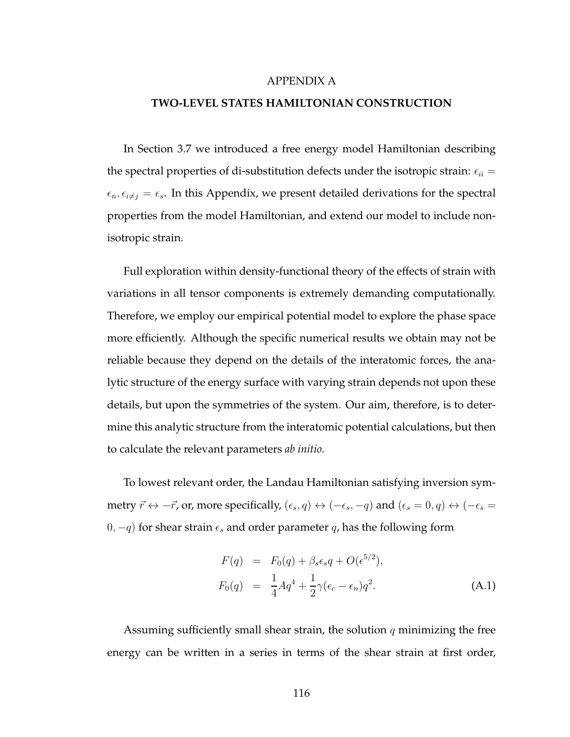#### APPENDIX A

## **TWO-LEVEL STATES HAMILTONIAN CONSTRUCTION**

In Section 3.7 we introduced a free energy model Hamiltonian describing the spectral properties of di-substitution defects under the isotropic strain:  $\epsilon_{ii} =$  $\epsilon_n, \epsilon_{i\neq j} = \epsilon_s$ . In this Appendix, we present detailed derivations for the spectral properties from the model Hamiltonian, and extend our model to include nonisotropic strain.

Full exploration within density-functional theory of the effects of strain with variations in all tensor components is extremely demanding computationally. Therefore, we employ our empirical potential model to explore the phase space more efficiently. Although the specific numerical results we obtain may not be reliable because they depend on the details of the interatomic forces, the analytic structure of the energy surface with varying strain depends not upon these details, but upon the symmetries of the system. Our aim, therefore, is to determine this analytic structure from the interatomic potential calculations, but then to calculate the relevant parameters *ab initio*.

To lowest relevant order, the Landau Hamiltonian satisfying inversion symmetry  $\vec{r} \leftrightarrow -\vec{r}$ , or, more specifically,  $(\epsilon_s, q) \leftrightarrow (-\epsilon_s, -q)$  and  $(\epsilon_s = 0, q) \leftrightarrow (-\epsilon_s = 0, q)$ 0,  $-q$ ) for shear strain  $\epsilon_s$  and order parameter q, has the following form

$$
F(q) = F_0(q) + \beta_s \epsilon_s q + O(\epsilon^{5/2}),
$$
  
\n
$$
F_0(q) = \frac{1}{4} A q^4 + \frac{1}{2} \gamma (\epsilon_c - \epsilon_n) q^2.
$$
\n(A.1)

Assuming sufficiently small shear strain, the solution  $q$  minimizing the free energy can be written in a series in terms of the shear strain at first order,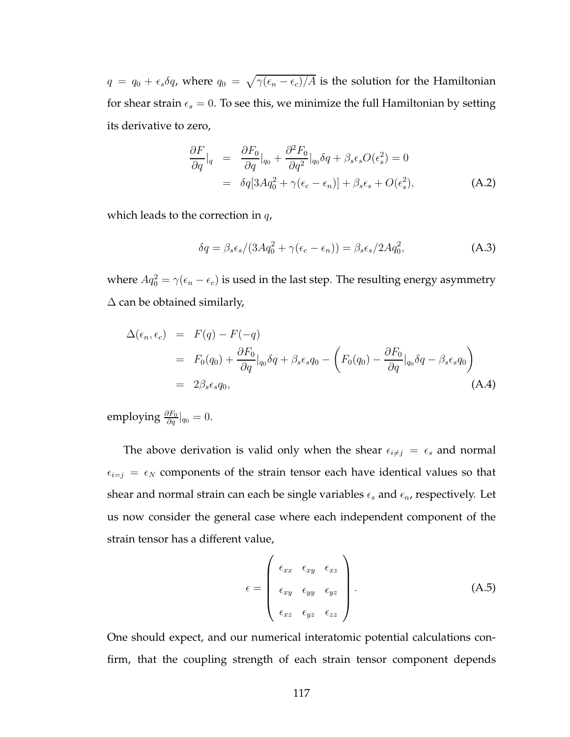$q = q_0 + \epsilon_s \delta q$ , where  $q_0 = \sqrt{\gamma(\epsilon_n - \epsilon_c)/A}$  is the solution for the Hamiltonian for shear strain  $\epsilon_s = 0$ . To see this, we minimize the full Hamiltonian by setting its derivative to zero,

$$
\frac{\partial F}{\partial q}|_q = \frac{\partial F_0}{\partial q}|_{q_0} + \frac{\partial^2 F_0}{\partial q^2}|_{q_0} \delta q + \beta_s \epsilon_s O(\epsilon_s^2) = 0
$$
  
=  $\delta q[3Aq_0^2 + \gamma(\epsilon_c - \epsilon_n)] + \beta_s \epsilon_s + O(\epsilon_s^2),$  (A.2)

which leads to the correction in  $q$ ,

$$
\delta q = \beta_s \epsilon_s / (3Aq_0^2 + \gamma(\epsilon_c - \epsilon_n)) = \beta_s \epsilon_s / 2Aq_0^2,
$$
\n(A.3)

where  $Aq_0^2 = \gamma(\epsilon_n - \epsilon_c)$  is used in the last step. The resulting energy asymmetry  $\Delta$  can be obtained similarly,

$$
\Delta(\epsilon_n, \epsilon_c) = F(q) - F(-q)
$$
  
=  $F_0(q_0) + \frac{\partial F_0}{\partial q}|_{q_0} \delta q + \beta_s \epsilon_s q_0 - \left(F_0(q_0) - \frac{\partial F_0}{\partial q}|_{q_0} \delta q - \beta_s \epsilon_s q_0\right)$   
=  $2\beta_s \epsilon_s q_0,$  (A.4)

employing  $\frac{\partial F_0}{\partial q}|_{q_0} = 0.$ 

The above derivation is valid only when the shear  $\epsilon_{i\neq j} = \epsilon_s$  and normal  $\epsilon_{i=j} = \epsilon_N$  components of the strain tensor each have identical values so that shear and normal strain can each be single variables  $\epsilon_s$  and  $\epsilon_n$ , respectively. Let us now consider the general case where each independent component of the strain tensor has a different value,

$$
\epsilon = \begin{pmatrix} \epsilon_{xx} & \epsilon_{xy} & \epsilon_{xz} \\ \epsilon_{xy} & \epsilon_{yy} & \epsilon_{yz} \\ \epsilon_{xz} & \epsilon_{yz} & \epsilon_{zz} \end{pmatrix} .
$$
 (A.5)

One should expect, and our numerical interatomic potential calculations confirm, that the coupling strength of each strain tensor component depends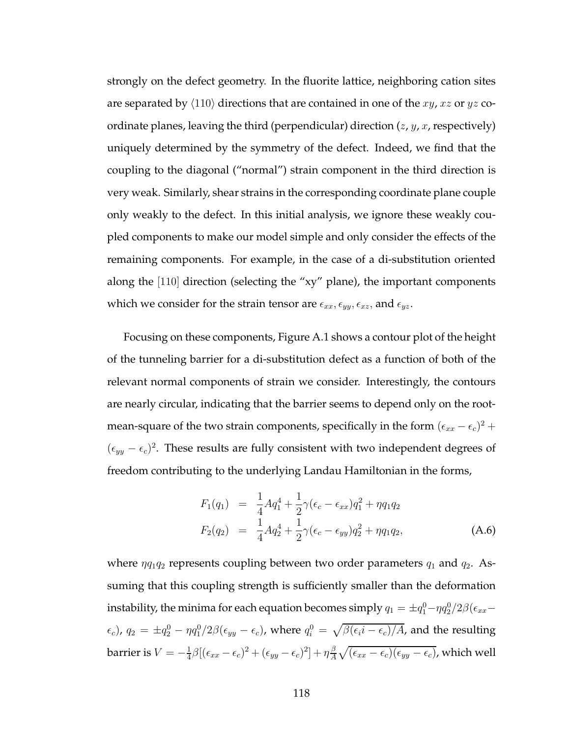strongly on the defect geometry. In the fluorite lattice, neighboring cation sites are separated by  $\langle 110 \rangle$  directions that are contained in one of the xy, xz or yz coordinate planes, leaving the third (perpendicular) direction  $(z, y, x,$  respectively) uniquely determined by the symmetry of the defect. Indeed, we find that the coupling to the diagonal ("normal") strain component in the third direction is very weak. Similarly, shear strains in the corresponding coordinate plane couple only weakly to the defect. In this initial analysis, we ignore these weakly coupled components to make our model simple and only consider the effects of the remaining components. For example, in the case of a di-substitution oriented along the [110] direction (selecting the "xy" plane), the important components which we consider for the strain tensor are  $\epsilon_{xx}, \epsilon_{yy}, \epsilon_{xz},$  and  $\epsilon_{yz}.$ 

Focusing on these components, Figure A.1 shows a contour plot of the height of the tunneling barrier for a di-substitution defect as a function of both of the relevant normal components of strain we consider. Interestingly, the contours are nearly circular, indicating that the barrier seems to depend only on the rootmean-square of the two strain components, specifically in the form  $(\epsilon_{xx} - \epsilon_c)^2 +$  $(\epsilon_{yy} - \epsilon_c)^2$ . These results are fully consistent with two independent degrees of freedom contributing to the underlying Landau Hamiltonian in the forms,

$$
F_1(q_1) = \frac{1}{4} A q_1^4 + \frac{1}{2} \gamma (\epsilon_c - \epsilon_{xx}) q_1^2 + \eta q_1 q_2
$$
  
\n
$$
F_2(q_2) = \frac{1}{4} A q_2^4 + \frac{1}{2} \gamma (\epsilon_c - \epsilon_{yy}) q_2^2 + \eta q_1 q_2,
$$
\n(A.6)

where  $\eta q_1q_2$  represents coupling between two order parameters  $q_1$  and  $q_2$ . Assuming that this coupling strength is sufficiently smaller than the deformation instability, the minima for each equation becomes simply  $q_1 = \pm q_1^0 - \eta q_2^0/2\beta(\epsilon_{xx} (\epsilon_c)$ ,  $q_2 = \pm q_2^0 - \eta q_1^0/2\beta(\epsilon_{yy}-\epsilon_c)$ , where  $q_i^0 = \sqrt{\beta(\epsilon_i i - \epsilon_c)/A}$ , and the resulting barrier is  $V = -\frac{1}{4}$  $\frac{1}{4}\beta[(\epsilon_{xx}-\epsilon_{c})^{2}+(\epsilon_{yy}-\epsilon_{c})^{2}]+\eta\frac{\beta}{A}$  $\frac{\beta}{A}\sqrt{(\epsilon_{xx}-\epsilon_c)(\epsilon_{yy}-\epsilon_c)}$ , which well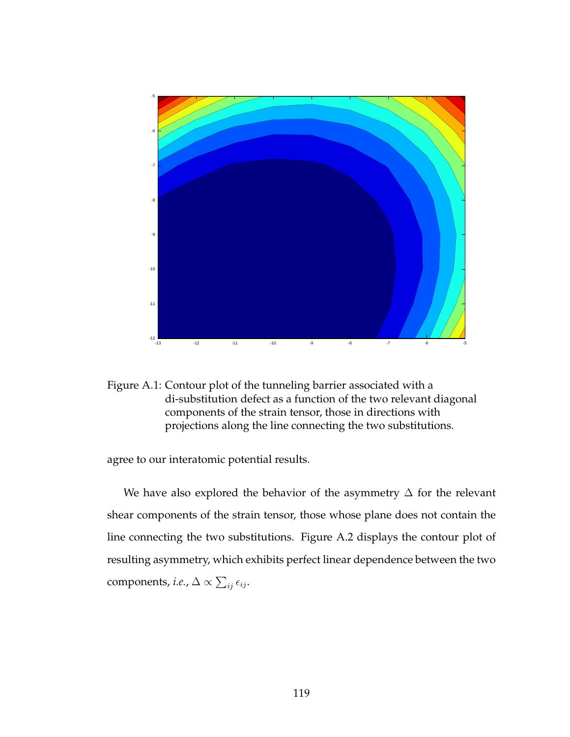



agree to our interatomic potential results.

We have also explored the behavior of the asymmetry ∆ for the relevant shear components of the strain tensor, those whose plane does not contain the line connecting the two substitutions. Figure A.2 displays the contour plot of resulting asymmetry, which exhibits perfect linear dependence between the two components*, i.e.,*  $\Delta \propto \sum_{ij} \epsilon_{ij}.$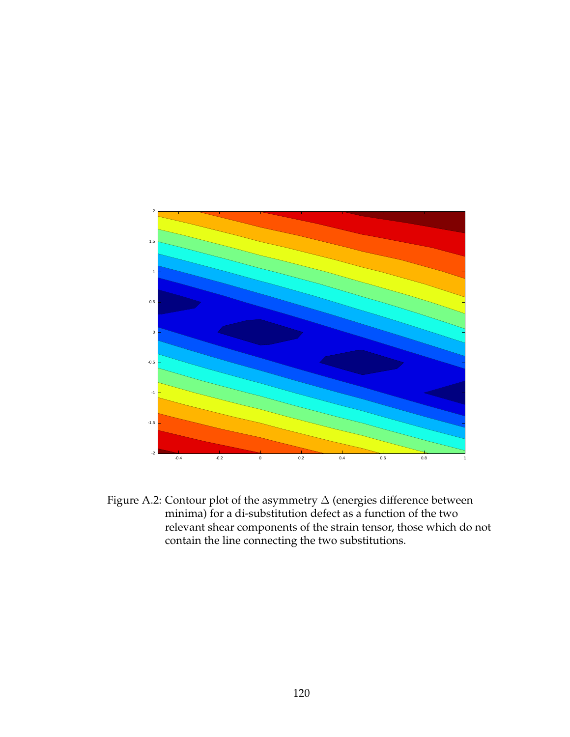

Figure A.2: Contour plot of the asymmetry  $\Delta$  (energies difference between minima) for a di-substitution defect as a function of the two relevant shear components of the strain tensor, those which do not contain the line connecting the two substitutions.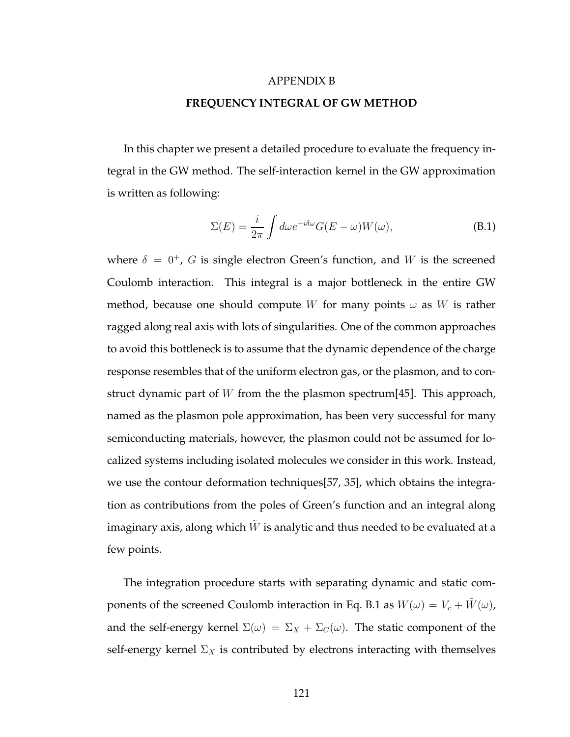#### APPENDIX B

#### **FREQUENCY INTEGRAL OF GW METHOD**

In this chapter we present a detailed procedure to evaluate the frequency integral in the GW method. The self-interaction kernel in the GW approximation is written as following:

$$
\Sigma(E) = \frac{i}{2\pi} \int d\omega e^{-i\delta\omega} G(E - \omega) W(\omega), \tag{B.1}
$$

where  $\delta = 0^+$ , G is single electron Green's function, and W is the screened Coulomb interaction. This integral is a major bottleneck in the entire GW method, because one should compute W for many points  $\omega$  as W is rather ragged along real axis with lots of singularities. One of the common approaches to avoid this bottleneck is to assume that the dynamic dependence of the charge response resembles that of the uniform electron gas, or the plasmon, and to construct dynamic part of W from the the plasmon spectrum[45]. This approach, named as the plasmon pole approximation, has been very successful for many semiconducting materials, however, the plasmon could not be assumed for localized systems including isolated molecules we consider in this work. Instead, we use the contour deformation techniques[57, 35], which obtains the integration as contributions from the poles of Green's function and an integral along imaginary axis, along which  $\hat{W}$  is analytic and thus needed to be evaluated at a few points.

The integration procedure starts with separating dynamic and static components of the screened Coulomb interaction in Eq. B.1 as  $W(\omega) = V_c + \tilde{W}(\omega)$ , and the self-energy kernel  $\Sigma(\omega) = \Sigma_X + \Sigma_C(\omega)$ . The static component of the self-energy kernel  $\Sigma_X$  is contributed by electrons interacting with themselves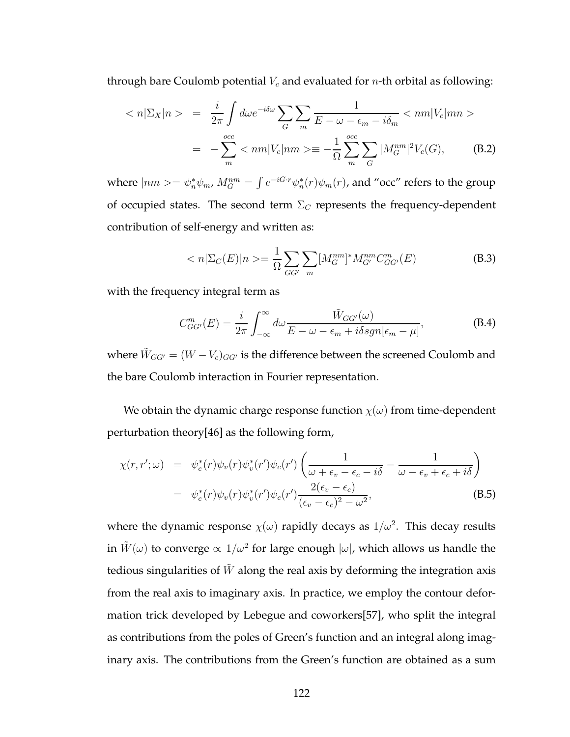through bare Coulomb potential  $V_c$  and evaluated for *n*-th orbital as following:

$$
\langle n|\Sigma_X|n\rangle = \frac{i}{2\pi} \int d\omega e^{-i\delta\omega} \sum_G \sum_m \frac{1}{E - \omega - \epsilon_m - i\delta_m} \langle nm|V_c|mn\rangle
$$

$$
= -\sum_m^{occ} \langle nm|V_c|nm\rangle = -\frac{1}{\Omega} \sum_m^{occ} \sum_G |M_G^{nm}|^2 V_c(G), \qquad (B.2)
$$

where  $|nm\rangle = \psi_n^*\psi_m$ ,  $M_G^{nm} = \int e^{-iG\cdot r}\psi_n^*(r)\psi_m(r)$ , and "occ" refers to the group of occupied states. The second term  $\Sigma_C$  represents the frequency-dependent contribution of self-energy and written as:

$$
\langle n|\Sigma_C(E)|n\rangle = \frac{1}{\Omega} \sum_{GG'} \sum_m [M_G^{nm}]^* M_{G'}^{nm} C_{GG'}^m(E)
$$
\n(B.3)

with the frequency integral term as

$$
C_{GG'}^{m}(E) = \frac{i}{2\pi} \int_{-\infty}^{\infty} d\omega \frac{\tilde{W}_{GG'}(\omega)}{E - \omega - \epsilon_m + i\delta sgn[\epsilon_m - \mu]},
$$
(B.4)

where  $\tilde{W}_{GG'} = (W - V_c)_{GG'}$  is the difference between the screened Coulomb and the bare Coulomb interaction in Fourier representation.

We obtain the dynamic charge response function  $\chi(\omega)$  from time-dependent perturbation theory[46] as the following form,

$$
\chi(r,r';\omega) = \psi_c^*(r)\psi_v(r)\psi_v^*(r')\psi_c(r')\left(\frac{1}{\omega + \epsilon_v - \epsilon_c - i\delta} - \frac{1}{\omega - \epsilon_v + \epsilon_c + i\delta}\right)
$$
  

$$
= \psi_c^*(r)\psi_v(r)\psi_v^*(r')\psi_c(r')\frac{2(\epsilon_v - \epsilon_c)}{(\epsilon_v - \epsilon_c)^2 - \omega^2},
$$
(B.5)

where the dynamic response  $\chi(\omega)$  rapidly decays as  $1/\omega^2$ . This decay results in  $\tilde{W}(\omega)$  to converge  $\propto 1/\omega^2$  for large enough  $|\omega|$ , which allows us handle the tedious singularities of  $W$  along the real axis by deforming the integration axis from the real axis to imaginary axis. In practice, we employ the contour deformation trick developed by Lebegue and coworkers[57], who split the integral as contributions from the poles of Green's function and an integral along imaginary axis. The contributions from the Green's function are obtained as a sum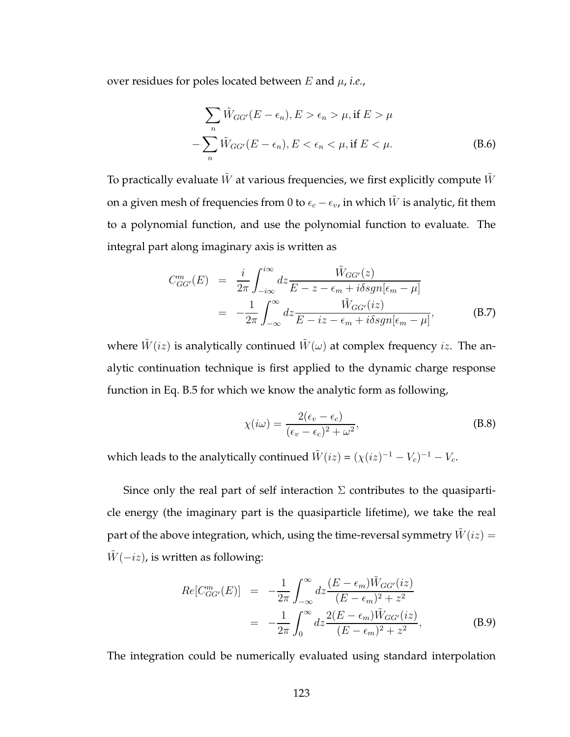over residues for poles located between  $E$  and  $\mu$ , *i.e.*,

$$
\sum_{n} \tilde{W}_{GG'}(E - \epsilon_n), E > \epsilon_n > \mu, \text{if } E > \mu
$$

$$
-\sum_{n} \tilde{W}_{GG'}(E - \epsilon_n), E < \epsilon_n < \mu, \text{if } E < \mu.
$$
 (B.6)

To practically evaluate  $\tilde{W}$  at various frequencies, we first explicitly compute  $\tilde{W}$ on a given mesh of frequencies from 0 to  $\epsilon_c - \epsilon_v$ , in which  $\tilde{W}$  is analytic, fit them to a polynomial function, and use the polynomial function to evaluate. The integral part along imaginary axis is written as

$$
C_{GG'}^{m}(E) = \frac{i}{2\pi} \int_{-i\infty}^{i\infty} dz \frac{\tilde{W}_{GG'}(z)}{E - z - \epsilon_m + i\delta sgn[\epsilon_m - \mu]}
$$
  
= 
$$
-\frac{1}{2\pi} \int_{-\infty}^{\infty} dz \frac{\tilde{W}_{GG'}(iz)}{E - iz - \epsilon_m + i\delta sgn[\epsilon_m - \mu]},
$$
(B.7)

where  $\tilde{W}(iz)$  is analytically continued  $\tilde{W}(\omega)$  at complex frequency iz. The analytic continuation technique is first applied to the dynamic charge response function in Eq. B.5 for which we know the analytic form as following,

$$
\chi(i\omega) = \frac{2(\epsilon_v - \epsilon_c)}{(\epsilon_v - \epsilon_c)^2 + \omega^2},
$$
\n(B.8)

which leads to the analytically continued  $\tilde{W}(iz) = (\chi(iz)^{-1} - V_c)^{-1} - V_c$ .

Since only the real part of self interaction  $\Sigma$  contributes to the quasiparticle energy (the imaginary part is the quasiparticle lifetime), we take the real part of the above integration, which, using the time-reversal symmetry  $W(iz) =$  $\tilde{W}(-iz)$ , is written as following:

$$
Re[C_{GG'}^{m}(E)] = -\frac{1}{2\pi} \int_{-\infty}^{\infty} dz \frac{(E - \epsilon_m)\tilde{W}_{GG'}(iz)}{(E - \epsilon_m)^2 + z^2} = -\frac{1}{2\pi} \int_{0}^{\infty} dz \frac{2(E - \epsilon_m)\tilde{W}_{GG'}(iz)}{(E - \epsilon_m)^2 + z^2},
$$
(B.9)

The integration could be numerically evaluated using standard interpolation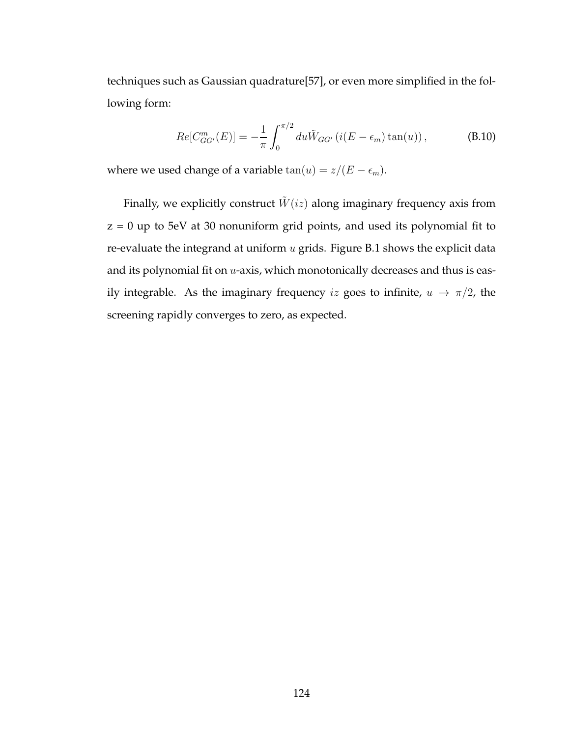techniques such as Gaussian quadrature[57], or even more simplified in the following form:

$$
Re[C_{GG'}^{m}(E)] = -\frac{1}{\pi} \int_0^{\pi/2} du \tilde{W}_{GG'} (i(E - \epsilon_m) \tan(u)), \qquad (B.10)
$$

where we used change of a variable  $\tan(u) = z/(E - \epsilon_m).$ 

Finally, we explicitly construct  $\tilde{W}(iz)$  along imaginary frequency axis from z = 0 up to 5eV at 30 nonuniform grid points, and used its polynomial fit to re-evaluate the integrand at uniform  $u$  grids. Figure B.1 shows the explicit data and its polynomial fit on  $u$ -axis, which monotonically decreases and thus is easily integrable. As the imaginary frequency iz goes to infinite,  $u \rightarrow \pi/2$ , the screening rapidly converges to zero, as expected.